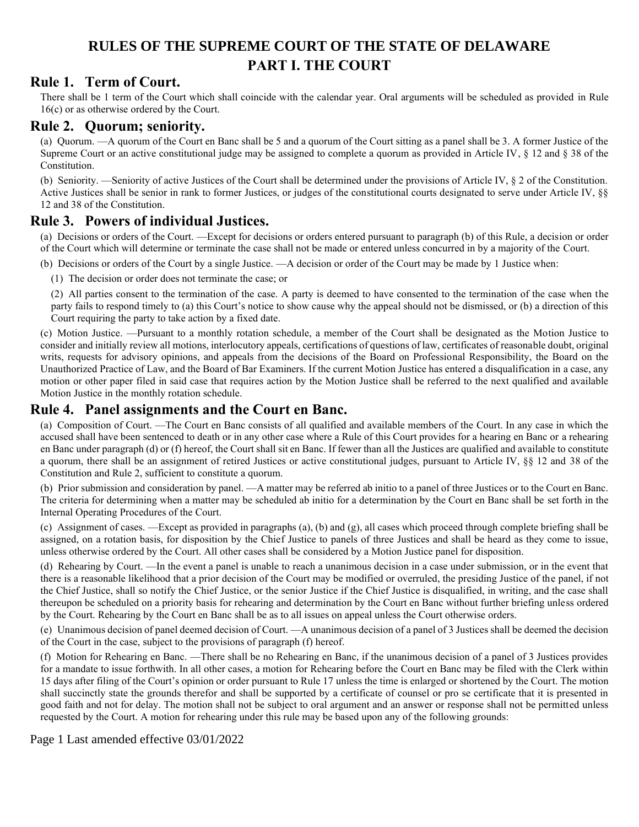## **RULES OF THE SUPREME COURT OF THE STATE OF DELAWARE PART I. THE COURT**

## **Rule 1. Term of Court.**

There shall be 1 term of the Court which shall coincide with the calendar year. Oral arguments will be scheduled as provided in Rule 16(c) or as otherwise ordered by the Court.

### **Rule 2. Quorum; seniority.**

(a) Quorum. —A quorum of the Court en Banc shall be 5 and a quorum of the Court sitting as a panel shall be 3. A former Justice of the Supreme Court or an active constitutional judge may be assigned to complete a quorum as provided in Article IV, § 12 and § 38 of the Constitution.

(b) Seniority. —Seniority of active Justices of the Court shall be determined under the provisions of Article IV, § 2 of the Constitution. Active Justices shall be senior in rank to former Justices, or judges of the constitutional courts designated to serve under Article IV, §§ 12 and 38 of the Constitution.

### **Rule 3. Powers of individual Justices.**

(a) Decisions or orders of the Court. —Except for decisions or orders entered pursuant to paragraph (b) of this Rule, a decision or order of the Court which will determine or terminate the case shall not be made or entered unless concurred in by a majority of the Court.

(b) Decisions or orders of the Court by a single Justice. —A decision or order of the Court may be made by 1 Justice when:

(1) The decision or order does not terminate the case; or

(2) All parties consent to the termination of the case. A party is deemed to have consented to the termination of the case when the party fails to respond timely to (a) this Court's notice to show cause why the appeal should not be dismissed, or (b) a direction of this Court requiring the party to take action by a fixed date.

(c) Motion Justice. —Pursuant to a monthly rotation schedule, a member of the Court shall be designated as the Motion Justice to consider and initially review all motions, interlocutory appeals, certifications of questions of law, certificates of reasonable doubt, original writs, requests for advisory opinions, and appeals from the decisions of the Board on Professional Responsibility, the Board on the Unauthorized Practice of Law, and the Board of Bar Examiners. If the current Motion Justice has entered a disqualification in a case, any motion or other paper filed in said case that requires action by the Motion Justice shall be referred to the next qualified and available Motion Justice in the monthly rotation schedule.

## **Rule 4. Panel assignments and the Court en Banc.**

(a) Composition of Court. —The Court en Banc consists of all qualified and available members of the Court. In any case in which the accused shall have been sentenced to death or in any other case where a Rule of this Court provides for a hearing en Banc or a rehearing en Banc under paragraph (d) or (f) hereof, the Court shall sit en Banc. If fewer than all the Justices are qualified and available to constitute a quorum, there shall be an assignment of retired Justices or active constitutional judges, pursuant to Article IV, §§ 12 and 38 of the Constitution and Rule 2, sufficient to constitute a quorum.

(b) Prior submission and consideration by panel. —A matter may be referred ab initio to a panel of three Justices or to the Court en Banc. The criteria for determining when a matter may be scheduled ab initio for a determination by the Court en Banc shall be set forth in the Internal Operating Procedures of the Court.

(c) Assignment of cases. —Except as provided in paragraphs (a), (b) and (g), all cases which proceed through complete briefing shall be assigned, on a rotation basis, for disposition by the Chief Justice to panels of three Justices and shall be heard as they come to issue, unless otherwise ordered by the Court. All other cases shall be considered by a Motion Justice panel for disposition.

(d) Rehearing by Court. —In the event a panel is unable to reach a unanimous decision in a case under submission, or in the event that there is a reasonable likelihood that a prior decision of the Court may be modified or overruled, the presiding Justice of the panel, if not the Chief Justice, shall so notify the Chief Justice, or the senior Justice if the Chief Justice is disqualified, in writing, and the case shall thereupon be scheduled on a priority basis for rehearing and determination by the Court en Banc without further briefing unless ordered by the Court. Rehearing by the Court en Banc shall be as to all issues on appeal unless the Court otherwise orders.

(e) Unanimous decision of panel deemed decision of Court. —A unanimous decision of a panel of 3 Justices shall be deemed the decision of the Court in the case, subject to the provisions of paragraph (f) hereof.

(f) Motion for Rehearing en Banc. —There shall be no Rehearing en Banc, if the unanimous decision of a panel of 3 Justices provides for a mandate to issue forthwith. In all other cases, a motion for Rehearing before the Court en Banc may be filed with the Clerk within 15 days after filing of the Court's opinion or order pursuant to Rule 17 unless the time is enlarged or shortened by the Court. The motion shall succinctly state the grounds therefor and shall be supported by a certificate of counsel or pro se certificate that it is presented in good faith and not for delay. The motion shall not be subject to oral argument and an answer or response shall not be permitted unless requested by the Court. A motion for rehearing under this rule may be based upon any of the following grounds:

Page 1 Last amended effective 03/01/2022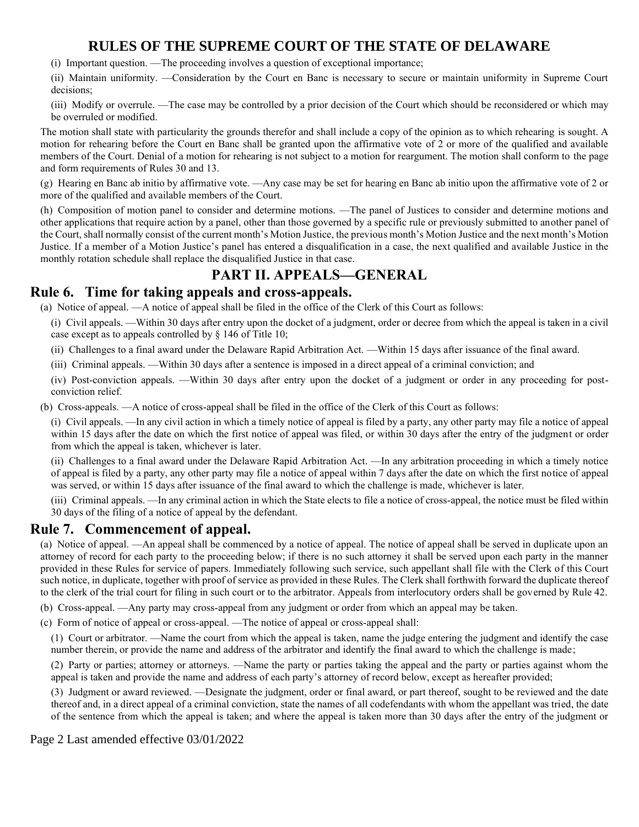(i) Important question. —The proceeding involves a question of exceptional importance;

(ii) Maintain uniformity. —Consideration by the Court en Banc is necessary to secure or maintain uniformity in Supreme Court decisions;

(iii) Modify or overrule. —The case may be controlled by a prior decision of the Court which should be reconsidered or which may be overruled or modified.

The motion shall state with particularity the grounds therefor and shall include a copy of the opinion as to which rehearing is sought. A motion for rehearing before the Court en Banc shall be granted upon the affirmative vote of 2 or more of the qualified and available members of the Court. Denial of a motion for rehearing is not subject to a motion for reargument. The motion shall conform to the page and form requirements of Rules 30 and 13.

(g) Hearing en Banc ab initio by affirmative vote. —Any case may be set for hearing en Banc ab initio upon the affirmative vote of 2 or more of the qualified and available members of the Court.

(h) Composition of motion panel to consider and determine motions. —The panel of Justices to consider and determine motions and other applications that require action by a panel, other than those governed by a specific rule or previously submitted to another panel of the Court, shall normally consist of the current month's Motion Justice, the previous month's Motion Justice and the next month's Motion Justice. If a member of a Motion Justice's panel has entered a disqualification in a case, the next qualified and available Justice in the monthly rotation schedule shall replace the disqualified Justice in that case.

## **PART II. APPEALS—GENERAL**

## **Rule 6. Time for taking appeals and cross-appeals.**

(a) Notice of appeal. —A notice of appeal shall be filed in the office of the Clerk of this Court as follows:

(i) Civil appeals. —Within 30 days after entry upon the docket of a judgment, order or decree from which the appeal is taken in a civil case except as to appeals controlled by § 146 of Title 10;

(ii) Challenges to a final award under the Delaware Rapid Arbitration Act. —Within 15 days after issuance of the final award.

(iii) Criminal appeals. —Within 30 days after a sentence is imposed in a direct appeal of a criminal conviction; and

(iv) Post-conviction appeals. —Within 30 days after entry upon the docket of a judgment or order in any proceeding for postconviction relief.

(b) Cross-appeals. —A notice of cross-appeal shall be filed in the office of the Clerk of this Court as follows:

(i) Civil appeals. —In any civil action in which a timely notice of appeal is filed by a party, any other party may file a notice of appeal within 15 days after the date on which the first notice of appeal was filed, or within 30 days after the entry of the judgment or order from which the appeal is taken, whichever is later.

(ii) Challenges to a final award under the Delaware Rapid Arbitration Act. —In any arbitration proceeding in which a timely notice of appeal is filed by a party, any other party may file a notice of appeal within 7 days after the date on which the first notice of appeal was served, or within 15 days after issuance of the final award to which the challenge is made, whichever is later.

(iii) Criminal appeals. —In any criminal action in which the State elects to file a notice of cross-appeal, the notice must be filed within 30 days of the filing of a notice of appeal by the defendant.

### **Rule 7. Commencement of appeal.**

(a) Notice of appeal. —An appeal shall be commenced by a notice of appeal. The notice of appeal shall be served in duplicate upon an attorney of record for each party to the proceeding below; if there is no such attorney it shall be served upon each party in the manner provided in these Rules for service of papers. Immediately following such service, such appellant shall file with the Clerk of this Court such notice, in duplicate, together with proof of service as provided in these Rules. The Clerk shall forthwith forward the duplicate thereof to the clerk of the trial court for filing in such court or to the arbitrator. Appeals from interlocutory orders shall be governed by Rule 42.

(b) Cross-appeal. —Any party may cross-appeal from any judgment or order from which an appeal may be taken.

(c) Form of notice of appeal or cross-appeal. —The notice of appeal or cross-appeal shall:

(1) Court or arbitrator. —Name the court from which the appeal is taken, name the judge entering the judgment and identify the case number therein, or provide the name and address of the arbitrator and identify the final award to which the challenge is made;

(2) Party or parties; attorney or attorneys. —Name the party or parties taking the appeal and the party or parties against whom the appeal is taken and provide the name and address of each party's attorney of record below, except as hereafter provided;

(3) Judgment or award reviewed. —Designate the judgment, order or final award, or part thereof, sought to be reviewed and the date thereof and, in a direct appeal of a criminal conviction, state the names of all codefendants with whom the appellant was tried, the date of the sentence from which the appeal is taken; and where the appeal is taken more than 30 days after the entry of the judgment or

#### Page 2 Last amended effective 03/01/2022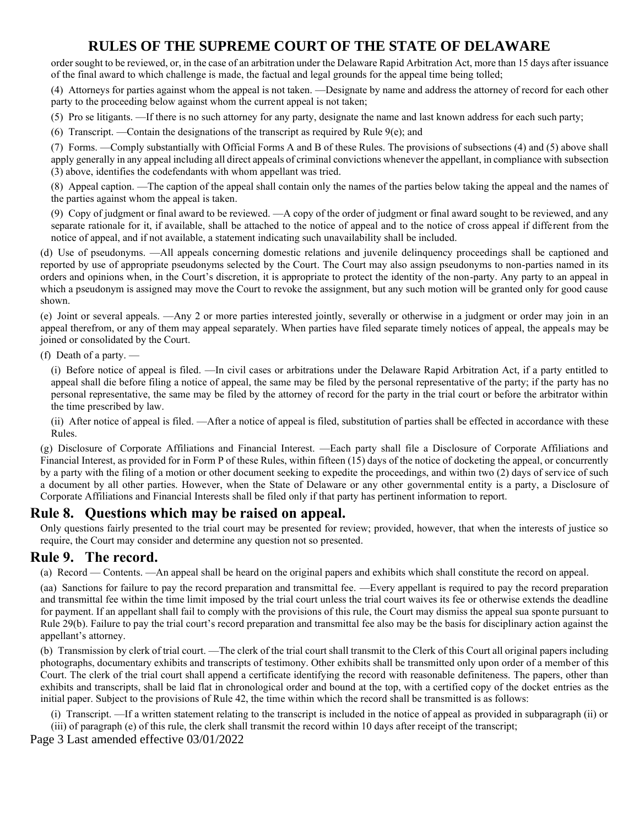order sought to be reviewed, or, in the case of an arbitration under the Delaware Rapid Arbitration Act, more than 15 days after issuance of the final award to which challenge is made, the factual and legal grounds for the appeal time being tolled;

(4) Attorneys for parties against whom the appeal is not taken. —Designate by name and address the attorney of record for each other party to the proceeding below against whom the current appeal is not taken;

(5) Pro se litigants. —If there is no such attorney for any party, designate the name and last known address for each such party;

(6) Transcript. —Contain the designations of the transcript as required by Rule 9(e); and

(7) Forms. —Comply substantially with Official Forms A and B of these Rules. The provisions of subsections (4) and (5) above shall apply generally in any appeal including all direct appeals of criminal convictions whenever the appellant, in compliance with subsection (3) above, identifies the codefendants with whom appellant was tried.

(8) Appeal caption. —The caption of the appeal shall contain only the names of the parties below taking the appeal and the names of the parties against whom the appeal is taken.

(9) Copy of judgment or final award to be reviewed. —A copy of the order of judgment or final award sought to be reviewed, and any separate rationale for it, if available, shall be attached to the notice of appeal and to the notice of cross appeal if different from the notice of appeal, and if not available, a statement indicating such unavailability shall be included.

(d) Use of pseudonyms. —All appeals concerning domestic relations and juvenile delinquency proceedings shall be captioned and reported by use of appropriate pseudonyms selected by the Court. The Court may also assign pseudonyms to non-parties named in its orders and opinions when, in the Court's discretion, it is appropriate to protect the identity of the non-party. Any party to an appeal in which a pseudonym is assigned may move the Court to revoke the assignment, but any such motion will be granted only for good cause shown.

(e) Joint or several appeals. —Any 2 or more parties interested jointly, severally or otherwise in a judgment or order may join in an appeal therefrom, or any of them may appeal separately. When parties have filed separate timely notices of appeal, the appeals may be joined or consolidated by the Court.

(f) Death of a party. —

(i) Before notice of appeal is filed. —In civil cases or arbitrations under the Delaware Rapid Arbitration Act, if a party entitled to appeal shall die before filing a notice of appeal, the same may be filed by the personal representative of the party; if the party has no personal representative, the same may be filed by the attorney of record for the party in the trial court or before the arbitrator within the time prescribed by law.

(ii) After notice of appeal is filed. —After a notice of appeal is filed, substitution of parties shall be effected in accordance with these Rules.

(g) Disclosure of Corporate Affiliations and Financial Interest. —Each party shall file a Disclosure of Corporate Affiliations and Financial Interest, as provided for in Form P of these Rules, within fifteen (15) days of the notice of docketing the appeal, or concurrently by a party with the filing of a motion or other document seeking to expedite the proceedings, and within two (2) days of service of such a document by all other parties. However, when the State of Delaware or any other governmental entity is a party, a Disclosure of Corporate Affiliations and Financial Interests shall be filed only if that party has pertinent information to report.

### **Rule 8. Questions which may be raised on appeal.**

Only questions fairly presented to the trial court may be presented for review; provided, however, that when the interests of justice so require, the Court may consider and determine any question not so presented.

### **Rule 9. The record.**

(a) Record — Contents. —An appeal shall be heard on the original papers and exhibits which shall constitute the record on appeal.

(aa) Sanctions for failure to pay the record preparation and transmittal fee. —Every appellant is required to pay the record preparation and transmittal fee within the time limit imposed by the trial court unless the trial court waives its fee or otherwise extends the deadline for payment. If an appellant shall fail to comply with the provisions of this rule, the Court may dismiss the appeal sua sponte pursuant to Rule 29(b). Failure to pay the trial court's record preparation and transmittal fee also may be the basis for disciplinary action against the appellant's attorney.

(b) Transmission by clerk of trial court. —The clerk of the trial court shall transmit to the Clerk of this Court all original papers including photographs, documentary exhibits and transcripts of testimony. Other exhibits shall be transmitted only upon order of a member of this Court. The clerk of the trial court shall append a certificate identifying the record with reasonable definiteness. The papers, other than exhibits and transcripts, shall be laid flat in chronological order and bound at the top, with a certified copy of the docket entries as the initial paper. Subject to the provisions of Rule 42, the time within which the record shall be transmitted is as follows:

(i) Transcript. —If a written statement relating to the transcript is included in the notice of appeal as provided in subparagraph (ii) or (iii) of paragraph (e) of this rule, the clerk shall transmit the record within 10 days after receipt of the transcript;

Page 3 Last amended effective 03/01/2022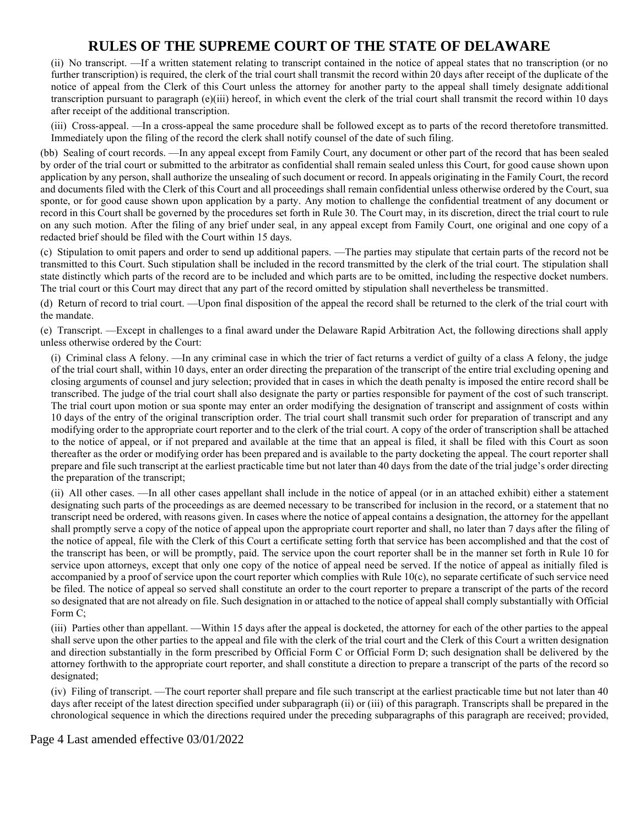(ii) No transcript. —If a written statement relating to transcript contained in the notice of appeal states that no transcription (or no further transcription) is required, the clerk of the trial court shall transmit the record within 20 days after receipt of the duplicate of the notice of appeal from the Clerk of this Court unless the attorney for another party to the appeal shall timely designate additional transcription pursuant to paragraph (e)(iii) hereof, in which event the clerk of the trial court shall transmit the record within 10 days after receipt of the additional transcription.

(iii) Cross-appeal. —In a cross-appeal the same procedure shall be followed except as to parts of the record theretofore transmitted. Immediately upon the filing of the record the clerk shall notify counsel of the date of such filing.

(bb) Sealing of court records. —In any appeal except from Family Court, any document or other part of the record that has been sealed by order of the trial court or submitted to the arbitrator as confidential shall remain sealed unless this Court, for good cause shown upon application by any person, shall authorize the unsealing of such document or record. In appeals originating in the Family Court, the record and documents filed with the Clerk of this Court and all proceedings shall remain confidential unless otherwise ordered by the Court, sua sponte, or for good cause shown upon application by a party. Any motion to challenge the confidential treatment of any document or record in this Court shall be governed by the procedures set forth in Rule 30. The Court may, in its discretion, direct the trial court to rule on any such motion. After the filing of any brief under seal, in any appeal except from Family Court, one original and one copy of a redacted brief should be filed with the Court within 15 days.

(c) Stipulation to omit papers and order to send up additional papers. —The parties may stipulate that certain parts of the record not be transmitted to this Court. Such stipulation shall be included in the record transmitted by the clerk of the trial court. The stipulation shall state distinctly which parts of the record are to be included and which parts are to be omitted, including the respective docket numbers. The trial court or this Court may direct that any part of the record omitted by stipulation shall nevertheless be transmitted.

(d) Return of record to trial court. —Upon final disposition of the appeal the record shall be returned to the clerk of the trial court with the mandate.

(e) Transcript. —Except in challenges to a final award under the Delaware Rapid Arbitration Act, the following directions shall apply unless otherwise ordered by the Court:

(i) Criminal class A felony. —In any criminal case in which the trier of fact returns a verdict of guilty of a class A felony, the judge of the trial court shall, within 10 days, enter an order directing the preparation of the transcript of the entire trial excluding opening and closing arguments of counsel and jury selection; provided that in cases in which the death penalty is imposed the entire record shall be transcribed. The judge of the trial court shall also designate the party or parties responsible for payment of the cost of such transcript. The trial court upon motion or sua sponte may enter an order modifying the designation of transcript and assignment of costs within 10 days of the entry of the original transcription order. The trial court shall transmit such order for preparation of transcript and any modifying order to the appropriate court reporter and to the clerk of the trial court. A copy of the order of transcription shall be attached to the notice of appeal, or if not prepared and available at the time that an appeal is filed, it shall be filed with this Court as soon thereafter as the order or modifying order has been prepared and is available to the party docketing the appeal. The court reporter shall prepare and file such transcript at the earliest practicable time but not later than 40 days from the date of the trial judge's order directing the preparation of the transcript;

(ii) All other cases. —In all other cases appellant shall include in the notice of appeal (or in an attached exhibit) either a statement designating such parts of the proceedings as are deemed necessary to be transcribed for inclusion in the record, or a statement that no transcript need be ordered, with reasons given. In cases where the notice of appeal contains a designation, the attorney for the appellant shall promptly serve a copy of the notice of appeal upon the appropriate court reporter and shall, no later than 7 days after the filing of the notice of appeal, file with the Clerk of this Court a certificate setting forth that service has been accomplished and that the cost of the transcript has been, or will be promptly, paid. The service upon the court reporter shall be in the manner set forth in Rule 10 for service upon attorneys, except that only one copy of the notice of appeal need be served. If the notice of appeal as initially filed is accompanied by a proof of service upon the court reporter which complies with Rule 10(c), no separate certificate of such service need be filed. The notice of appeal so served shall constitute an order to the court reporter to prepare a transcript of the parts of the record so designated that are not already on file. Such designation in or attached to the notice of appeal shall comply substantially with Official Form C;

(iii) Parties other than appellant. —Within 15 days after the appeal is docketed, the attorney for each of the other parties to the appeal shall serve upon the other parties to the appeal and file with the clerk of the trial court and the Clerk of this Court a written designation and direction substantially in the form prescribed by Official Form C or Official Form D; such designation shall be delivered by the attorney forthwith to the appropriate court reporter, and shall constitute a direction to prepare a transcript of the parts of the record so designated;

(iv) Filing of transcript. —The court reporter shall prepare and file such transcript at the earliest practicable time but not later than 40 days after receipt of the latest direction specified under subparagraph (ii) or (iii) of this paragraph. Transcripts shall be prepared in the chronological sequence in which the directions required under the preceding subparagraphs of this paragraph are received; provided,

Page 4 Last amended effective 03/01/2022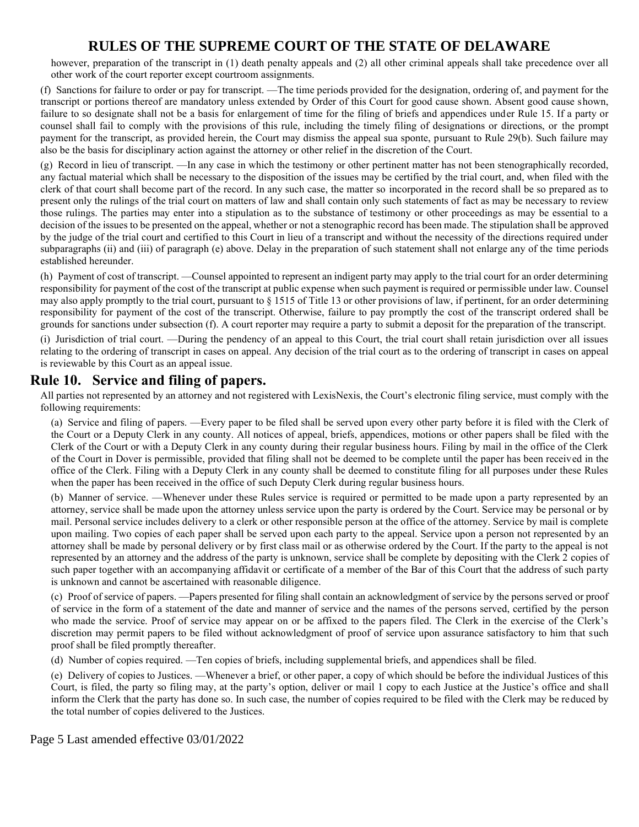however, preparation of the transcript in (1) death penalty appeals and (2) all other criminal appeals shall take precedence over all other work of the court reporter except courtroom assignments.

(f) Sanctions for failure to order or pay for transcript. —The time periods provided for the designation, ordering of, and payment for the transcript or portions thereof are mandatory unless extended by Order of this Court for good cause shown. Absent good cause shown, failure to so designate shall not be a basis for enlargement of time for the filing of briefs and appendices under Rule 15. If a party or counsel shall fail to comply with the provisions of this rule, including the timely filing of designations or directions, or the prompt payment for the transcript, as provided herein, the Court may dismiss the appeal sua sponte, pursuant to Rule 29(b). Such failure may also be the basis for disciplinary action against the attorney or other relief in the discretion of the Court.

(g) Record in lieu of transcript. —In any case in which the testimony or other pertinent matter has not been stenographically recorded, any factual material which shall be necessary to the disposition of the issues may be certified by the trial court, and, when filed with the clerk of that court shall become part of the record. In any such case, the matter so incorporated in the record shall be so prepared as to present only the rulings of the trial court on matters of law and shall contain only such statements of fact as may be necessary to review those rulings. The parties may enter into a stipulation as to the substance of testimony or other proceedings as may be essential to a decision of the issues to be presented on the appeal, whether or not a stenographic record has been made. The stipulation shall be approved by the judge of the trial court and certified to this Court in lieu of a transcript and without the necessity of the directions required under subparagraphs (ii) and (iii) of paragraph (e) above. Delay in the preparation of such statement shall not enlarge any of the time periods established hereunder.

(h) Payment of cost of transcript. —Counsel appointed to represent an indigent party may apply to the trial court for an order determining responsibility for payment of the cost of the transcript at public expense when such payment is required or permissible under law. Counsel may also apply promptly to the trial court, pursuant to § 1515 of Title 13 or other provisions of law, if pertinent, for an order determining responsibility for payment of the cost of the transcript. Otherwise, failure to pay promptly the cost of the transcript ordered shall be grounds for sanctions under subsection (f). A court reporter may require a party to submit a deposit for the preparation of the transcript.

(i) Jurisdiction of trial court. —During the pendency of an appeal to this Court, the trial court shall retain jurisdiction over all issues relating to the ordering of transcript in cases on appeal. Any decision of the trial court as to the ordering of transcript in cases on appeal is reviewable by this Court as an appeal issue.

### **Rule 10. Service and filing of papers.**

All parties not represented by an attorney and not registered with LexisNexis, the Court's electronic filing service, must comply with the following requirements:

(a) Service and filing of papers. —Every paper to be filed shall be served upon every other party before it is filed with the Clerk of the Court or a Deputy Clerk in any county. All notices of appeal, briefs, appendices, motions or other papers shall be filed with the Clerk of the Court or with a Deputy Clerk in any county during their regular business hours. Filing by mail in the office of the Clerk of the Court in Dover is permissible, provided that filing shall not be deemed to be complete until the paper has been received in the office of the Clerk. Filing with a Deputy Clerk in any county shall be deemed to constitute filing for all purposes under these Rules when the paper has been received in the office of such Deputy Clerk during regular business hours.

(b) Manner of service. —Whenever under these Rules service is required or permitted to be made upon a party represented by an attorney, service shall be made upon the attorney unless service upon the party is ordered by the Court. Service may be personal or by mail. Personal service includes delivery to a clerk or other responsible person at the office of the attorney. Service by mail is complete upon mailing. Two copies of each paper shall be served upon each party to the appeal. Service upon a person not represented by an attorney shall be made by personal delivery or by first class mail or as otherwise ordered by the Court. If the party to the appeal is not represented by an attorney and the address of the party is unknown, service shall be complete by depositing with the Clerk 2 copies of such paper together with an accompanying affidavit or certificate of a member of the Bar of this Court that the address of such party is unknown and cannot be ascertained with reasonable diligence.

(c) Proof of service of papers. —Papers presented for filing shall contain an acknowledgment of service by the persons served or proof of service in the form of a statement of the date and manner of service and the names of the persons served, certified by the person who made the service. Proof of service may appear on or be affixed to the papers filed. The Clerk in the exercise of the Clerk's discretion may permit papers to be filed without acknowledgment of proof of service upon assurance satisfactory to him that such proof shall be filed promptly thereafter.

(d) Number of copies required. —Ten copies of briefs, including supplemental briefs, and appendices shall be filed.

(e) Delivery of copies to Justices. —Whenever a brief, or other paper, a copy of which should be before the individual Justices of this Court, is filed, the party so filing may, at the party's option, deliver or mail 1 copy to each Justice at the Justice's office and shall inform the Clerk that the party has done so. In such case, the number of copies required to be filed with the Clerk may be reduced by the total number of copies delivered to the Justices.

#### Page 5 Last amended effective 03/01/2022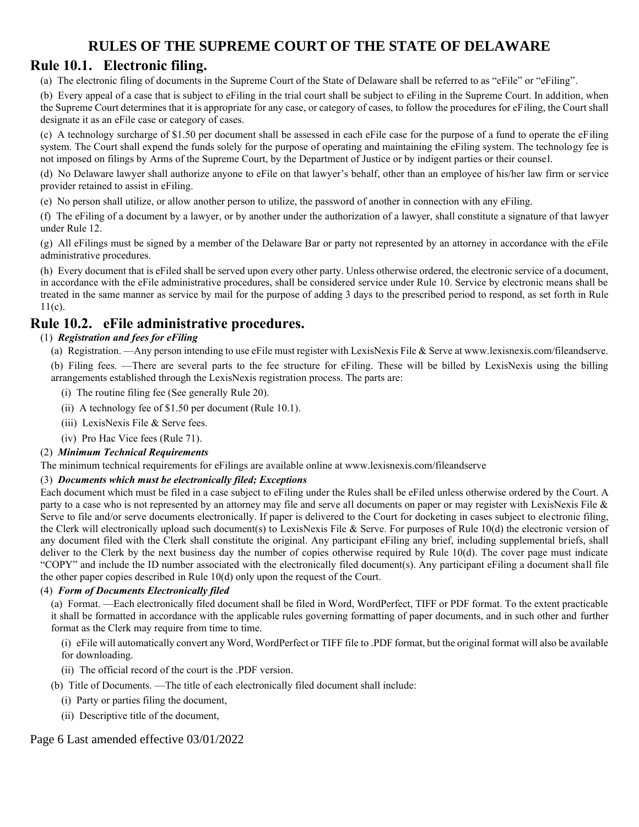### **Rule 10.1. Electronic filing.**

(a) The electronic filing of documents in the Supreme Court of the State of Delaware shall be referred to as "eFile" or "eFiling".

(b) Every appeal of a case that is subject to eFiling in the trial court shall be subject to eFiling in the Supreme Court. In addition, when the Supreme Court determines that it is appropriate for any case, or category of cases, to follow the procedures for eFiling, the Court shall designate it as an eFile case or category of cases.

(c) A technology surcharge of \$1.50 per document shall be assessed in each eFile case for the purpose of a fund to operate the eFiling system. The Court shall expend the funds solely for the purpose of operating and maintaining the eFiling system. The technology fee is not imposed on filings by Arms of the Supreme Court, by the Department of Justice or by indigent parties or their counsel.

(d) No Delaware lawyer shall authorize anyone to eFile on that lawyer's behalf, other than an employee of his/her law firm or service provider retained to assist in eFiling.

(e) No person shall utilize, or allow another person to utilize, the password of another in connection with any eFiling.

(f) The eFiling of a document by a lawyer, or by another under the authorization of a lawyer, shall constitute a signature of that lawyer under Rule 12.

(g) All eFilings must be signed by a member of the Delaware Bar or party not represented by an attorney in accordance with the eFile administrative procedures.

(h) Every document that is eFiled shall be served upon every other party. Unless otherwise ordered, the electronic service of a document, in accordance with the eFile administrative procedures, shall be considered service under Rule 10. Service by electronic means shall be treated in the same manner as service by mail for the purpose of adding 3 days to the prescribed period to respond, as set forth in Rule 11(c).

## **Rule 10.2. eFile administrative procedures.**

#### (1) *Registration and fees for eFiling*

(a) Registration. —Any person intending to use eFile must register with LexisNexis File & Serve at www.lexisnexis.com/fileandserve.

(b) Filing fees. —There are several parts to the fee structure for eFiling. These will be billed by LexisNexis using the billing arrangements established through the LexisNexis registration process. The parts are:

- (i) The routine filing fee (See generally Rule 20).
- (ii) A technology fee of \$1.50 per document (Rule 10.1).
- (iii) LexisNexis File & Serve fees.
- (iv) Pro Hac Vice fees (Rule 71).

#### (2) *Minimum Technical Requirements*

The minimum technical requirements for eFilings are available online at www.lexisnexis.com/fileandserve

#### (3) *Documents which must be electronically filed; Exceptions*

Each document which must be filed in a case subject to eFiling under the Rules shall be eFiled unless otherwise ordered by the Court. A party to a case who is not represented by an attorney may file and serve all documents on paper or may register with LexisNexis File & Serve to file and/or serve documents electronically. If paper is delivered to the Court for docketing in cases subject to electronic filing, the Clerk will electronically upload such document(s) to LexisNexis File & Serve. For purposes of Rule 10(d) the electronic version of any document filed with the Clerk shall constitute the original. Any participant eFiling any brief, including supplemental briefs, shall deliver to the Clerk by the next business day the number of copies otherwise required by Rule 10(d). The cover page must indicate "COPY" and include the ID number associated with the electronically filed document(s). Any participant eFiling a document shall file the other paper copies described in Rule 10(d) only upon the request of the Court.

#### (4) *Form of Documents Electronically filed*

(a) Format. —Each electronically filed document shall be filed in Word, WordPerfect, TIFF or PDF format. To the extent practicable it shall be formatted in accordance with the applicable rules governing formatting of paper documents, and in such other and further format as the Clerk may require from time to time.

(i) eFile will automatically convert any Word, WordPerfect or TIFF file to .PDF format, but the original format will also be available for downloading.

- (ii) The official record of the court is the .PDF version.
- (b) Title of Documents. —The title of each electronically filed document shall include:
	- (i) Party or parties filing the document,
	- (ii) Descriptive title of the document,

#### Page 6 Last amended effective 03/01/2022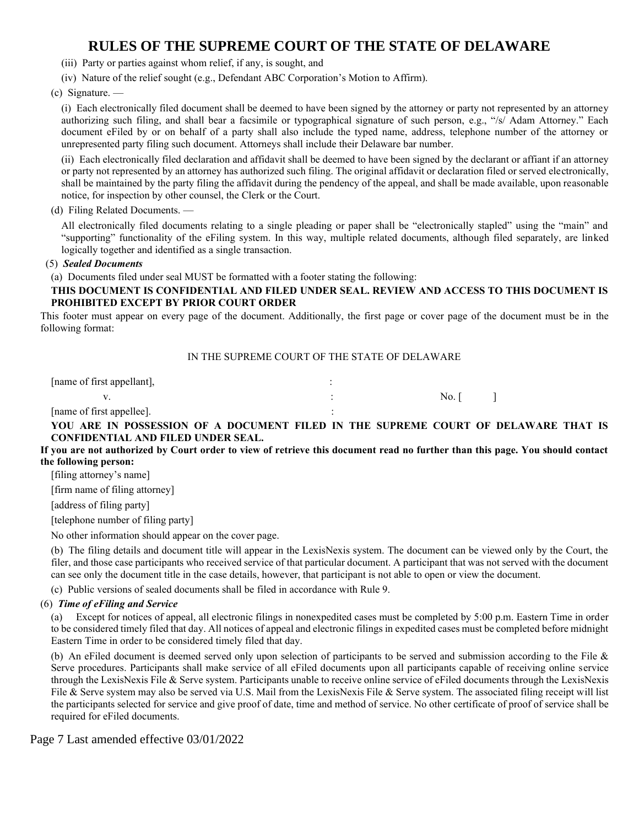- (iii) Party or parties against whom relief, if any, is sought, and
- (iv) Nature of the relief sought (e.g., Defendant ABC Corporation's Motion to Affirm).

(c) Signature. —

(i) Each electronically filed document shall be deemed to have been signed by the attorney or party not represented by an attorney authorizing such filing, and shall bear a facsimile or typographical signature of such person, e.g., "/s/ Adam Attorney." Each document eFiled by or on behalf of a party shall also include the typed name, address, telephone number of the attorney or unrepresented party filing such document. Attorneys shall include their Delaware bar number.

(ii) Each electronically filed declaration and affidavit shall be deemed to have been signed by the declarant or affiant if an attorney or party not represented by an attorney has authorized such filing. The original affidavit or declaration filed or served electronically, shall be maintained by the party filing the affidavit during the pendency of the appeal, and shall be made available, upon reasonable notice, for inspection by other counsel, the Clerk or the Court.

#### (d) Filing Related Documents. —

All electronically filed documents relating to a single pleading or paper shall be "electronically stapled" using the "main" and "supporting" functionality of the eFiling system. In this way, multiple related documents, although filed separately, are linked logically together and identified as a single transaction.

#### (5) *Sealed Documents*

(a) Documents filed under seal MUST be formatted with a footer stating the following:

#### **THIS DOCUMENT IS CONFIDENTIAL AND FILED UNDER SEAL. REVIEW AND ACCESS TO THIS DOCUMENT IS PROHIBITED EXCEPT BY PRIOR COURT ORDER**

This footer must appear on every page of the document. Additionally, the first page or cover page of the document must be in the following format:

#### IN THE SUPREME COURT OF THE STATE OF DELAWARE

[name of first appellant],  $\cdot$ 

v.  $\qquad \qquad$   $\qquad \qquad$  :  $\qquad \qquad$  No. [ ]

[name of first appellee].

**YOU ARE IN POSSESSION OF A DOCUMENT FILED IN THE SUPREME COURT OF DELAWARE THAT IS CONFIDENTIAL AND FILED UNDER SEAL.**

#### **If you are not authorized by Court order to view of retrieve this document read no further than this page. You should contact the following person:**

[filing attorney's name]

[firm name of filing attorney]

[address of filing party]

[telephone number of filing party]

No other information should appear on the cover page.

(b) The filing details and document title will appear in the LexisNexis system. The document can be viewed only by the Court, the filer, and those case participants who received service of that particular document. A participant that was not served with the document can see only the document title in the case details, however, that participant is not able to open or view the document.

(c) Public versions of sealed documents shall be filed in accordance with Rule 9.

#### (6) *Time of eFiling and Service*

(a) Except for notices of appeal, all electronic filings in nonexpedited cases must be completed by 5:00 p.m. Eastern Time in order to be considered timely filed that day. All notices of appeal and electronic filings in expedited cases must be completed before midnight Eastern Time in order to be considered timely filed that day.

(b) An eFiled document is deemed served only upon selection of participants to be served and submission according to the File & Serve procedures. Participants shall make service of all eFiled documents upon all participants capable of receiving online service through the LexisNexis File & Serve system. Participants unable to receive online service of eFiled documents through the LexisNexis File & Serve system may also be served via U.S. Mail from the LexisNexis File & Serve system. The associated filing receipt will list the participants selected for service and give proof of date, time and method of service. No other certificate of proof of service shall be required for eFiled documents.

Page 7 Last amended effective 03/01/2022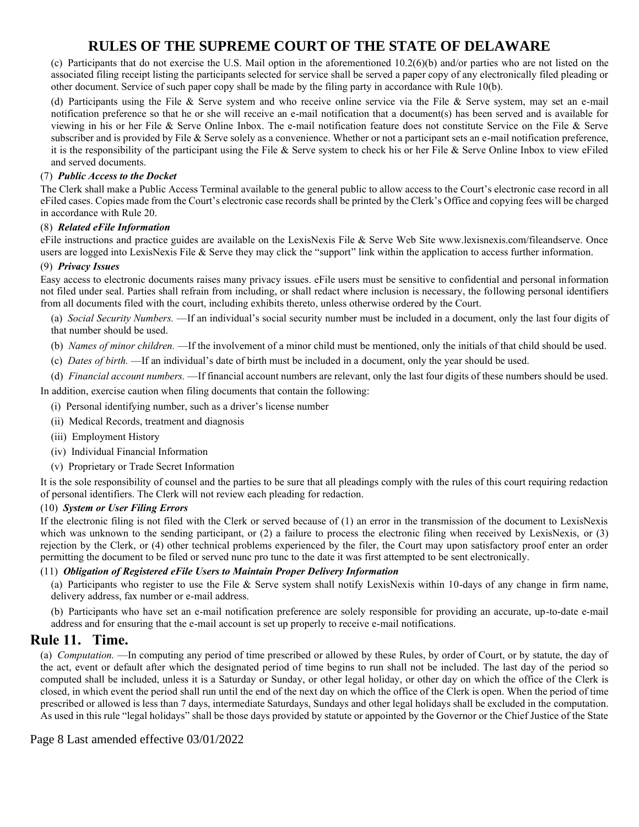(c) Participants that do not exercise the U.S. Mail option in the aforementioned 10.2(6)(b) and/or parties who are not listed on the associated filing receipt listing the participants selected for service shall be served a paper copy of any electronically filed pleading or other document. Service of such paper copy shall be made by the filing party in accordance with Rule 10(b).

(d) Participants using the File & Serve system and who receive online service via the File & Serve system, may set an e-mail notification preference so that he or she will receive an e-mail notification that a document(s) has been served and is available for viewing in his or her File & Serve Online Inbox. The e-mail notification feature does not constitute Service on the File & Serve subscriber and is provided by File & Serve solely as a convenience. Whether or not a participant sets an e-mail notification preference, it is the responsibility of the participant using the File & Serve system to check his or her File & Serve Online Inbox to view eFiled and served documents.

#### (7) *Public Access to the Docket*

The Clerk shall make a Public Access Terminal available to the general public to allow access to the Court's electronic case record in all eFiled cases. Copies made from the Court's electronic case records shall be printed by the Clerk's Office and copying fees will be charged in accordance with Rule 20.

#### (8) *Related eFile Information*

eFile instructions and practice guides are available on the LexisNexis File & Serve Web Site www.lexisnexis.com/fileandserve. Once users are logged into LexisNexis File & Serve they may click the "support" link within the application to access further information.

#### (9) *Privacy Issues*

Easy access to electronic documents raises many privacy issues. eFile users must be sensitive to confidential and personal information not filed under seal. Parties shall refrain from including, or shall redact where inclusion is necessary, the following personal identifiers from all documents filed with the court, including exhibits thereto, unless otherwise ordered by the Court.

(a) *Social Security Numbers.* —If an individual's social security number must be included in a document, only the last four digits of that number should be used.

- (b) *Names of minor children.* —If the involvement of a minor child must be mentioned, only the initials of that child should be used.
- (c) *Dates of birth.* —If an individual's date of birth must be included in a document, only the year should be used.
- (d) *Financial account numbers.* —If financial account numbers are relevant, only the last four digits of these numbers should be used.

In addition, exercise caution when filing documents that contain the following: (i) Personal identifying number, such as a driver's license number

- (ii) Medical Records, treatment and diagnosis
- (iii) Employment History
- (iv) Individual Financial Information
- (v) Proprietary or Trade Secret Information

It is the sole responsibility of counsel and the parties to be sure that all pleadings comply with the rules of this court requiring redaction of personal identifiers. The Clerk will not review each pleading for redaction.

#### (10) *System or User Filing Errors*

If the electronic filing is not filed with the Clerk or served because of (1) an error in the transmission of the document to LexisNexis which was unknown to the sending participant, or (2) a failure to process the electronic filing when received by LexisNexis, or (3) rejection by the Clerk, or (4) other technical problems experienced by the filer, the Court may upon satisfactory proof enter an order permitting the document to be filed or served nunc pro tunc to the date it was first attempted to be sent electronically.

#### (11) *Obligation of Registered eFile Users to Maintain Proper Delivery Information*

(a) Participants who register to use the File & Serve system shall notify LexisNexis within 10-days of any change in firm name, delivery address, fax number or e-mail address.

(b) Participants who have set an e-mail notification preference are solely responsible for providing an accurate, up-to-date e-mail address and for ensuring that the e-mail account is set up properly to receive e-mail notifications.

### **Rule 11. Time.**

(a) *Computation.* —In computing any period of time prescribed or allowed by these Rules, by order of Court, or by statute, the day of the act, event or default after which the designated period of time begins to run shall not be included. The last day of the period so computed shall be included, unless it is a Saturday or Sunday, or other legal holiday, or other day on which the office of the Clerk is closed, in which event the period shall run until the end of the next day on which the office of the Clerk is open. When the period of time prescribed or allowed is less than 7 days, intermediate Saturdays, Sundays and other legal holidays shall be excluded in the computation. As used in this rule "legal holidays" shall be those days provided by statute or appointed by the Governor or the Chief Justice of the State

#### Page 8 Last amended effective 03/01/2022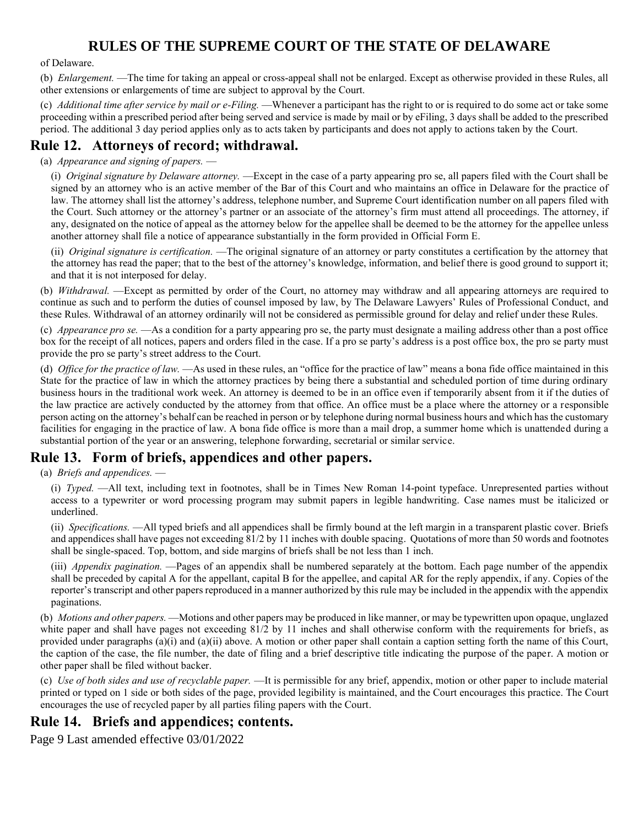of Delaware.

(b) *Enlargement.* —The time for taking an appeal or cross-appeal shall not be enlarged. Except as otherwise provided in these Rules, all other extensions or enlargements of time are subject to approval by the Court.

(c) *Additional time after service by mail or e-Filing.* —Whenever a participant has the right to or is required to do some act or take some proceeding within a prescribed period after being served and service is made by mail or by eFiling, 3 days shall be added to the prescribed period. The additional 3 day period applies only as to acts taken by participants and does not apply to actions taken by the Court.

## **Rule 12. Attorneys of record; withdrawal.**

#### (a) *Appearance and signing of papers.* —

(i) *Original signature by Delaware attorney.* —Except in the case of a party appearing pro se, all papers filed with the Court shall be signed by an attorney who is an active member of the Bar of this Court and who maintains an office in Delaware for the practice of law. The attorney shall list the attorney's address, telephone number, and Supreme Court identification number on all papers filed with the Court. Such attorney or the attorney's partner or an associate of the attorney's firm must attend all proceedings. The attorney, if any, designated on the notice of appeal as the attorney below for the appellee shall be deemed to be the attorney for the appellee unless another attorney shall file a notice of appearance substantially in the form provided in Official Form E.

(ii) *Original signature is certification.* —The original signature of an attorney or party constitutes a certification by the attorney that the attorney has read the paper; that to the best of the attorney's knowledge, information, and belief there is good ground to support it; and that it is not interposed for delay.

(b) *Withdrawal.* —Except as permitted by order of the Court, no attorney may withdraw and all appearing attorneys are required to continue as such and to perform the duties of counsel imposed by law, by The Delaware Lawyers' Rules of Professional Conduct, and these Rules. Withdrawal of an attorney ordinarily will not be considered as permissible ground for delay and relief under these Rules.

(c) *Appearance pro se.* —As a condition for a party appearing pro se, the party must designate a mailing address other than a post office box for the receipt of all notices, papers and orders filed in the case. If a pro se party's address is a post office box, the pro se party must provide the pro se party's street address to the Court.

(d) *Office for the practice of law.* —As used in these rules, an "office for the practice of law" means a bona fide office maintained in this State for the practice of law in which the attorney practices by being there a substantial and scheduled portion of time during ordinary business hours in the traditional work week. An attorney is deemed to be in an office even if temporarily absent from it if the duties of the law practice are actively conducted by the attorney from that office. An office must be a place where the attorney or a responsible person acting on the attorney's behalf can be reached in person or by telephone during normal business hours and which has the customary facilities for engaging in the practice of law. A bona fide office is more than a mail drop, a summer home which is unattended during a substantial portion of the year or an answering, telephone forwarding, secretarial or similar service.

### **Rule 13. Form of briefs, appendices and other papers.**

(a) *Briefs and appendices.* —

(i) *Typed.* —All text, including text in footnotes, shall be in Times New Roman 14-point typeface. Unrepresented parties without access to a typewriter or word processing program may submit papers in legible handwriting. Case names must be italicized or underlined.

(ii) *Specifications.* —All typed briefs and all appendices shall be firmly bound at the left margin in a transparent plastic cover. Briefs and appendices shall have pages not exceeding 81/2 by 11 inches with double spacing. Quotations of more than 50 words and footnotes shall be single-spaced. Top, bottom, and side margins of briefs shall be not less than 1 inch.

(iii) *Appendix pagination.* —Pages of an appendix shall be numbered separately at the bottom. Each page number of the appendix shall be preceded by capital A for the appellant, capital B for the appellee, and capital AR for the reply appendix, if any. Copies of the reporter's transcript and other papers reproduced in a manner authorized by this rule may be included in the appendix with the appendix paginations.

(b) *Motions and other papers.* —Motions and other papers may be produced in like manner, or may be typewritten upon opaque, unglazed white paper and shall have pages not exceeding 81/2 by 11 inches and shall otherwise conform with the requirements for briefs, as provided under paragraphs (a)(i) and (a)(ii) above. A motion or other paper shall contain a caption setting forth the name of this Court, the caption of the case, the file number, the date of filing and a brief descriptive title indicating the purpose of the paper. A motion or other paper shall be filed without backer.

(c) *Use of both sides and use of recyclable paper.* —It is permissible for any brief, appendix, motion or other paper to include material printed or typed on 1 side or both sides of the page, provided legibility is maintained, and the Court encourages this practice. The Court encourages the use of recycled paper by all parties filing papers with the Court.

### **Rule 14. Briefs and appendices; contents.**

Page 9 Last amended effective 03/01/2022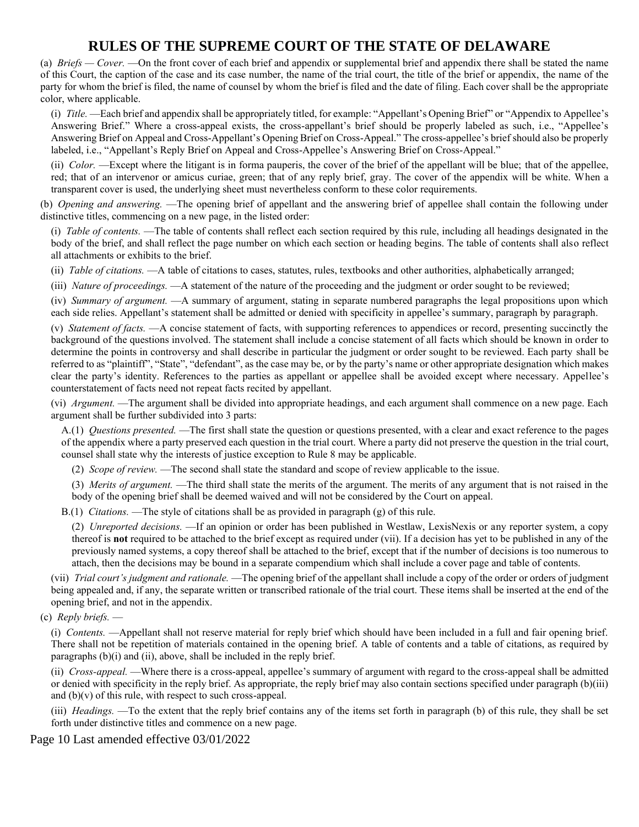(a) *Briefs — Cover.* —On the front cover of each brief and appendix or supplemental brief and appendix there shall be stated the name of this Court, the caption of the case and its case number, the name of the trial court, the title of the brief or appendix, the name of the party for whom the brief is filed, the name of counsel by whom the brief is filed and the date of filing. Each cover shall be the appropriate color, where applicable.

(i) *Title.* —Each brief and appendix shall be appropriately titled, for example: "Appellant's Opening Brief" or "Appendix to Appellee's Answering Brief." Where a cross-appeal exists, the cross-appellant's brief should be properly labeled as such, i.e., "Appellee's Answering Brief on Appeal and Cross-Appellant's Opening Brief on Cross-Appeal." The cross-appellee's brief should also be properly labeled, i.e., "Appellant's Reply Brief on Appeal and Cross-Appellee's Answering Brief on Cross-Appeal."

(ii) *Color.* —Except where the litigant is in forma pauperis, the cover of the brief of the appellant will be blue; that of the appellee, red; that of an intervenor or amicus curiae, green; that of any reply brief, gray. The cover of the appendix will be white. When a transparent cover is used, the underlying sheet must nevertheless conform to these color requirements.

(b) *Opening and answering.* —The opening brief of appellant and the answering brief of appellee shall contain the following under distinctive titles, commencing on a new page, in the listed order:

(i) *Table of contents.* —The table of contents shall reflect each section required by this rule, including all headings designated in the body of the brief, and shall reflect the page number on which each section or heading begins. The table of contents shall also reflect all attachments or exhibits to the brief.

(ii) *Table of citations.* —A table of citations to cases, statutes, rules, textbooks and other authorities, alphabetically arranged;

(iii) *Nature of proceedings.* —A statement of the nature of the proceeding and the judgment or order sought to be reviewed;

(iv) *Summary of argument.* —A summary of argument, stating in separate numbered paragraphs the legal propositions upon which each side relies. Appellant's statement shall be admitted or denied with specificity in appellee's summary, paragraph by paragraph.

(v) *Statement of facts.* —A concise statement of facts, with supporting references to appendices or record, presenting succinctly the background of the questions involved. The statement shall include a concise statement of all facts which should be known in order to determine the points in controversy and shall describe in particular the judgment or order sought to be reviewed. Each party shall be referred to as "plaintiff", "State", "defendant", as the case may be, or by the party's name or other appropriate designation which makes clear the party's identity. References to the parties as appellant or appellee shall be avoided except where necessary. Appellee's counterstatement of facts need not repeat facts recited by appellant.

(vi) *Argument.* —The argument shall be divided into appropriate headings, and each argument shall commence on a new page. Each argument shall be further subdivided into 3 parts:

A.(1) *Questions presented.* —The first shall state the question or questions presented, with a clear and exact reference to the pages of the appendix where a party preserved each question in the trial court. Where a party did not preserve the question in the trial court, counsel shall state why the interests of justice exception to Rule 8 may be applicable.

(2) *Scope of review.* —The second shall state the standard and scope of review applicable to the issue.

(3) *Merits of argument.* —The third shall state the merits of the argument. The merits of any argument that is not raised in the body of the opening brief shall be deemed waived and will not be considered by the Court on appeal.

B.(1) *Citations.* —The style of citations shall be as provided in paragraph (g) of this rule.

(2) *Unreported decisions.* —If an opinion or order has been published in Westlaw, LexisNexis or any reporter system, a copy thereof is **not** required to be attached to the brief except as required under (vii). If a decision has yet to be published in any of the previously named systems, a copy thereof shall be attached to the brief, except that if the number of decisions is too numerous to attach, then the decisions may be bound in a separate compendium which shall include a cover page and table of contents.

(vii) *Trial court's judgment and rationale.* —The opening brief of the appellant shall include a copy of the order or orders of judgment being appealed and, if any, the separate written or transcribed rationale of the trial court. These items shall be inserted at the end of the opening brief, and not in the appendix.

#### (c) *Reply briefs.* —

(i) *Contents.* —Appellant shall not reserve material for reply brief which should have been included in a full and fair opening brief. There shall not be repetition of materials contained in the opening brief. A table of contents and a table of citations, as required by paragraphs (b)(i) and (ii), above, shall be included in the reply brief.

(ii) *Cross-appeal.* —Where there is a cross-appeal, appellee's summary of argument with regard to the cross-appeal shall be admitted or denied with specificity in the reply brief. As appropriate, the reply brief may also contain sections specified under paragraph (b)(iii) and  $(b)(v)$  of this rule, with respect to such cross-appeal.

(iii) *Headings.* —To the extent that the reply brief contains any of the items set forth in paragraph (b) of this rule, they shall be set forth under distinctive titles and commence on a new page.

Page 10 Last amended effective 03/01/2022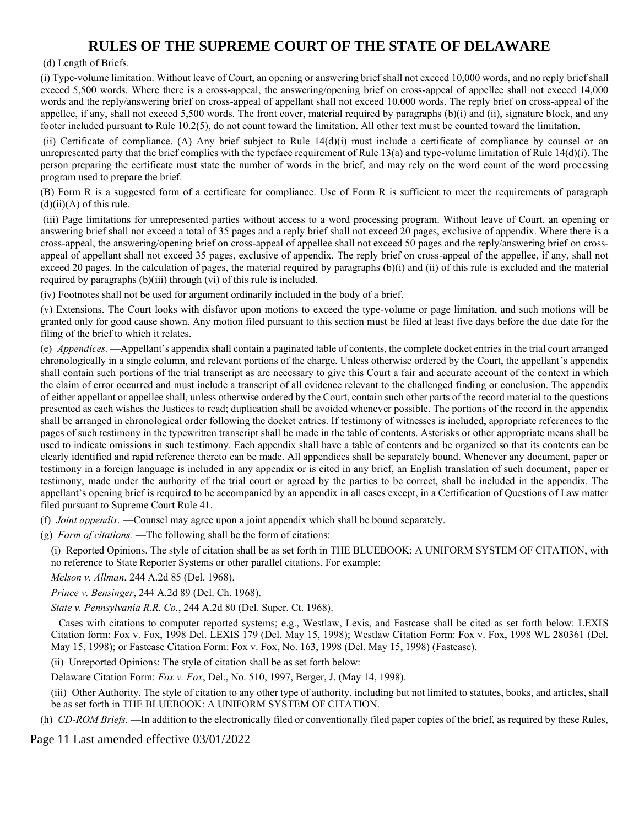(d) Length of Briefs.

(i) Type-volume limitation. Without leave of Court, an opening or answering brief shall not exceed 10,000 words, and no reply brief shall exceed 5,500 words. Where there is a cross-appeal, the answering/opening brief on cross-appeal of appellee shall not exceed 14,000 words and the reply/answering brief on cross-appeal of appellant shall not exceed 10,000 words. The reply brief on cross-appeal of the appellee, if any, shall not exceed 5,500 words. The front cover, material required by paragraphs (b)(i) and (ii), signature block, and any footer included pursuant to Rule 10.2(5), do not count toward the limitation. All other text must be counted toward the limitation.

(ii) Certificate of compliance. (A) Any brief subject to Rule 14(d)(i) must include a certificate of compliance by counsel or an unrepresented party that the brief complies with the typeface requirement of Rule 13(a) and type-volume limitation of Rule 14(d)(i). The person preparing the certificate must state the number of words in the brief, and may rely on the word count of the word processing program used to prepare the brief.

(B) Form R is a suggested form of a certificate for compliance. Use of Form R is sufficient to meet the requirements of paragraph  $(d)(ii)(A)$  of this rule.

(iii) Page limitations for unrepresented parties without access to a word processing program. Without leave of Court, an opening or answering brief shall not exceed a total of 35 pages and a reply brief shall not exceed 20 pages, exclusive of appendix. Where there is a cross-appeal, the answering/opening brief on cross-appeal of appellee shall not exceed 50 pages and the reply/answering brief on crossappeal of appellant shall not exceed 35 pages, exclusive of appendix. The reply brief on cross-appeal of the appellee, if any, shall not exceed 20 pages. In the calculation of pages, the material required by paragraphs  $(b)(i)$  and  $(ii)$  of this rule is excluded and the material required by paragraphs (b)(iii) through (vi) of this rule is included.

(iv) Footnotes shall not be used for argument ordinarily included in the body of a brief.

(v) Extensions. The Court looks with disfavor upon motions to exceed the type-volume or page limitation, and such motions will be granted only for good cause shown. Any motion filed pursuant to this section must be filed at least five days before the due date for the filing of the brief to which it relates.

(e) *Appendices.* —Appellant's appendix shall contain a paginated table of contents, the complete docket entries in the trial court arranged chronologically in a single column, and relevant portions of the charge. Unless otherwise ordered by the Court, the appellant's appendix shall contain such portions of the trial transcript as are necessary to give this Court a fair and accurate account of the context in which the claim of error occurred and must include a transcript of all evidence relevant to the challenged finding or conclusion. The appendix of either appellant or appellee shall, unless otherwise ordered by the Court, contain such other parts of the record material to the questions presented as each wishes the Justices to read; duplication shall be avoided whenever possible. The portions of the record in the appendix shall be arranged in chronological order following the docket entries. If testimony of witnesses is included, appropriate references to the pages of such testimony in the typewritten transcript shall be made in the table of contents. Asterisks or other appropriate means shall be used to indicate omissions in such testimony. Each appendix shall have a table of contents and be organized so that its contents can be clearly identified and rapid reference thereto can be made. All appendices shall be separately bound. Whenever any document, paper or testimony in a foreign language is included in any appendix or is cited in any brief, an English translation of such document, paper or testimony, made under the authority of the trial court or agreed by the parties to be correct, shall be included in the appendix. The appellant's opening brief is required to be accompanied by an appendix in all cases except, in a Certification of Questions of Law matter filed pursuant to Supreme Court Rule 41.

(f) *Joint appendix.* —Counsel may agree upon a joint appendix which shall be bound separately.

(g) *Form of citations.* —The following shall be the form of citations:

(i) Reported Opinions. The style of citation shall be as set forth in THE BLUEBOOK: A UNIFORM SYSTEM OF CITATION, with no reference to State Reporter Systems or other parallel citations. For example:

*Melson v. Allman*, 244 A.2d 85 (Del. 1968).

*Prince v. Bensinger*, 244 A.2d 89 (Del. Ch. 1968).

*State v. Pennsylvania R.R. Co.*, 244 A.2d 80 (Del. Super. Ct. 1968).

 Cases with citations to computer reported systems; e.g., Westlaw, Lexis, and Fastcase shall be cited as set forth below: LEXIS Citation form: Fox v. Fox, 1998 Del. LEXIS 179 (Del. May 15, 1998); Westlaw Citation Form: Fox v. Fox, 1998 WL 280361 (Del. May 15, 1998); or Fastcase Citation Form: Fox v. Fox, No. 163, 1998 (Del. May 15, 1998) (Fastcase).

(ii) Unreported Opinions: The style of citation shall be as set forth below:

Delaware Citation Form: *Fox v. Fox*, Del., No. 510, 1997, Berger, J. (May 14, 1998).

(iii) Other Authority. The style of citation to any other type of authority, including but not limited to statutes, books, and articles, shall be as set forth in THE BLUEBOOK: A UNIFORM SYSTEM OF CITATION.

(h) *CD-ROM Briefs.* —In addition to the electronically filed or conventionally filed paper copies of the brief, as required by these Rules,

Page 11 Last amended effective 03/01/2022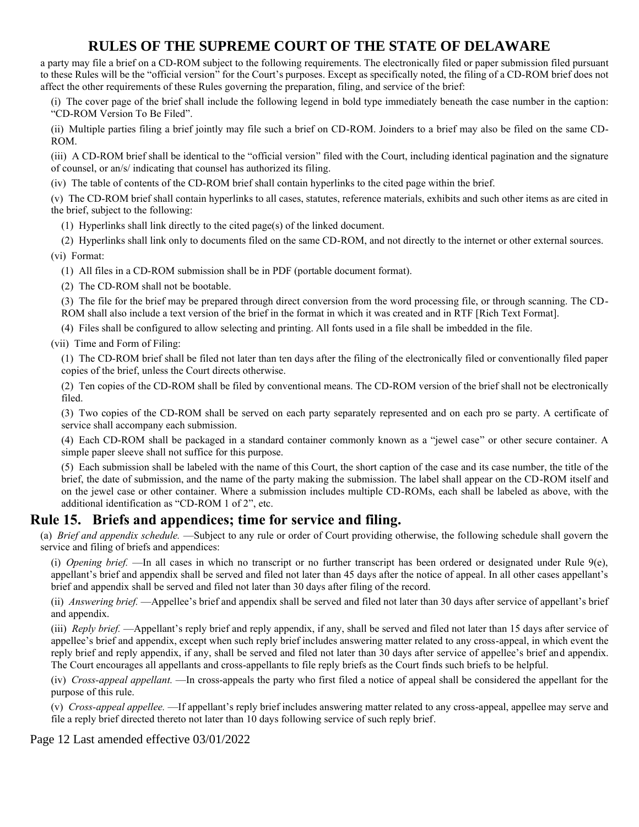a party may file a brief on a CD-ROM subject to the following requirements. The electronically filed or paper submission filed pursuant to these Rules will be the "official version" for the Court's purposes. Except as specifically noted, the filing of a CD-ROM brief does not affect the other requirements of these Rules governing the preparation, filing, and service of the brief:

(i) The cover page of the brief shall include the following legend in bold type immediately beneath the case number in the caption: "CD-ROM Version To Be Filed".

(ii) Multiple parties filing a brief jointly may file such a brief on CD-ROM. Joinders to a brief may also be filed on the same CD-ROM.

(iii) A CD-ROM brief shall be identical to the "official version" filed with the Court, including identical pagination and the signature of counsel, or an/s/ indicating that counsel has authorized its filing.

(iv) The table of contents of the CD-ROM brief shall contain hyperlinks to the cited page within the brief.

(v) The CD-ROM brief shall contain hyperlinks to all cases, statutes, reference materials, exhibits and such other items as are cited in the brief, subject to the following:

(1) Hyperlinks shall link directly to the cited page(s) of the linked document.

(2) Hyperlinks shall link only to documents filed on the same CD-ROM, and not directly to the internet or other external sources. (vi) Format:

(1) All files in a CD-ROM submission shall be in PDF (portable document format).

(2) The CD-ROM shall not be bootable.

(3) The file for the brief may be prepared through direct conversion from the word processing file, or through scanning. The CD-ROM shall also include a text version of the brief in the format in which it was created and in RTF [Rich Text Format].

(4) Files shall be configured to allow selecting and printing. All fonts used in a file shall be imbedded in the file.

(vii) Time and Form of Filing:

(1) The CD-ROM brief shall be filed not later than ten days after the filing of the electronically filed or conventionally filed paper copies of the brief, unless the Court directs otherwise.

(2) Ten copies of the CD-ROM shall be filed by conventional means. The CD-ROM version of the brief shall not be electronically filed.

(3) Two copies of the CD-ROM shall be served on each party separately represented and on each pro se party. A certificate of service shall accompany each submission.

(4) Each CD-ROM shall be packaged in a standard container commonly known as a "jewel case" or other secure container. A simple paper sleeve shall not suffice for this purpose.

(5) Each submission shall be labeled with the name of this Court, the short caption of the case and its case number, the title of the brief, the date of submission, and the name of the party making the submission. The label shall appear on the CD-ROM itself and on the jewel case or other container. Where a submission includes multiple CD-ROMs, each shall be labeled as above, with the additional identification as "CD-ROM 1 of 2", etc.

### **Rule 15. Briefs and appendices; time for service and filing.**

(a) *Brief and appendix schedule.* —Subject to any rule or order of Court providing otherwise, the following schedule shall govern the service and filing of briefs and appendices:

(i) *Opening brief.* —In all cases in which no transcript or no further transcript has been ordered or designated under Rule 9(e), appellant's brief and appendix shall be served and filed not later than 45 days after the notice of appeal. In all other cases appellant's brief and appendix shall be served and filed not later than 30 days after filing of the record.

(ii) *Answering brief.* —Appellee's brief and appendix shall be served and filed not later than 30 days after service of appellant's brief and appendix.

(iii) *Reply brief.* —Appellant's reply brief and reply appendix, if any, shall be served and filed not later than 15 days after service of appellee's brief and appendix, except when such reply brief includes answering matter related to any cross-appeal, in which event the reply brief and reply appendix, if any, shall be served and filed not later than 30 days after service of appellee's brief and appendix. The Court encourages all appellants and cross-appellants to file reply briefs as the Court finds such briefs to be helpful.

(iv) *Cross-appeal appellant.* —In cross-appeals the party who first filed a notice of appeal shall be considered the appellant for the purpose of this rule.

(v) *Cross-appeal appellee.* —If appellant's reply brief includes answering matter related to any cross-appeal, appellee may serve and file a reply brief directed thereto not later than 10 days following service of such reply brief.

Page 12 Last amended effective 03/01/2022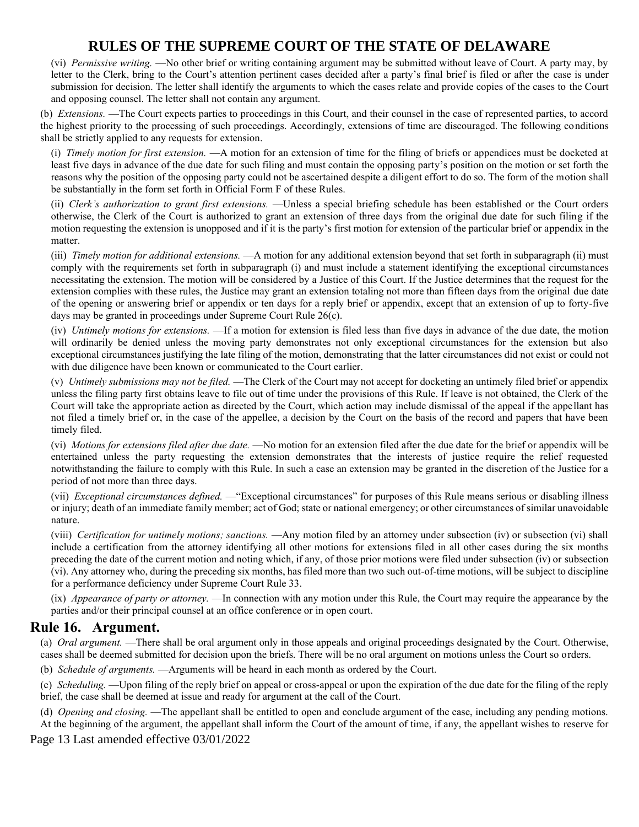(vi) *Permissive writing.* —No other brief or writing containing argument may be submitted without leave of Court. A party may, by letter to the Clerk, bring to the Court's attention pertinent cases decided after a party's final brief is filed or after the case is under submission for decision. The letter shall identify the arguments to which the cases relate and provide copies of the cases to the Court and opposing counsel. The letter shall not contain any argument.

(b) *Extensions.* —The Court expects parties to proceedings in this Court, and their counsel in the case of represented parties, to accord the highest priority to the processing of such proceedings. Accordingly, extensions of time are discouraged. The following conditions shall be strictly applied to any requests for extension.

(i) *Timely motion for first extension.* —A motion for an extension of time for the filing of briefs or appendices must be docketed at least five days in advance of the due date for such filing and must contain the opposing party's position on the motion or set forth the reasons why the position of the opposing party could not be ascertained despite a diligent effort to do so. The form of the motion shall be substantially in the form set forth in Official Form F of these Rules.

(ii) *Clerk's authorization to grant first extensions.* —Unless a special briefing schedule has been established or the Court orders otherwise, the Clerk of the Court is authorized to grant an extension of three days from the original due date for such filing if the motion requesting the extension is unopposed and if it is the party's first motion for extension of the particular brief or appendix in the matter.

(iii) *Timely motion for additional extensions.* —A motion for any additional extension beyond that set forth in subparagraph (ii) must comply with the requirements set forth in subparagraph (i) and must include a statement identifying the exceptional circumstances necessitating the extension. The motion will be considered by a Justice of this Court. If the Justice determines that the request for the extension complies with these rules, the Justice may grant an extension totaling not more than fifteen days from the original due date of the opening or answering brief or appendix or ten days for a reply brief or appendix, except that an extension of up to forty-five days may be granted in proceedings under Supreme Court Rule 26(c).

(iv) *Untimely motions for extensions.* —If a motion for extension is filed less than five days in advance of the due date, the motion will ordinarily be denied unless the moving party demonstrates not only exceptional circumstances for the extension but also exceptional circumstances justifying the late filing of the motion, demonstrating that the latter circumstances did not exist or could not with due diligence have been known or communicated to the Court earlier.

(v) *Untimely submissions may not be filed.* —The Clerk of the Court may not accept for docketing an untimely filed brief or appendix unless the filing party first obtains leave to file out of time under the provisions of this Rule. If leave is not obtained, the Clerk of the Court will take the appropriate action as directed by the Court, which action may include dismissal of the appeal if the appellant has not filed a timely brief or, in the case of the appellee, a decision by the Court on the basis of the record and papers that have been timely filed.

(vi) *Motions for extensions filed after due date.* —No motion for an extension filed after the due date for the brief or appendix will be entertained unless the party requesting the extension demonstrates that the interests of justice require the relief requested notwithstanding the failure to comply with this Rule. In such a case an extension may be granted in the discretion of the Justice for a period of not more than three days.

(vii) *Exceptional circumstances defined.* —"Exceptional circumstances" for purposes of this Rule means serious or disabling illness or injury; death of an immediate family member; act of God; state or national emergency; or other circumstances of similar unavoidable nature.

(viii) *Certification for untimely motions; sanctions.* —Any motion filed by an attorney under subsection (iv) or subsection (vi) shall include a certification from the attorney identifying all other motions for extensions filed in all other cases during the six months preceding the date of the current motion and noting which, if any, of those prior motions were filed under subsection (iv) or subsection (vi). Any attorney who, during the preceding six months, has filed more than two such out-of-time motions, will be subject to discipline for a performance deficiency under Supreme Court Rule 33.

(ix) *Appearance of party or attorney.* —In connection with any motion under this Rule, the Court may require the appearance by the parties and/or their principal counsel at an office conference or in open court.

## **Rule 16. Argument.**

(a) *Oral argument.* —There shall be oral argument only in those appeals and original proceedings designated by the Court. Otherwise, cases shall be deemed submitted for decision upon the briefs. There will be no oral argument on motions unless the Court so orders.

(b) *Schedule of arguments.* —Arguments will be heard in each month as ordered by the Court.

(c) *Scheduling.* —Upon filing of the reply brief on appeal or cross-appeal or upon the expiration of the due date for the filing of the reply brief, the case shall be deemed at issue and ready for argument at the call of the Court.

(d) *Opening and closing.* —The appellant shall be entitled to open and conclude argument of the case, including any pending motions. At the beginning of the argument, the appellant shall inform the Court of the amount of time, if any, the appellant wishes to reserve for

Page 13 Last amended effective 03/01/2022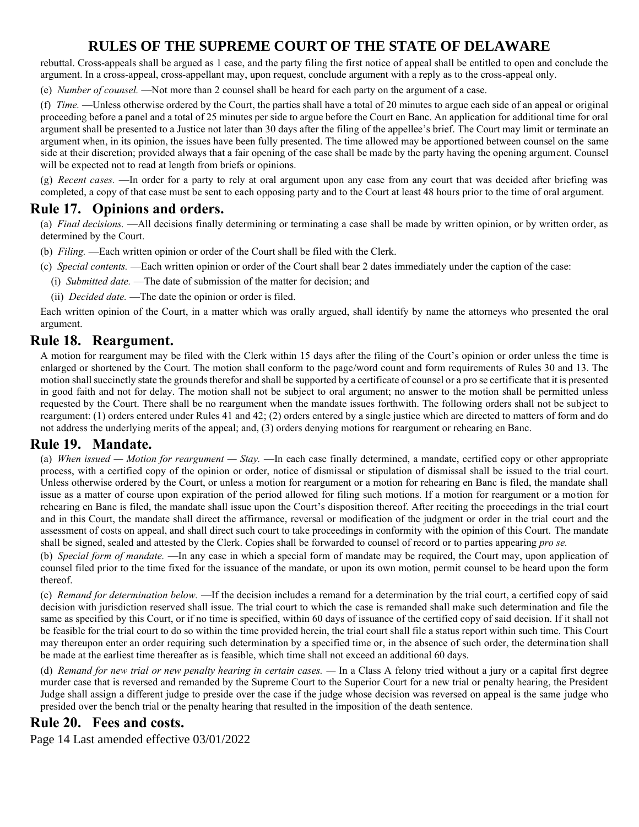rebuttal. Cross-appeals shall be argued as 1 case, and the party filing the first notice of appeal shall be entitled to open and conclude the argument. In a cross-appeal, cross-appellant may, upon request, conclude argument with a reply as to the cross-appeal only.

(e) *Number of counsel.* —Not more than 2 counsel shall be heard for each party on the argument of a case.

(f) *Time.* —Unless otherwise ordered by the Court, the parties shall have a total of 20 minutes to argue each side of an appeal or original proceeding before a panel and a total of 25 minutes per side to argue before the Court en Banc. An application for additional time for oral argument shall be presented to a Justice not later than 30 days after the filing of the appellee's brief. The Court may limit or terminate an argument when, in its opinion, the issues have been fully presented. The time allowed may be apportioned between counsel on the same side at their discretion; provided always that a fair opening of the case shall be made by the party having the opening argument. Counsel will be expected not to read at length from briefs or opinions.

(g) *Recent cases.* —In order for a party to rely at oral argument upon any case from any court that was decided after briefing was completed, a copy of that case must be sent to each opposing party and to the Court at least 48 hours prior to the time of oral argument.

## **Rule 17. Opinions and orders.**

(a) *Final decisions.* —All decisions finally determining or terminating a case shall be made by written opinion, or by written order, as determined by the Court.

- (b) *Filing.* —Each written opinion or order of the Court shall be filed with the Clerk.
- (c) *Special contents.* —Each written opinion or order of the Court shall bear 2 dates immediately under the caption of the case:
	- (i) *Submitted date.* —The date of submission of the matter for decision; and
	- (ii) *Decided date.* —The date the opinion or order is filed.

Each written opinion of the Court, in a matter which was orally argued, shall identify by name the attorneys who presented the oral argument.

### **Rule 18. Reargument.**

A motion for reargument may be filed with the Clerk within 15 days after the filing of the Court's opinion or order unless the time is enlarged or shortened by the Court. The motion shall conform to the page/word count and form requirements of Rules 30 and 13. The motion shall succinctly state the grounds therefor and shall be supported by a certificate of counsel or a pro se certificate that it is presented in good faith and not for delay. The motion shall not be subject to oral argument; no answer to the motion shall be permitted unless requested by the Court. There shall be no reargument when the mandate issues forthwith. The following orders shall not be subject to reargument: (1) orders entered under Rules 41 and 42; (2) orders entered by a single justice which are directed to matters of form and do not address the underlying merits of the appeal; and, (3) orders denying motions for reargument or rehearing en Banc.

### **Rule 19. Mandate.**

(a) *When issued — Motion for reargument — Stay.* —In each case finally determined, a mandate, certified copy or other appropriate process, with a certified copy of the opinion or order, notice of dismissal or stipulation of dismissal shall be issued to the trial court. Unless otherwise ordered by the Court, or unless a motion for reargument or a motion for rehearing en Banc is filed, the mandate shall issue as a matter of course upon expiration of the period allowed for filing such motions. If a motion for reargument or a motion for rehearing en Banc is filed, the mandate shall issue upon the Court's disposition thereof. After reciting the proceedings in the trial court and in this Court, the mandate shall direct the affirmance, reversal or modification of the judgment or order in the trial court and the assessment of costs on appeal, and shall direct such court to take proceedings in conformity with the opinion of this Court. The mandate shall be signed, sealed and attested by the Clerk. Copies shall be forwarded to counsel of record or to parties appearing *pro se.*

(b) *Special form of mandate.* —In any case in which a special form of mandate may be required, the Court may, upon application of counsel filed prior to the time fixed for the issuance of the mandate, or upon its own motion, permit counsel to be heard upon the form thereof.

(c) *Remand for determination below.* —If the decision includes a remand for a determination by the trial court, a certified copy of said decision with jurisdiction reserved shall issue. The trial court to which the case is remanded shall make such determination and file the same as specified by this Court, or if no time is specified, within 60 days of issuance of the certified copy of said decision. If it shall not be feasible for the trial court to do so within the time provided herein, the trial court shall file a status report within such time. This Court may thereupon enter an order requiring such determination by a specified time or, in the absence of such order, the determination shall be made at the earliest time thereafter as is feasible, which time shall not exceed an additional 60 days.

(d) *Remand for new trial or new penalty hearing in certain cases. — In a Class A felony tried without a jury or a capital first degree* murder case that is reversed and remanded by the Supreme Court to the Superior Court for a new trial or penalty hearing, the President Judge shall assign a different judge to preside over the case if the judge whose decision was reversed on appeal is the same judge who presided over the bench trial or the penalty hearing that resulted in the imposition of the death sentence.

## **Rule 20. Fees and costs.**

Page 14 Last amended effective 03/01/2022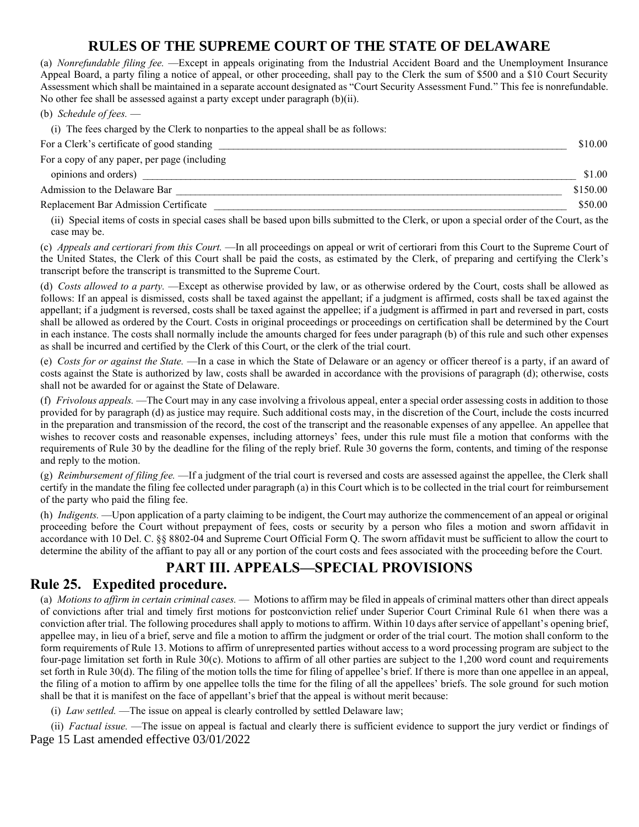(a) *Nonrefundable filing fee.* —Except in appeals originating from the Industrial Accident Board and the Unemployment Insurance Appeal Board, a party filing a notice of appeal, or other proceeding, shall pay to the Clerk the sum of \$500 and a \$10 Court Security Assessment which shall be maintained in a separate account designated as "Court Security Assessment Fund." This fee is nonrefundable. No other fee shall be assessed against a party except under paragraph (b)(ii).

(b) *Schedule of fees.* —

(i) The fees charged by the Clerk to nonparties to the appeal shall be as follows:

| For a Clerk's certificate of good standing   | \$10.00  |
|----------------------------------------------|----------|
| For a copy of any paper, per page (including |          |
| opinions and orders)                         | \$1.00   |
| Admission to the Delaware Bar                | \$150.00 |
| Replacement Bar Admission Certificate        | \$50.00  |

(ii) Special items of costs in special cases shall be based upon bills submitted to the Clerk, or upon a special order of the Court, as the case may be.

(c) *Appeals and certiorari from this Court.* —In all proceedings on appeal or writ of certiorari from this Court to the Supreme Court of the United States, the Clerk of this Court shall be paid the costs, as estimated by the Clerk, of preparing and certifying the Clerk's transcript before the transcript is transmitted to the Supreme Court.

(d) *Costs allowed to a party.* —Except as otherwise provided by law, or as otherwise ordered by the Court, costs shall be allowed as follows: If an appeal is dismissed, costs shall be taxed against the appellant; if a judgment is affirmed, costs shall be taxed against the appellant; if a judgment is reversed, costs shall be taxed against the appellee; if a judgment is affirmed in part and reversed in part, costs shall be allowed as ordered by the Court. Costs in original proceedings or proceedings on certification shall be determined by the Court in each instance. The costs shall normally include the amounts charged for fees under paragraph (b) of this rule and such other expenses as shall be incurred and certified by the Clerk of this Court, or the clerk of the trial court.

(e) *Costs for or against the State.* —In a case in which the State of Delaware or an agency or officer thereof is a party, if an award of costs against the State is authorized by law, costs shall be awarded in accordance with the provisions of paragraph (d); otherwise, costs shall not be awarded for or against the State of Delaware.

(f) *Frivolous appeals.* —The Court may in any case involving a frivolous appeal, enter a special order assessing costs in addition to those provided for by paragraph (d) as justice may require. Such additional costs may, in the discretion of the Court, include the costs incurred in the preparation and transmission of the record, the cost of the transcript and the reasonable expenses of any appellee. An appellee that wishes to recover costs and reasonable expenses, including attorneys' fees, under this rule must file a motion that conforms with the requirements of Rule 30 by the deadline for the filing of the reply brief. Rule 30 governs the form, contents, and timing of the response and reply to the motion.

(g) *Reimbursement of filing fee.* —If a judgment of the trial court is reversed and costs are assessed against the appellee, the Clerk shall certify in the mandate the filing fee collected under paragraph (a) in this Court which is to be collected in the trial court for reimbursement of the party who paid the filing fee.

(h) *Indigents.* —Upon application of a party claiming to be indigent, the Court may authorize the commencement of an appeal or original proceeding before the Court without prepayment of fees, costs or security by a person who files a motion and sworn affidavit in accordance with 10 Del. C. §§ 8802-04 and Supreme Court Official Form Q. The sworn affidavit must be sufficient to allow the court to determine the ability of the affiant to pay all or any portion of the court costs and fees associated with the proceeding before the Court.

## **PART III. APPEALS—SPECIAL PROVISIONS**

### **Rule 25. Expedited procedure.**

(a) *Motions to affirm in certain criminal cases.* — Motions to affirm may be filed in appeals of criminal matters other than direct appeals of convictions after trial and timely first motions for postconviction relief under Superior Court Criminal Rule 61 when there was a conviction after trial. The following procedures shall apply to motions to affirm. Within 10 days after service of appellant's opening brief, appellee may, in lieu of a brief, serve and file a motion to affirm the judgment or order of the trial court. The motion shall conform to the form requirements of Rule 13. Motions to affirm of unrepresented parties without access to a word processing program are subject to the four-page limitation set forth in Rule 30(c). Motions to affirm of all other parties are subject to the 1,200 word count and requirements set forth in Rule 30(d). The filing of the motion tolls the time for filing of appellee's brief. If there is more than one appellee in an appeal, the filing of a motion to affirm by one appellee tolls the time for the filing of all the appellees' briefs. The sole ground for such motion shall be that it is manifest on the face of appellant's brief that the appeal is without merit because:

(i) *Law settled.* —The issue on appeal is clearly controlled by settled Delaware law;

Page 15 Last amended effective 03/01/2022 (ii) *Factual issue.* —The issue on appeal is factual and clearly there is sufficient evidence to support the jury verdict or findings of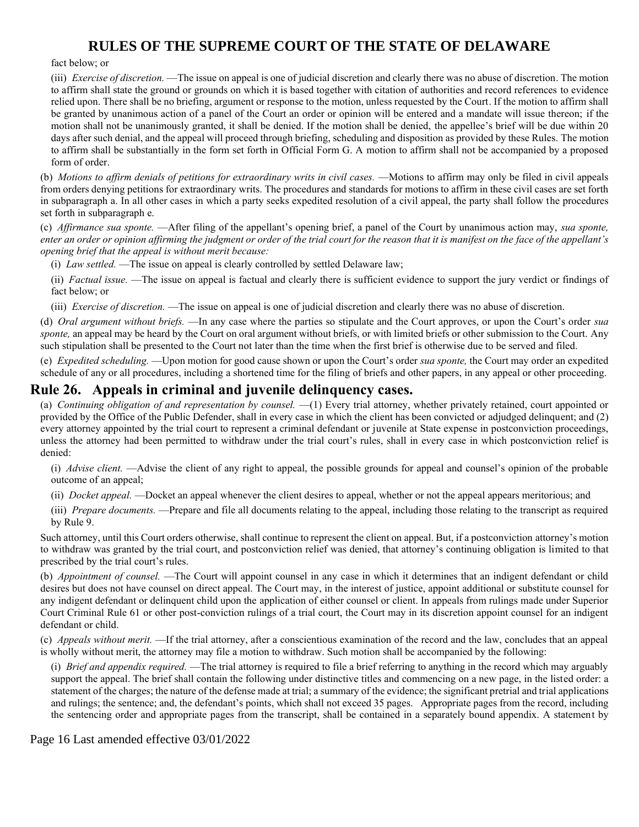fact below; or

(iii) *Exercise of discretion.* —The issue on appeal is one of judicial discretion and clearly there was no abuse of discretion. The motion to affirm shall state the ground or grounds on which it is based together with citation of authorities and record references to evidence relied upon. There shall be no briefing, argument or response to the motion, unless requested by the Court. If the motion to affirm shall be granted by unanimous action of a panel of the Court an order or opinion will be entered and a mandate will issue thereon; if the motion shall not be unanimously granted, it shall be denied. If the motion shall be denied, the appellee's brief will be due within 20 days after such denial, and the appeal will proceed through briefing, scheduling and disposition as provided by these Rules. The motion to affirm shall be substantially in the form set forth in Official Form G. A motion to affirm shall not be accompanied by a proposed form of order.

(b) *Motions to affirm denials of petitions for extraordinary writs in civil cases.* —Motions to affirm may only be filed in civil appeals from orders denying petitions for extraordinary writs. The procedures and standards for motions to affirm in these civil cases are set forth in subparagraph a. In all other cases in which a party seeks expedited resolution of a civil appeal, the party shall follow the procedures set forth in subparagraph e.

(c) *Affirmance sua sponte.* —After filing of the appellant's opening brief, a panel of the Court by unanimous action may, *sua sponte, enter an order or opinion affirming the judgment or order of the trial court for the reason that it is manifest on the face of the appellant's opening brief that the appeal is without merit because:*

(i) *Law settled.* —The issue on appeal is clearly controlled by settled Delaware law;

(ii) *Factual issue.* —The issue on appeal is factual and clearly there is sufficient evidence to support the jury verdict or findings of fact below; or

(iii) *Exercise of discretion.* —The issue on appeal is one of judicial discretion and clearly there was no abuse of discretion.

(d) *Oral argument without briefs.* —In any case where the parties so stipulate and the Court approves, or upon the Court's order *sua*  sponte, an appeal may be heard by the Court on oral argument without briefs, or with limited briefs or other submission to the Court. Any such stipulation shall be presented to the Court not later than the time when the first brief is otherwise due to be served and filed.

(e) *Expedited scheduling.* —Upon motion for good cause shown or upon the Court's order *sua sponte,* the Court may order an expedited schedule of any or all procedures, including a shortened time for the filing of briefs and other papers, in any appeal or other proceeding.

### **Rule 26. Appeals in criminal and juvenile delinquency cases.**

(a) *Continuing obligation of and representation by counsel.* —(1) Every trial attorney, whether privately retained, court appointed or provided by the Office of the Public Defender, shall in every case in which the client has been convicted or adjudged delinquent; and (2) every attorney appointed by the trial court to represent a criminal defendant or juvenile at State expense in postconviction proceedings, unless the attorney had been permitted to withdraw under the trial court's rules, shall in every case in which postconviction relief is denied:

(i) *Advise client.* —Advise the client of any right to appeal, the possible grounds for appeal and counsel's opinion of the probable outcome of an appeal;

(ii) *Docket appeal.* —Docket an appeal whenever the client desires to appeal, whether or not the appeal appears meritorious; and

(iii) *Prepare documents.* —Prepare and file all documents relating to the appeal, including those relating to the transcript as required by Rule 9.

Such attorney, until this Court orders otherwise, shall continue to represent the client on appeal. But, if a postconviction attorney's motion to withdraw was granted by the trial court, and postconviction relief was denied, that attorney's continuing obligation is limited to that prescribed by the trial court's rules.

(b) *Appointment of counsel.* —The Court will appoint counsel in any case in which it determines that an indigent defendant or child desires but does not have counsel on direct appeal. The Court may, in the interest of justice, appoint additional or substitute counsel for any indigent defendant or delinquent child upon the application of either counsel or client. In appeals from rulings made under Superior Court Criminal Rule 61 or other post-conviction rulings of a trial court, the Court may in its discretion appoint counsel for an indigent defendant or child.

(c) *Appeals without merit.* —If the trial attorney, after a conscientious examination of the record and the law, concludes that an appeal is wholly without merit, the attorney may file a motion to withdraw. Such motion shall be accompanied by the following:

(i) *Brief and appendix required.* —The trial attorney is required to file a brief referring to anything in the record which may arguably support the appeal. The brief shall contain the following under distinctive titles and commencing on a new page, in the listed order: a statement of the charges; the nature of the defense made at trial; a summary of the evidence; the significant pretrial and trial applications and rulings; the sentence; and, the defendant's points, which shall not exceed 35 pages. Appropriate pages from the record, including the sentencing order and appropriate pages from the transcript, shall be contained in a separately bound appendix. A statement by

Page 16 Last amended effective 03/01/2022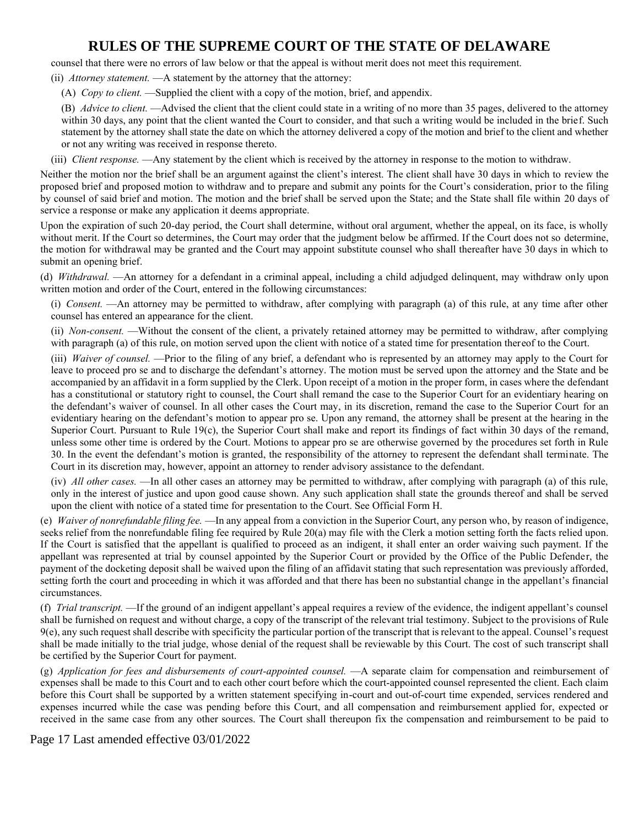counsel that there were no errors of law below or that the appeal is without merit does not meet this requirement.

(ii) *Attorney statement.* —A statement by the attorney that the attorney:

(A) *Copy to client.* —Supplied the client with a copy of the motion, brief, and appendix.

(B) *Advice to client.* —Advised the client that the client could state in a writing of no more than 35 pages, delivered to the attorney within 30 days, any point that the client wanted the Court to consider, and that such a writing would be included in the brief. Such statement by the attorney shall state the date on which the attorney delivered a copy of the motion and brief to the client and whether or not any writing was received in response thereto.

(iii) *Client response.* —Any statement by the client which is received by the attorney in response to the motion to withdraw.

Neither the motion nor the brief shall be an argument against the client's interest. The client shall have 30 days in which to review the proposed brief and proposed motion to withdraw and to prepare and submit any points for the Court's consideration, prior to the filing by counsel of said brief and motion. The motion and the brief shall be served upon the State; and the State shall file within 20 days of service a response or make any application it deems appropriate.

Upon the expiration of such 20-day period, the Court shall determine, without oral argument, whether the appeal, on its face, is wholly without merit. If the Court so determines, the Court may order that the judgment below be affirmed. If the Court does not so determine, the motion for withdrawal may be granted and the Court may appoint substitute counsel who shall thereafter have 30 days in which to submit an opening brief.

(d) *Withdrawal.* —An attorney for a defendant in a criminal appeal, including a child adjudged delinquent, may withdraw only upon written motion and order of the Court, entered in the following circumstances:

(i) *Consent.* —An attorney may be permitted to withdraw, after complying with paragraph (a) of this rule, at any time after other counsel has entered an appearance for the client.

(ii) *Non-consent.* —Without the consent of the client, a privately retained attorney may be permitted to withdraw, after complying with paragraph (a) of this rule, on motion served upon the client with notice of a stated time for presentation thereof to the Court.

(iii) *Waiver of counsel.* —Prior to the filing of any brief, a defendant who is represented by an attorney may apply to the Court for leave to proceed pro se and to discharge the defendant's attorney. The motion must be served upon the attorney and the State and be accompanied by an affidavit in a form supplied by the Clerk. Upon receipt of a motion in the proper form, in cases where the defendant has a constitutional or statutory right to counsel, the Court shall remand the case to the Superior Court for an evidentiary hearing on the defendant's waiver of counsel. In all other cases the Court may, in its discretion, remand the case to the Superior Court for an evidentiary hearing on the defendant's motion to appear pro se. Upon any remand, the attorney shall be present at the hearing in the Superior Court. Pursuant to Rule 19(c), the Superior Court shall make and report its findings of fact within 30 days of the remand, unless some other time is ordered by the Court. Motions to appear pro se are otherwise governed by the procedures set forth in Rule 30. In the event the defendant's motion is granted, the responsibility of the attorney to represent the defendant shall terminate. The Court in its discretion may, however, appoint an attorney to render advisory assistance to the defendant.

(iv) *All other cases.* —In all other cases an attorney may be permitted to withdraw, after complying with paragraph (a) of this rule, only in the interest of justice and upon good cause shown. Any such application shall state the grounds thereof and shall be served upon the client with notice of a stated time for presentation to the Court. See Official Form H.

(e) *Waiver of nonrefundable filing fee.* —In any appeal from a conviction in the Superior Court, any person who, by reason of indigence, seeks relief from the nonrefundable filing fee required by Rule 20(a) may file with the Clerk a motion setting forth the facts relied upon. If the Court is satisfied that the appellant is qualified to proceed as an indigent, it shall enter an order waiving such payment. If the appellant was represented at trial by counsel appointed by the Superior Court or provided by the Office of the Public Defender, the payment of the docketing deposit shall be waived upon the filing of an affidavit stating that such representation was previously afforded, setting forth the court and proceeding in which it was afforded and that there has been no substantial change in the appellant's financial circumstances.

(f) *Trial transcript.* —If the ground of an indigent appellant's appeal requires a review of the evidence, the indigent appellant's counsel shall be furnished on request and without charge, a copy of the transcript of the relevant trial testimony. Subject to the provisions of Rule 9(e), any such request shall describe with specificity the particular portion of the transcript that is relevant to the appeal. Counsel's request shall be made initially to the trial judge, whose denial of the request shall be reviewable by this Court. The cost of such transcript shall be certified by the Superior Court for payment.

(g) *Application for fees and disbursements of court-appointed counsel.* —A separate claim for compensation and reimbursement of expenses shall be made to this Court and to each other court before which the court-appointed counsel represented the client. Each claim before this Court shall be supported by a written statement specifying in-court and out-of-court time expended, services rendered and expenses incurred while the case was pending before this Court, and all compensation and reimbursement applied for, expected or received in the same case from any other sources. The Court shall thereupon fix the compensation and reimbursement to be paid to

Page 17 Last amended effective 03/01/2022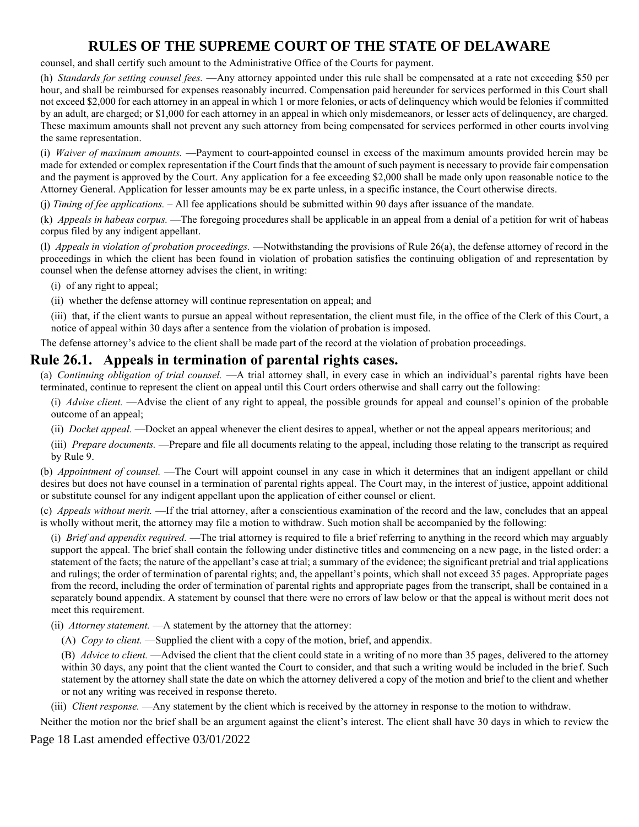counsel, and shall certify such amount to the Administrative Office of the Courts for payment.

(h) *Standards for setting counsel fees.* —Any attorney appointed under this rule shall be compensated at a rate not exceeding \$50 per hour, and shall be reimbursed for expenses reasonably incurred. Compensation paid hereunder for services performed in this Court shall not exceed \$2,000 for each attorney in an appeal in which 1 or more felonies, or acts of delinquency which would be felonies if committed by an adult, are charged; or \$1,000 for each attorney in an appeal in which only misdemeanors, or lesser acts of delinquency, are charged. These maximum amounts shall not prevent any such attorney from being compensated for services performed in other courts involving the same representation.

(i) *Waiver of maximum amounts.* —Payment to court-appointed counsel in excess of the maximum amounts provided herein may be made for extended or complex representation if the Court finds that the amount of such payment is necessary to provide fair compensation and the payment is approved by the Court. Any application for a fee exceeding \$2,000 shall be made only upon reasonable notice to the Attorney General. Application for lesser amounts may be ex parte unless, in a specific instance, the Court otherwise directs.

(j) *Timing of fee applications.* – All fee applications should be submitted within 90 days after issuance of the mandate.

(k) *Appeals in habeas corpus.* —The foregoing procedures shall be applicable in an appeal from a denial of a petition for writ of habeas corpus filed by any indigent appellant.

(l) *Appeals in violation of probation proceedings.* —Notwithstanding the provisions of Rule 26(a), the defense attorney of record in the proceedings in which the client has been found in violation of probation satisfies the continuing obligation of and representation by counsel when the defense attorney advises the client, in writing:

(i) of any right to appeal;

(ii) whether the defense attorney will continue representation on appeal; and

(iii) that, if the client wants to pursue an appeal without representation, the client must file, in the office of the Clerk of this Court, a notice of appeal within 30 days after a sentence from the violation of probation is imposed.

The defense attorney's advice to the client shall be made part of the record at the violation of probation proceedings.

### **Rule 26.1. Appeals in termination of parental rights cases.**

(a) *Continuing obligation of trial counsel.* —A trial attorney shall, in every case in which an individual's parental rights have been terminated, continue to represent the client on appeal until this Court orders otherwise and shall carry out the following:

(i) *Advise client.* —Advise the client of any right to appeal, the possible grounds for appeal and counsel's opinion of the probable outcome of an appeal;

- (ii) *Docket appeal.* —Docket an appeal whenever the client desires to appeal, whether or not the appeal appears meritorious; and
- (iii) *Prepare documents.* —Prepare and file all documents relating to the appeal, including those relating to the transcript as required by Rule 9.

(b) *Appointment of counsel.* —The Court will appoint counsel in any case in which it determines that an indigent appellant or child desires but does not have counsel in a termination of parental rights appeal. The Court may, in the interest of justice, appoint additional or substitute counsel for any indigent appellant upon the application of either counsel or client.

(c) *Appeals without merit.* —If the trial attorney, after a conscientious examination of the record and the law, concludes that an appeal is wholly without merit, the attorney may file a motion to withdraw. Such motion shall be accompanied by the following:

(i) *Brief and appendix required.* —The trial attorney is required to file a brief referring to anything in the record which may arguably support the appeal. The brief shall contain the following under distinctive titles and commencing on a new page, in the listed order: a statement of the facts; the nature of the appellant's case at trial; a summary of the evidence; the significant pretrial and trial applications and rulings; the order of termination of parental rights; and, the appellant's points, which shall not exceed 35 pages. Appropriate pages from the record, including the order of termination of parental rights and appropriate pages from the transcript, shall be contained in a separately bound appendix. A statement by counsel that there were no errors of law below or that the appeal is without merit does not meet this requirement.

(ii) *Attorney statement.* —A statement by the attorney that the attorney:

(A) *Copy to client.* —Supplied the client with a copy of the motion, brief, and appendix.

(B) *Advice to client.* —Advised the client that the client could state in a writing of no more than 35 pages, delivered to the attorney within 30 days, any point that the client wanted the Court to consider, and that such a writing would be included in the brief. Such statement by the attorney shall state the date on which the attorney delivered a copy of the motion and brief to the client and whether or not any writing was received in response thereto.

(iii) *Client response.* —Any statement by the client which is received by the attorney in response to the motion to withdraw.

Neither the motion nor the brief shall be an argument against the client's interest. The client shall have 30 days in which to review the

Page 18 Last amended effective 03/01/2022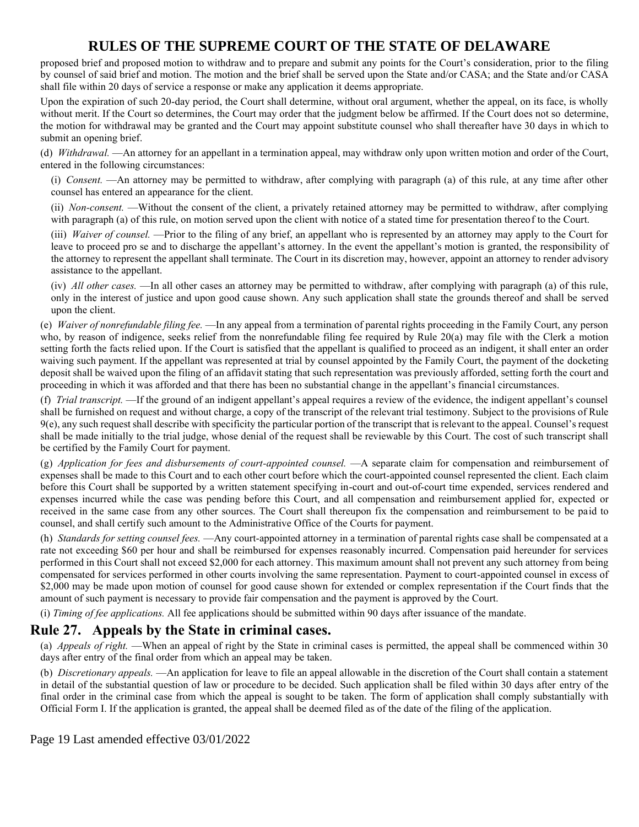proposed brief and proposed motion to withdraw and to prepare and submit any points for the Court's consideration, prior to the filing by counsel of said brief and motion. The motion and the brief shall be served upon the State and/or CASA; and the State and/or CASA shall file within 20 days of service a response or make any application it deems appropriate.

Upon the expiration of such 20-day period, the Court shall determine, without oral argument, whether the appeal, on its face, is wholly without merit. If the Court so determines, the Court may order that the judgment below be affirmed. If the Court does not so determine, the motion for withdrawal may be granted and the Court may appoint substitute counsel who shall thereafter have 30 days in which to submit an opening brief.

(d) *Withdrawal.* —An attorney for an appellant in a termination appeal, may withdraw only upon written motion and order of the Court, entered in the following circumstances:

(i) *Consent.* —An attorney may be permitted to withdraw, after complying with paragraph (a) of this rule, at any time after other counsel has entered an appearance for the client.

(ii) *Non-consent.* —Without the consent of the client, a privately retained attorney may be permitted to withdraw, after complying with paragraph (a) of this rule, on motion served upon the client with notice of a stated time for presentation thereof to the Court.

(iii) *Waiver of counsel.* —Prior to the filing of any brief, an appellant who is represented by an attorney may apply to the Court for leave to proceed pro se and to discharge the appellant's attorney. In the event the appellant's motion is granted, the responsibility of the attorney to represent the appellant shall terminate. The Court in its discretion may, however, appoint an attorney to render advisory assistance to the appellant.

(iv) *All other cases.* —In all other cases an attorney may be permitted to withdraw, after complying with paragraph (a) of this rule, only in the interest of justice and upon good cause shown. Any such application shall state the grounds thereof and shall be served upon the client.

(e) *Waiver of nonrefundable filing fee.* —In any appeal from a termination of parental rights proceeding in the Family Court, any person who, by reason of indigence, seeks relief from the nonrefundable filing fee required by Rule 20(a) may file with the Clerk a motion setting forth the facts relied upon. If the Court is satisfied that the appellant is qualified to proceed as an indigent, it shall enter an order waiving such payment. If the appellant was represented at trial by counsel appointed by the Family Court, the payment of the docketing deposit shall be waived upon the filing of an affidavit stating that such representation was previously afforded, setting forth the court and proceeding in which it was afforded and that there has been no substantial change in the appellant's financial circumstances.

(f) *Trial transcript.* —If the ground of an indigent appellant's appeal requires a review of the evidence, the indigent appellant's counsel shall be furnished on request and without charge, a copy of the transcript of the relevant trial testimony. Subject to the provisions of Rule 9(e), any such request shall describe with specificity the particular portion of the transcript that is relevant to the appeal. Counsel's request shall be made initially to the trial judge, whose denial of the request shall be reviewable by this Court. The cost of such transcript shall be certified by the Family Court for payment.

(g) *Application for fees and disbursements of court-appointed counsel.* —A separate claim for compensation and reimbursement of expenses shall be made to this Court and to each other court before which the court-appointed counsel represented the client. Each claim before this Court shall be supported by a written statement specifying in-court and out-of-court time expended, services rendered and expenses incurred while the case was pending before this Court, and all compensation and reimbursement applied for, expected or received in the same case from any other sources. The Court shall thereupon fix the compensation and reimbursement to be paid to counsel, and shall certify such amount to the Administrative Office of the Courts for payment.

(h) *Standards for setting counsel fees.* —Any court-appointed attorney in a termination of parental rights case shall be compensated at a rate not exceeding \$60 per hour and shall be reimbursed for expenses reasonably incurred. Compensation paid hereunder for services performed in this Court shall not exceed \$2,000 for each attorney. This maximum amount shall not prevent any such attorney from being compensated for services performed in other courts involving the same representation. Payment to court-appointed counsel in excess of \$2,000 may be made upon motion of counsel for good cause shown for extended or complex representation if the Court finds that the amount of such payment is necessary to provide fair compensation and the payment is approved by the Court.

(i) *Timing of fee applications.* All fee applications should be submitted within 90 days after issuance of the mandate.

### **Rule 27. Appeals by the State in criminal cases.**

(a) *Appeals of right.* —When an appeal of right by the State in criminal cases is permitted, the appeal shall be commenced within 30 days after entry of the final order from which an appeal may be taken.

(b) *Discretionary appeals.* —An application for leave to file an appeal allowable in the discretion of the Court shall contain a statement in detail of the substantial question of law or procedure to be decided. Such application shall be filed within 30 days after entry of the final order in the criminal case from which the appeal is sought to be taken. The form of application shall comply substantially with Official Form I. If the application is granted, the appeal shall be deemed filed as of the date of the filing of the application.

Page 19 Last amended effective 03/01/2022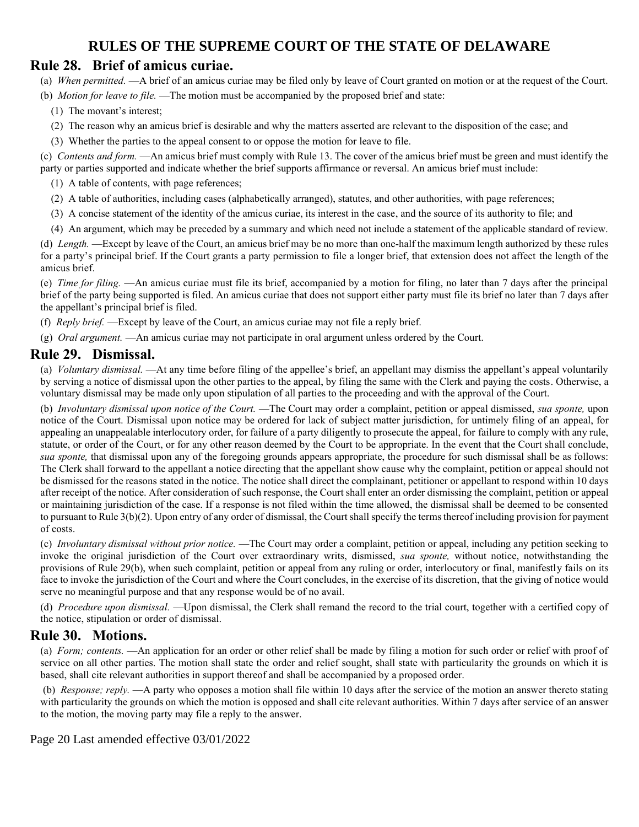### **Rule 28. Brief of amicus curiae.**

(a) *When permitted.* —A brief of an amicus curiae may be filed only by leave of Court granted on motion or at the request of the Court.

- (b) *Motion for leave to file.* —The motion must be accompanied by the proposed brief and state:
	- (1) The movant's interest;
	- (2) The reason why an amicus brief is desirable and why the matters asserted are relevant to the disposition of the case; and
	- (3) Whether the parties to the appeal consent to or oppose the motion for leave to file.

(c) *Contents and form.* —An amicus brief must comply with Rule 13. The cover of the amicus brief must be green and must identify the party or parties supported and indicate whether the brief supports affirmance or reversal. An amicus brief must include:

- (1) A table of contents, with page references;
- (2) A table of authorities, including cases (alphabetically arranged), statutes, and other authorities, with page references;
- (3) A concise statement of the identity of the amicus curiae, its interest in the case, and the source of its authority to file; and
- (4) An argument, which may be preceded by a summary and which need not include a statement of the applicable standard of review.

(d) *Length.* —Except by leave of the Court, an amicus brief may be no more than one-half the maximum length authorized by these rules for a party's principal brief. If the Court grants a party permission to file a longer brief, that extension does not affect the length of the amicus brief.

(e) *Time for filing.* —An amicus curiae must file its brief, accompanied by a motion for filing, no later than 7 days after the principal brief of the party being supported is filed. An amicus curiae that does not support either party must file its brief no later than 7 days after the appellant's principal brief is filed.

- (f) *Reply brief.* —Except by leave of the Court, an amicus curiae may not file a reply brief.
- (g) *Oral argument.* —An amicus curiae may not participate in oral argument unless ordered by the Court.

### **Rule 29. Dismissal.**

(a) *Voluntary dismissal.* —At any time before filing of the appellee's brief, an appellant may dismiss the appellant's appeal voluntarily by serving a notice of dismissal upon the other parties to the appeal, by filing the same with the Clerk and paying the costs. Otherwise, a voluntary dismissal may be made only upon stipulation of all parties to the proceeding and with the approval of the Court.

(b) *Involuntary dismissal upon notice of the Court.* —The Court may order a complaint, petition or appeal dismissed, *sua sponte,* upon notice of the Court. Dismissal upon notice may be ordered for lack of subject matter jurisdiction, for untimely filing of an appeal, for appealing an unappealable interlocutory order, for failure of a party diligently to prosecute the appeal, for failure to comply with any rule, statute, or order of the Court, or for any other reason deemed by the Court to be appropriate. In the event that the Court shall conclude, *sua sponte,* that dismissal upon any of the foregoing grounds appears appropriate, the procedure for such dismissal shall be as follows: The Clerk shall forward to the appellant a notice directing that the appellant show cause why the complaint, petition or appeal should not be dismissed for the reasons stated in the notice. The notice shall direct the complainant, petitioner or appellant to respond within 10 days after receipt of the notice. After consideration of such response, the Court shall enter an order dismissing the complaint, petition or appeal or maintaining jurisdiction of the case. If a response is not filed within the time allowed, the dismissal shall be deemed to be consented to pursuant to Rule 3(b)(2). Upon entry of any order of dismissal, the Court shall specify the terms thereof including provision for payment of costs.

(c) *Involuntary dismissal without prior notice.* —The Court may order a complaint, petition or appeal, including any petition seeking to invoke the original jurisdiction of the Court over extraordinary writs, dismissed, *sua sponte,* without notice, notwithstanding the provisions of Rule 29(b), when such complaint, petition or appeal from any ruling or order, interlocutory or final, manifestly fails on its face to invoke the jurisdiction of the Court and where the Court concludes, in the exercise of its discretion, that the giving of notice would serve no meaningful purpose and that any response would be of no avail.

(d) *Procedure upon dismissal.* —Upon dismissal, the Clerk shall remand the record to the trial court, together with a certified copy of the notice, stipulation or order of dismissal.

### **Rule 30. Motions.**

(a) *Form; contents.* —An application for an order or other relief shall be made by filing a motion for such order or relief with proof of service on all other parties. The motion shall state the order and relief sought, shall state with particularity the grounds on which it is based, shall cite relevant authorities in support thereof and shall be accompanied by a proposed order.

(b) *Response; reply.* —A party who opposes a motion shall file within 10 days after the service of the motion an answer thereto stating with particularity the grounds on which the motion is opposed and shall cite relevant authorities. Within 7 days after service of an answer to the motion, the moving party may file a reply to the answer.

Page 20 Last amended effective 03/01/2022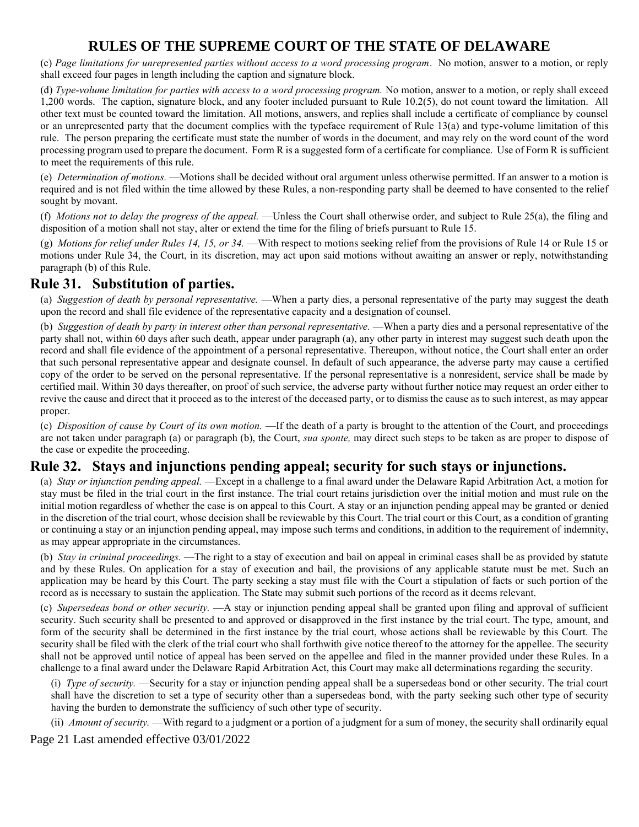(c) *Page limitations for unrepresented parties without access to a word processing program*. No motion, answer to a motion, or reply shall exceed four pages in length including the caption and signature block.

(d) *Type-volume limitation for parties with access to a word processing program.* No motion, answer to a motion, or reply shall exceed 1,200 words. The caption, signature block, and any footer included pursuant to Rule 10.2(5), do not count toward the limitation. All other text must be counted toward the limitation. All motions, answers, and replies shall include a certificate of compliance by counsel or an unrepresented party that the document complies with the typeface requirement of Rule 13(a) and type-volume limitation of this rule. The person preparing the certificate must state the number of words in the document, and may rely on the word count of the word processing program used to prepare the document. Form R is a suggested form of a certificate for compliance. Use of Form R is sufficient to meet the requirements of this rule.

(e) *Determination of motions.* —Motions shall be decided without oral argument unless otherwise permitted. If an answer to a motion is required and is not filed within the time allowed by these Rules, a non-responding party shall be deemed to have consented to the relief sought by movant.

(f) *Motions not to delay the progress of the appeal.* —Unless the Court shall otherwise order, and subject to Rule 25(a), the filing and disposition of a motion shall not stay, alter or extend the time for the filing of briefs pursuant to Rule 15.

(g) *Motions for relief under Rules 14, 15, or 34.* —With respect to motions seeking relief from the provisions of Rule 14 or Rule 15 or motions under Rule 34, the Court, in its discretion, may act upon said motions without awaiting an answer or reply, notwithstanding paragraph (b) of this Rule.

## **Rule 31. Substitution of parties.**

(a) *Suggestion of death by personal representative.* —When a party dies, a personal representative of the party may suggest the death upon the record and shall file evidence of the representative capacity and a designation of counsel.

(b) *Suggestion of death by party in interest other than personal representative.* —When a party dies and a personal representative of the party shall not, within 60 days after such death, appear under paragraph (a), any other party in interest may suggest such death upon the record and shall file evidence of the appointment of a personal representative. Thereupon, without notice, the Court shall enter an order that such personal representative appear and designate counsel. In default of such appearance, the adverse party may cause a certified copy of the order to be served on the personal representative. If the personal representative is a nonresident, service shall be made by certified mail. Within 30 days thereafter, on proof of such service, the adverse party without further notice may request an order either to revive the cause and direct that it proceed as to the interest of the deceased party, or to dismiss the cause as to such interest, as may appear proper.

(c) *Disposition of cause by Court of its own motion.* —If the death of a party is brought to the attention of the Court, and proceedings are not taken under paragraph (a) or paragraph (b), the Court, *sua sponte,* may direct such steps to be taken as are proper to dispose of the case or expedite the proceeding.

### **Rule 32. Stays and injunctions pending appeal; security for such stays or injunctions.**

(a) *Stay or injunction pending appeal.* —Except in a challenge to a final award under the Delaware Rapid Arbitration Act, a motion for stay must be filed in the trial court in the first instance. The trial court retains jurisdiction over the initial motion and must rule on the initial motion regardless of whether the case is on appeal to this Court. A stay or an injunction pending appeal may be granted or denied in the discretion of the trial court, whose decision shall be reviewable by this Court. The trial court or this Court, as a condition of granting or continuing a stay or an injunction pending appeal, may impose such terms and conditions, in addition to the requirement of indemnity, as may appear appropriate in the circumstances.

(b) *Stay in criminal proceedings.* —The right to a stay of execution and bail on appeal in criminal cases shall be as provided by statute and by these Rules. On application for a stay of execution and bail, the provisions of any applicable statute must be met. Such an application may be heard by this Court. The party seeking a stay must file with the Court a stipulation of facts or such portion of the record as is necessary to sustain the application. The State may submit such portions of the record as it deems relevant.

(c) *Supersedeas bond or other security.* —A stay or injunction pending appeal shall be granted upon filing and approval of sufficient security. Such security shall be presented to and approved or disapproved in the first instance by the trial court. The type, amount, and form of the security shall be determined in the first instance by the trial court, whose actions shall be reviewable by this Court. The security shall be filed with the clerk of the trial court who shall forthwith give notice thereof to the attorney for the appellee. The security shall not be approved until notice of appeal has been served on the appellee and filed in the manner provided under these Rules. In a challenge to a final award under the Delaware Rapid Arbitration Act, this Court may make all determinations regarding the security.

(i) *Type of security.* —Security for a stay or injunction pending appeal shall be a supersedeas bond or other security. The trial court shall have the discretion to set a type of security other than a supersedeas bond, with the party seeking such other type of security having the burden to demonstrate the sufficiency of such other type of security.

(ii) *Amount of security.* —With regard to a judgment or a portion of a judgment for a sum of money, the security shall ordinarily equal

Page 21 Last amended effective 03/01/2022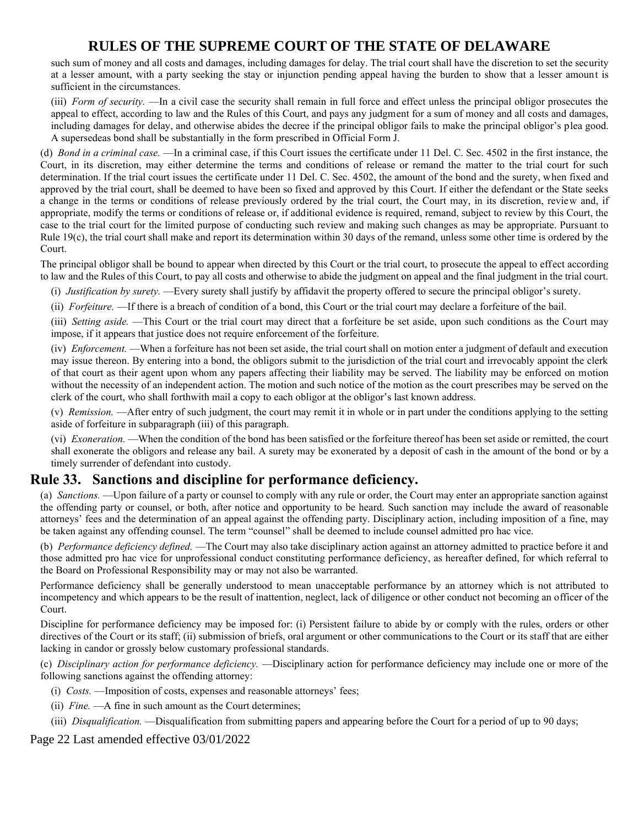such sum of money and all costs and damages, including damages for delay. The trial court shall have the discretion to set the security at a lesser amount, with a party seeking the stay or injunction pending appeal having the burden to show that a lesser amount is sufficient in the circumstances.

(iii) *Form of security.* —In a civil case the security shall remain in full force and effect unless the principal obligor prosecutes the appeal to effect, according to law and the Rules of this Court, and pays any judgment for a sum of money and all costs and damages, including damages for delay, and otherwise abides the decree if the principal obligor fails to make the principal obligor's plea good. A supersedeas bond shall be substantially in the form prescribed in Official Form J.

(d) *Bond in a criminal case.* —In a criminal case, if this Court issues the certificate under 11 Del. C. Sec. 4502 in the first instance, the Court, in its discretion, may either determine the terms and conditions of release or remand the matter to the trial court for such determination. If the trial court issues the certificate under 11 Del. C. Sec. 4502, the amount of the bond and the surety, when fixed and approved by the trial court, shall be deemed to have been so fixed and approved by this Court. If either the defendant or the State seeks a change in the terms or conditions of release previously ordered by the trial court, the Court may, in its discretion, review and, if appropriate, modify the terms or conditions of release or, if additional evidence is required, remand, subject to review by this Court, the case to the trial court for the limited purpose of conducting such review and making such changes as may be appropriate. Pursuant to Rule 19(c), the trial court shall make and report its determination within 30 days of the remand, unless some other time is ordered by the Court.

The principal obligor shall be bound to appear when directed by this Court or the trial court, to prosecute the appeal to effect according to law and the Rules of this Court, to pay all costs and otherwise to abide the judgment on appeal and the final judgment in the trial court.

(i) *Justification by surety.* —Every surety shall justify by affidavit the property offered to secure the principal obligor's surety.

(ii) *Forfeiture.* —If there is a breach of condition of a bond, this Court or the trial court may declare a forfeiture of the bail.

(iii) *Setting aside.* —This Court or the trial court may direct that a forfeiture be set aside, upon such conditions as the Court may impose, if it appears that justice does not require enforcement of the forfeiture.

(iv) *Enforcement.* —When a forfeiture has not been set aside, the trial court shall on motion enter a judgment of default and execution may issue thereon. By entering into a bond, the obligors submit to the jurisdiction of the trial court and irrevocably appoint the clerk of that court as their agent upon whom any papers affecting their liability may be served. The liability may be enforced on motion without the necessity of an independent action. The motion and such notice of the motion as the court prescribes may be served on the clerk of the court, who shall forthwith mail a copy to each obligor at the obligor's last known address.

(v) *Remission.* —After entry of such judgment, the court may remit it in whole or in part under the conditions applying to the setting aside of forfeiture in subparagraph (iii) of this paragraph.

(vi) *Exoneration.* —When the condition of the bond has been satisfied or the forfeiture thereof has been set aside or remitted, the court shall exonerate the obligors and release any bail. A surety may be exonerated by a deposit of cash in the amount of the bond or by a timely surrender of defendant into custody.

### **Rule 33. Sanctions and discipline for performance deficiency.**

(a) *Sanctions.* —Upon failure of a party or counsel to comply with any rule or order, the Court may enter an appropriate sanction against the offending party or counsel, or both, after notice and opportunity to be heard. Such sanction may include the award of reasonable attorneys' fees and the determination of an appeal against the offending party. Disciplinary action, including imposition of a fine, may be taken against any offending counsel. The term "counsel" shall be deemed to include counsel admitted pro hac vice.

(b) *Performance deficiency defined.* —The Court may also take disciplinary action against an attorney admitted to practice before it and those admitted pro hac vice for unprofessional conduct constituting performance deficiency, as hereafter defined, for which referral to the Board on Professional Responsibility may or may not also be warranted.

Performance deficiency shall be generally understood to mean unacceptable performance by an attorney which is not attributed to incompetency and which appears to be the result of inattention, neglect, lack of diligence or other conduct not becoming an officer of the Court.

Discipline for performance deficiency may be imposed for: (i) Persistent failure to abide by or comply with the rules, orders or other directives of the Court or its staff; (ii) submission of briefs, oral argument or other communications to the Court or its staff that are either lacking in candor or grossly below customary professional standards.

(c) *Disciplinary action for performance deficiency.* —Disciplinary action for performance deficiency may include one or more of the following sanctions against the offending attorney:

- (i) *Costs.* —Imposition of costs, expenses and reasonable attorneys' fees;
- (ii) *Fine.* —A fine in such amount as the Court determines;
- (iii) *Disqualification.* —Disqualification from submitting papers and appearing before the Court for a period of up to 90 days;

Page 22 Last amended effective 03/01/2022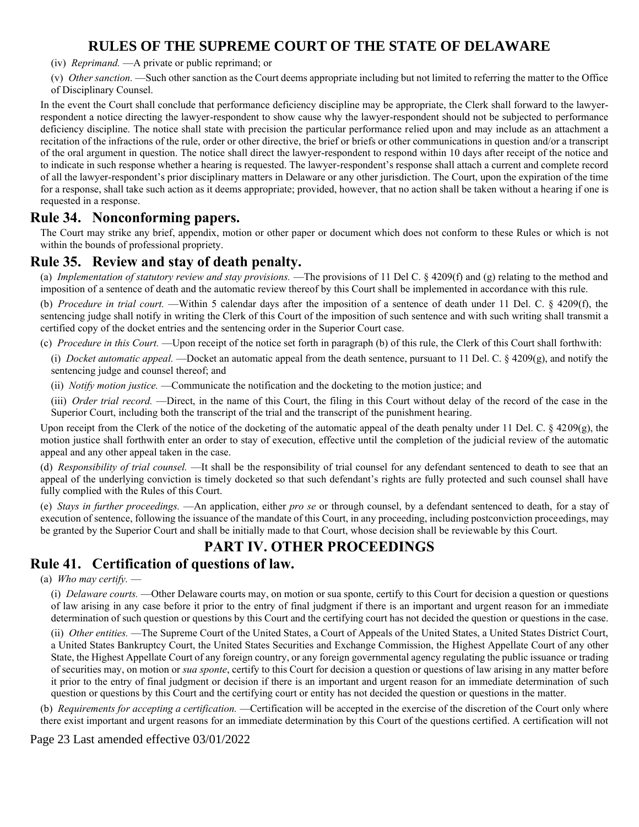- (iv) *Reprimand.* —A private or public reprimand; or
- (v) *Other sanction.* —Such other sanction as the Court deems appropriate including but not limited to referring the matter to the Office of Disciplinary Counsel.

In the event the Court shall conclude that performance deficiency discipline may be appropriate, the Clerk shall forward to the lawyerrespondent a notice directing the lawyer-respondent to show cause why the lawyer-respondent should not be subjected to performance deficiency discipline. The notice shall state with precision the particular performance relied upon and may include as an attachment a recitation of the infractions of the rule, order or other directive, the brief or briefs or other communications in question and/or a transcript of the oral argument in question. The notice shall direct the lawyer-respondent to respond within 10 days after receipt of the notice and to indicate in such response whether a hearing is requested. The lawyer-respondent's response shall attach a current and complete record of all the lawyer-respondent's prior disciplinary matters in Delaware or any other jurisdiction. The Court, upon the expiration of the time for a response, shall take such action as it deems appropriate; provided, however, that no action shall be taken without a hearing if one is requested in a response.

### **Rule 34. Nonconforming papers.**

The Court may strike any brief, appendix, motion or other paper or document which does not conform to these Rules or which is not within the bounds of professional propriety.

### **Rule 35. Review and stay of death penalty.**

(a) *Implementation of statutory review and stay provisions.* —The provisions of 11 Del C. § 4209(f) and (g) relating to the method and imposition of a sentence of death and the automatic review thereof by this Court shall be implemented in accordance with this rule.

(b) *Procedure in trial court.* —Within 5 calendar days after the imposition of a sentence of death under 11 Del. C. § 4209(f), the sentencing judge shall notify in writing the Clerk of this Court of the imposition of such sentence and with such writing shall transmit a certified copy of the docket entries and the sentencing order in the Superior Court case.

(c) *Procedure in this Court.* —Upon receipt of the notice set forth in paragraph (b) of this rule, the Clerk of this Court shall forthwith:

(i) *Docket automatic appeal.* —Docket an automatic appeal from the death sentence, pursuant to 11 Del. C. § 4209(g), and notify the sentencing judge and counsel thereof; and

(ii) *Notify motion justice.* —Communicate the notification and the docketing to the motion justice; and

(iii) *Order trial record.* —Direct, in the name of this Court, the filing in this Court without delay of the record of the case in the Superior Court, including both the transcript of the trial and the transcript of the punishment hearing.

Upon receipt from the Clerk of the notice of the docketing of the automatic appeal of the death penalty under 11 Del. C. § 4209(g), the motion justice shall forthwith enter an order to stay of execution, effective until the completion of the judicial review of the automatic appeal and any other appeal taken in the case.

(d) *Responsibility of trial counsel.* —It shall be the responsibility of trial counsel for any defendant sentenced to death to see that an appeal of the underlying conviction is timely docketed so that such defendant's rights are fully protected and such counsel shall have fully complied with the Rules of this Court.

(e) *Stays in further proceedings.* —An application, either *pro se* or through counsel, by a defendant sentenced to death, for a stay of execution of sentence, following the issuance of the mandate of this Court, in any proceeding, including postconviction proceedings, may be granted by the Superior Court and shall be initially made to that Court, whose decision shall be reviewable by this Court.

## **PART IV. OTHER PROCEEDINGS**

## **Rule 41. Certification of questions of law.**

(a) *Who may certify.* —

(i) *Delaware courts.* —Other Delaware courts may, on motion or sua sponte, certify to this Court for decision a question or questions of law arising in any case before it prior to the entry of final judgment if there is an important and urgent reason for an immediate determination of such question or questions by this Court and the certifying court has not decided the question or questions in the case.

(ii) *Other entities.* —The Supreme Court of the United States, a Court of Appeals of the United States, a United States District Court, a United States Bankruptcy Court, the United States Securities and Exchange Commission, the Highest Appellate Court of any other State, the Highest Appellate Court of any foreign country, or any foreign governmental agency regulating the public issuance or trading of securities may, on motion or *sua sponte*, certify to this Court for decision a question or questions of law arising in any matter before it prior to the entry of final judgment or decision if there is an important and urgent reason for an immediate determination of such question or questions by this Court and the certifying court or entity has not decided the question or questions in the matter.

(b) *Requirements for accepting a certification.* —Certification will be accepted in the exercise of the discretion of the Court only where there exist important and urgent reasons for an immediate determination by this Court of the questions certified. A certification will not

Page 23 Last amended effective 03/01/2022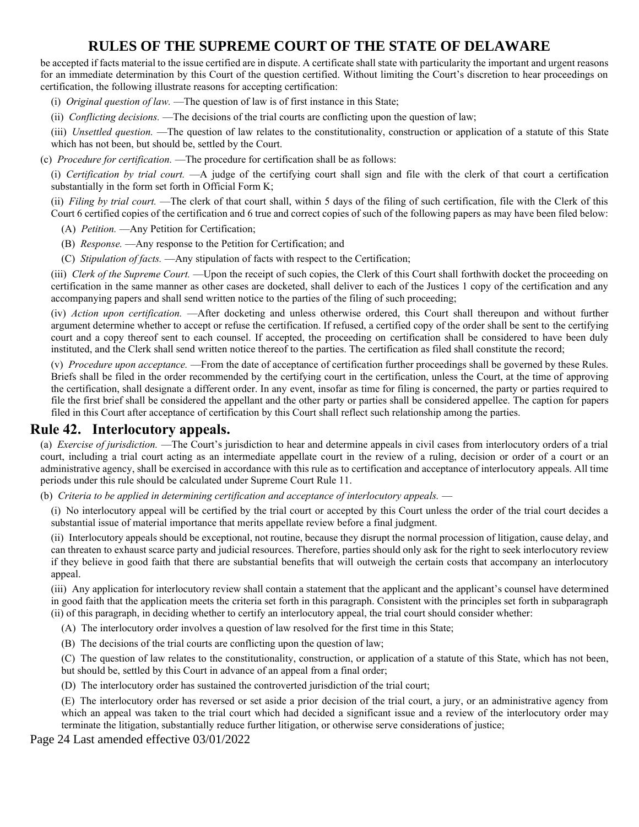be accepted if facts material to the issue certified are in dispute. A certificate shall state with particularity the important and urgent reasons for an immediate determination by this Court of the question certified. Without limiting the Court's discretion to hear proceedings on certification, the following illustrate reasons for accepting certification:

(i) *Original question of law.* —The question of law is of first instance in this State;

(ii) *Conflicting decisions.* —The decisions of the trial courts are conflicting upon the question of law;

(iii) *Unsettled question.* —The question of law relates to the constitutionality, construction or application of a statute of this State which has not been, but should be, settled by the Court.

(c) *Procedure for certification.* —The procedure for certification shall be as follows:

(i) *Certification by trial court.* —A judge of the certifying court shall sign and file with the clerk of that court a certification substantially in the form set forth in Official Form K;

(ii) *Filing by trial court.* —The clerk of that court shall, within 5 days of the filing of such certification, file with the Clerk of this Court 6 certified copies of the certification and 6 true and correct copies of such of the following papers as may have been filed below:

(A) *Petition.* —Any Petition for Certification;

(B) *Response.* —Any response to the Petition for Certification; and

(C) *Stipulation of facts.* —Any stipulation of facts with respect to the Certification;

(iii) *Clerk of the Supreme Court.* —Upon the receipt of such copies, the Clerk of this Court shall forthwith docket the proceeding on certification in the same manner as other cases are docketed, shall deliver to each of the Justices 1 copy of the certification and any accompanying papers and shall send written notice to the parties of the filing of such proceeding;

(iv) *Action upon certification.* —After docketing and unless otherwise ordered, this Court shall thereupon and without further argument determine whether to accept or refuse the certification. If refused, a certified copy of the order shall be sent to the certifying court and a copy thereof sent to each counsel. If accepted, the proceeding on certification shall be considered to have been duly instituted, and the Clerk shall send written notice thereof to the parties. The certification as filed shall constitute the record;

(v) *Procedure upon acceptance.* —From the date of acceptance of certification further proceedings shall be governed by these Rules. Briefs shall be filed in the order recommended by the certifying court in the certification, unless the Court, at the time of approving the certification, shall designate a different order. In any event, insofar as time for filing is concerned, the party or parties required to file the first brief shall be considered the appellant and the other party or parties shall be considered appellee. The caption for papers filed in this Court after acceptance of certification by this Court shall reflect such relationship among the parties.

### **Rule 42. Interlocutory appeals.**

(a) *Exercise of jurisdiction.* —The Court's jurisdiction to hear and determine appeals in civil cases from interlocutory orders of a trial court, including a trial court acting as an intermediate appellate court in the review of a ruling, decision or order of a court or an administrative agency, shall be exercised in accordance with this rule as to certification and acceptance of interlocutory appeals. All time periods under this rule should be calculated under Supreme Court Rule 11.

(b) *Criteria to be applied in determining certification and acceptance of interlocutory appeals.* —

(i) No interlocutory appeal will be certified by the trial court or accepted by this Court unless the order of the trial court decides a substantial issue of material importance that merits appellate review before a final judgment.

(ii) Interlocutory appeals should be exceptional, not routine, because they disrupt the normal procession of litigation, cause delay, and can threaten to exhaust scarce party and judicial resources. Therefore, parties should only ask for the right to seek interlocutory review if they believe in good faith that there are substantial benefits that will outweigh the certain costs that accompany an interlocutory appeal.

(iii) Any application for interlocutory review shall contain a statement that the applicant and the applicant's counsel have determined in good faith that the application meets the criteria set forth in this paragraph. Consistent with the principles set forth in subparagraph (ii) of this paragraph, in deciding whether to certify an interlocutory appeal, the trial court should consider whether:

(A) The interlocutory order involves a question of law resolved for the first time in this State;

(B) The decisions of the trial courts are conflicting upon the question of law;

(C) The question of law relates to the constitutionality, construction, or application of a statute of this State, which has not been,

but should be, settled by this Court in advance of an appeal from a final order;

(D) The interlocutory order has sustained the controverted jurisdiction of the trial court;

(E) The interlocutory order has reversed or set aside a prior decision of the trial court, a jury, or an administrative agency from which an appeal was taken to the trial court which had decided a significant issue and a review of the interlocutory order may terminate the litigation, substantially reduce further litigation, or otherwise serve considerations of justice;

Page 24 Last amended effective 03/01/2022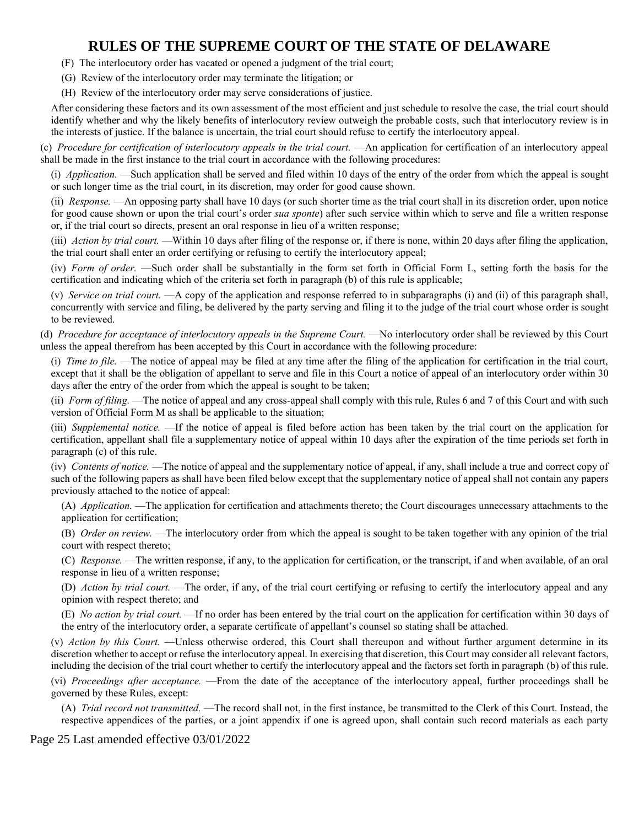- (F) The interlocutory order has vacated or opened a judgment of the trial court;
- (G) Review of the interlocutory order may terminate the litigation; or
- (H) Review of the interlocutory order may serve considerations of justice.

After considering these factors and its own assessment of the most efficient and just schedule to resolve the case, the trial court should identify whether and why the likely benefits of interlocutory review outweigh the probable costs, such that interlocutory review is in the interests of justice. If the balance is uncertain, the trial court should refuse to certify the interlocutory appeal.

(c) *Procedure for certification of interlocutory appeals in the trial court.* —An application for certification of an interlocutory appeal shall be made in the first instance to the trial court in accordance with the following procedures:

(i) *Application.* —Such application shall be served and filed within 10 days of the entry of the order from which the appeal is sought or such longer time as the trial court, in its discretion, may order for good cause shown.

(ii) *Response.* —An opposing party shall have 10 days (or such shorter time as the trial court shall in its discretion order, upon notice for good cause shown or upon the trial court's order *sua sponte*) after such service within which to serve and file a written response or, if the trial court so directs, present an oral response in lieu of a written response;

(iii) *Action by trial court.* —Within 10 days after filing of the response or, if there is none, within 20 days after filing the application, the trial court shall enter an order certifying or refusing to certify the interlocutory appeal;

(iv) *Form of order.* —Such order shall be substantially in the form set forth in Official Form L, setting forth the basis for the certification and indicating which of the criteria set forth in paragraph (b) of this rule is applicable;

(v) *Service on trial court.* —A copy of the application and response referred to in subparagraphs (i) and (ii) of this paragraph shall, concurrently with service and filing, be delivered by the party serving and filing it to the judge of the trial court whose order is sought to be reviewed.

(d) *Procedure for acceptance of interlocutory appeals in the Supreme Court.* —No interlocutory order shall be reviewed by this Court unless the appeal therefrom has been accepted by this Court in accordance with the following procedure:

(i) *Time to file.* —The notice of appeal may be filed at any time after the filing of the application for certification in the trial court, except that it shall be the obligation of appellant to serve and file in this Court a notice of appeal of an interlocutory order within 30 days after the entry of the order from which the appeal is sought to be taken;

(ii) *Form of filing.* —The notice of appeal and any cross-appeal shall comply with this rule, Rules 6 and 7 of this Court and with such version of Official Form M as shall be applicable to the situation;

(iii) *Supplemental notice.* —If the notice of appeal is filed before action has been taken by the trial court on the application for certification, appellant shall file a supplementary notice of appeal within 10 days after the expiration of the time periods set forth in paragraph (c) of this rule.

(iv) *Contents of notice.* —The notice of appeal and the supplementary notice of appeal, if any, shall include a true and correct copy of such of the following papers as shall have been filed below except that the supplementary notice of appeal shall not contain any papers previously attached to the notice of appeal:

(A) *Application.* —The application for certification and attachments thereto; the Court discourages unnecessary attachments to the application for certification;

(B) *Order on review.* —The interlocutory order from which the appeal is sought to be taken together with any opinion of the trial court with respect thereto;

(C) *Response.* —The written response, if any, to the application for certification, or the transcript, if and when available, of an oral response in lieu of a written response;

(D) *Action by trial court.* —The order, if any, of the trial court certifying or refusing to certify the interlocutory appeal and any opinion with respect thereto; and

(E) *No action by trial court.* —If no order has been entered by the trial court on the application for certification within 30 days of the entry of the interlocutory order, a separate certificate of appellant's counsel so stating shall be attached.

(v) *Action by this Court.* —Unless otherwise ordered, this Court shall thereupon and without further argument determine in its discretion whether to accept or refuse the interlocutory appeal. In exercising that discretion, this Court may consider all relevant factors, including the decision of the trial court whether to certify the interlocutory appeal and the factors set forth in paragraph (b) of this rule.

(vi) *Proceedings after acceptance.* —From the date of the acceptance of the interlocutory appeal, further proceedings shall be governed by these Rules, except:

(A) *Trial record not transmitted.* —The record shall not, in the first instance, be transmitted to the Clerk of this Court. Instead, the respective appendices of the parties, or a joint appendix if one is agreed upon, shall contain such record materials as each party

Page 25 Last amended effective 03/01/2022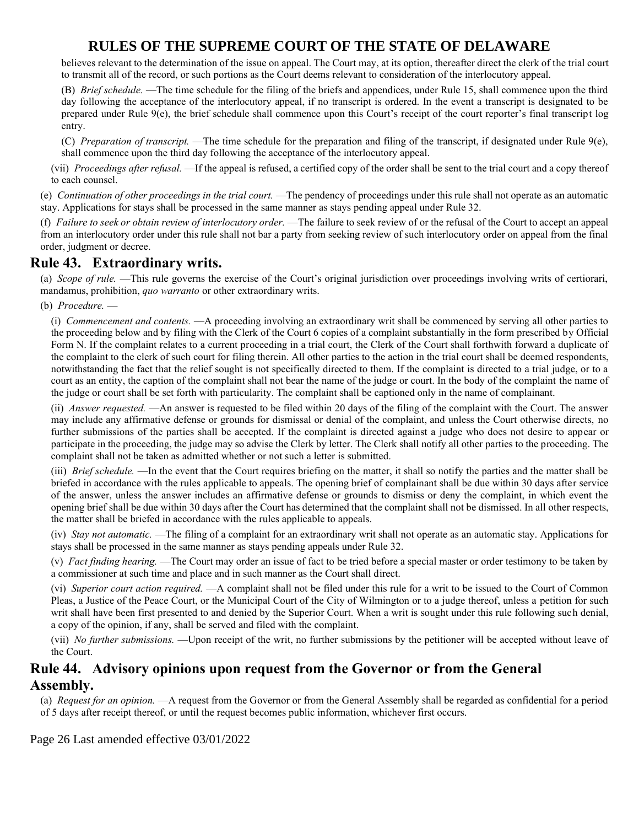believes relevant to the determination of the issue on appeal. The Court may, at its option, thereafter direct the clerk of the trial court to transmit all of the record, or such portions as the Court deems relevant to consideration of the interlocutory appeal.

(B) *Brief schedule.* —The time schedule for the filing of the briefs and appendices, under Rule 15, shall commence upon the third day following the acceptance of the interlocutory appeal, if no transcript is ordered. In the event a transcript is designated to be prepared under Rule 9(e), the brief schedule shall commence upon this Court's receipt of the court reporter's final transcript log entry.

(C) *Preparation of transcript.* —The time schedule for the preparation and filing of the transcript, if designated under Rule 9(e), shall commence upon the third day following the acceptance of the interlocutory appeal.

(vii) *Proceedings after refusal.* —If the appeal is refused, a certified copy of the order shall be sent to the trial court and a copy thereof to each counsel.

(e) *Continuation of other proceedings in the trial court.* —The pendency of proceedings under this rule shall not operate as an automatic stay. Applications for stays shall be processed in the same manner as stays pending appeal under Rule 32.

(f) *Failure to seek or obtain review of interlocutory order.* —The failure to seek review of or the refusal of the Court to accept an appeal from an interlocutory order under this rule shall not bar a party from seeking review of such interlocutory order on appeal from the final order, judgment or decree.

## **Rule 43. Extraordinary writs.**

(a) *Scope of rule.* —This rule governs the exercise of the Court's original jurisdiction over proceedings involving writs of certiorari, mandamus, prohibition, *quo warranto* or other extraordinary writs.

(b) *Procedure.* —

(i) *Commencement and contents.* —A proceeding involving an extraordinary writ shall be commenced by serving all other parties to the proceeding below and by filing with the Clerk of the Court 6 copies of a complaint substantially in the form prescribed by Official Form N. If the complaint relates to a current proceeding in a trial court, the Clerk of the Court shall forthwith forward a duplicate of the complaint to the clerk of such court for filing therein. All other parties to the action in the trial court shall be deemed respondents, notwithstanding the fact that the relief sought is not specifically directed to them. If the complaint is directed to a trial judge, or to a court as an entity, the caption of the complaint shall not bear the name of the judge or court. In the body of the complaint the name of the judge or court shall be set forth with particularity. The complaint shall be captioned only in the name of complainant.

(ii) *Answer requested.* —An answer is requested to be filed within 20 days of the filing of the complaint with the Court. The answer may include any affirmative defense or grounds for dismissal or denial of the complaint, and unless the Court otherwise directs, no further submissions of the parties shall be accepted. If the complaint is directed against a judge who does not desire to appear or participate in the proceeding, the judge may so advise the Clerk by letter. The Clerk shall notify all other parties to the proceeding. The complaint shall not be taken as admitted whether or not such a letter is submitted.

(iii) *Brief schedule.* —In the event that the Court requires briefing on the matter, it shall so notify the parties and the matter shall be briefed in accordance with the rules applicable to appeals. The opening brief of complainant shall be due within 30 days after service of the answer, unless the answer includes an affirmative defense or grounds to dismiss or deny the complaint, in which event the opening brief shall be due within 30 days after the Court has determined that the complaint shall not be dismissed. In all other respects, the matter shall be briefed in accordance with the rules applicable to appeals.

(iv) *Stay not automatic.* —The filing of a complaint for an extraordinary writ shall not operate as an automatic stay. Applications for stays shall be processed in the same manner as stays pending appeals under Rule 32.

(v) *Fact finding hearing.* —The Court may order an issue of fact to be tried before a special master or order testimony to be taken by a commissioner at such time and place and in such manner as the Court shall direct.

(vi) *Superior court action required.* —A complaint shall not be filed under this rule for a writ to be issued to the Court of Common Pleas, a Justice of the Peace Court, or the Municipal Court of the City of Wilmington or to a judge thereof, unless a petition for such writ shall have been first presented to and denied by the Superior Court. When a writ is sought under this rule following such denial, a copy of the opinion, if any, shall be served and filed with the complaint.

(vii) *No further submissions.* —Upon receipt of the writ, no further submissions by the petitioner will be accepted without leave of the Court.

### **Rule 44. Advisory opinions upon request from the Governor or from the General Assembly.**

(a) *Request for an opinion.* —A request from the Governor or from the General Assembly shall be regarded as confidential for a period of 5 days after receipt thereof, or until the request becomes public information, whichever first occurs.

#### Page 26 Last amended effective 03/01/2022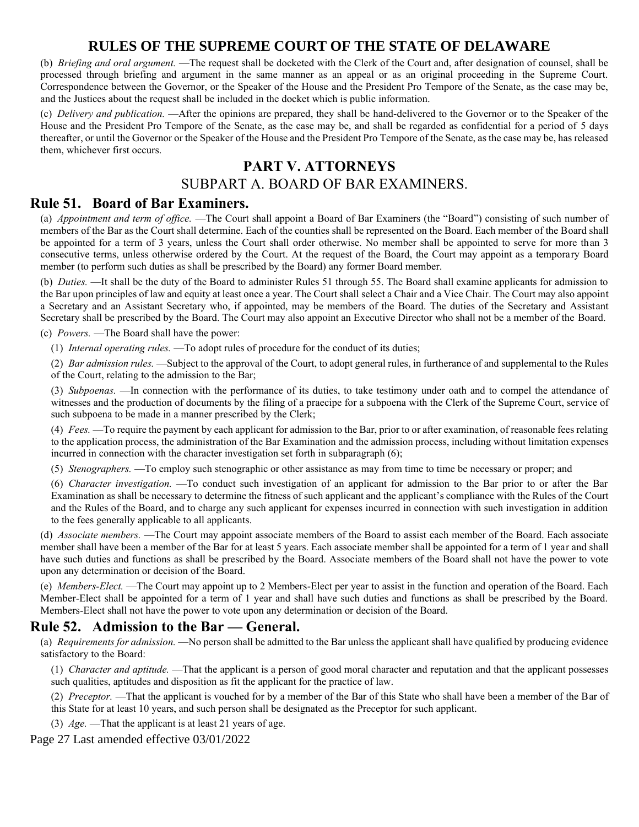(b) *Briefing and oral argument.* —The request shall be docketed with the Clerk of the Court and, after designation of counsel, shall be processed through briefing and argument in the same manner as an appeal or as an original proceeding in the Supreme Court. Correspondence between the Governor, or the Speaker of the House and the President Pro Tempore of the Senate, as the case may be, and the Justices about the request shall be included in the docket which is public information.

(c) *Delivery and publication.* —After the opinions are prepared, they shall be hand-delivered to the Governor or to the Speaker of the House and the President Pro Tempore of the Senate, as the case may be, and shall be regarded as confidential for a period of 5 days thereafter, or until the Governor or the Speaker of the House and the President Pro Tempore of the Senate, as the case may be, has released them, whichever first occurs.

## **PART V. ATTORNEYS**

### SUBPART A. BOARD OF BAR EXAMINERS.

### **Rule 51. Board of Bar Examiners.**

(a) *Appointment and term of office.* —The Court shall appoint a Board of Bar Examiners (the "Board") consisting of such number of members of the Bar as the Court shall determine. Each of the counties shall be represented on the Board. Each member of the Board shall be appointed for a term of 3 years, unless the Court shall order otherwise. No member shall be appointed to serve for more than 3 consecutive terms, unless otherwise ordered by the Court. At the request of the Board, the Court may appoint as a temporary Board member (to perform such duties as shall be prescribed by the Board) any former Board member.

(b) *Duties.* —It shall be the duty of the Board to administer Rules 51 through 55. The Board shall examine applicants for admission to the Bar upon principles of law and equity at least once a year. The Court shall select a Chair and a Vice Chair. The Court may also appoint a Secretary and an Assistant Secretary who, if appointed, may be members of the Board. The duties of the Secretary and Assistant Secretary shall be prescribed by the Board. The Court may also appoint an Executive Director who shall not be a member of the Board.

(c) *Powers.* —The Board shall have the power:

(1) *Internal operating rules.* —To adopt rules of procedure for the conduct of its duties;

(2) *Bar admission rules.* —Subject to the approval of the Court, to adopt general rules, in furtherance of and supplemental to the Rules of the Court, relating to the admission to the Bar;

(3) *Subpoenas.* —In connection with the performance of its duties, to take testimony under oath and to compel the attendance of witnesses and the production of documents by the filing of a praecipe for a subpoena with the Clerk of the Supreme Court, service of such subpoena to be made in a manner prescribed by the Clerk;

(4) *Fees.* —To require the payment by each applicant for admission to the Bar, prior to or after examination, of reasonable fees relating to the application process, the administration of the Bar Examination and the admission process, including without limitation expenses incurred in connection with the character investigation set forth in subparagraph (6);

(5) *Stenographers.* —To employ such stenographic or other assistance as may from time to time be necessary or proper; and

(6) *Character investigation.* —To conduct such investigation of an applicant for admission to the Bar prior to or after the Bar Examination as shall be necessary to determine the fitness of such applicant and the applicant's compliance with the Rules of the Court and the Rules of the Board, and to charge any such applicant for expenses incurred in connection with such investigation in addition to the fees generally applicable to all applicants.

(d) *Associate members.* —The Court may appoint associate members of the Board to assist each member of the Board. Each associate member shall have been a member of the Bar for at least 5 years. Each associate member shall be appointed for a term of 1 year and shall have such duties and functions as shall be prescribed by the Board. Associate members of the Board shall not have the power to vote upon any determination or decision of the Board.

(e) *Members-Elect.* —The Court may appoint up to 2 Members-Elect per year to assist in the function and operation of the Board. Each Member-Elect shall be appointed for a term of 1 year and shall have such duties and functions as shall be prescribed by the Board. Members-Elect shall not have the power to vote upon any determination or decision of the Board.

### **Rule 52. Admission to the Bar — General.**

(a) *Requirements for admission.* —No person shall be admitted to the Bar unless the applicant shall have qualified by producing evidence satisfactory to the Board:

(1) *Character and aptitude.* —That the applicant is a person of good moral character and reputation and that the applicant possesses such qualities, aptitudes and disposition as fit the applicant for the practice of law.

(2) *Preceptor.* —That the applicant is vouched for by a member of the Bar of this State who shall have been a member of the Bar of this State for at least 10 years, and such person shall be designated as the Preceptor for such applicant.

(3) *Age.* —That the applicant is at least 21 years of age.

Page 27 Last amended effective 03/01/2022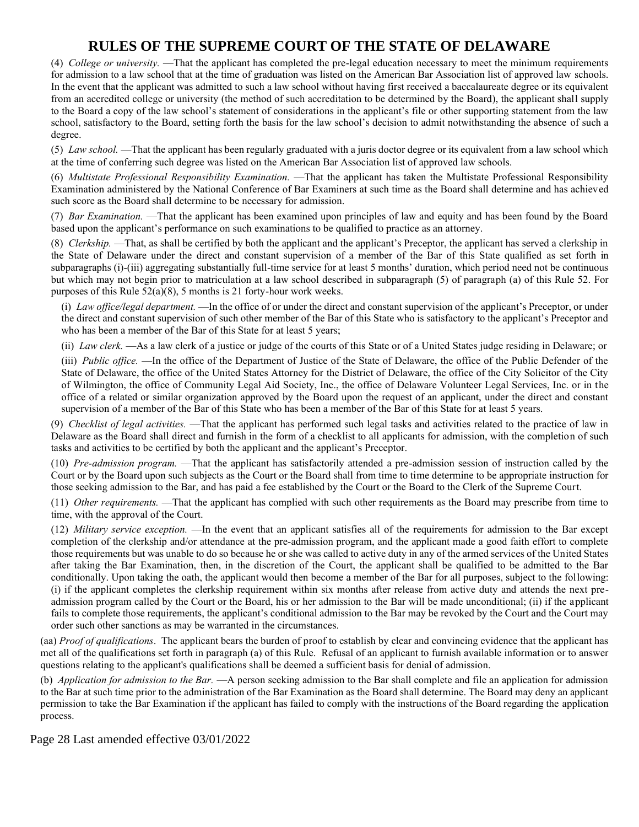(4) *College or university.* —That the applicant has completed the pre-legal education necessary to meet the minimum requirements for admission to a law school that at the time of graduation was listed on the American Bar Association list of approved law schools. In the event that the applicant was admitted to such a law school without having first received a baccalaureate degree or its equivalent from an accredited college or university (the method of such accreditation to be determined by the Board), the applicant shall supply to the Board a copy of the law school's statement of considerations in the applicant's file or other supporting statement from the law school, satisfactory to the Board, setting forth the basis for the law school's decision to admit notwithstanding the absence of such a degree.

(5) *Law school.* —That the applicant has been regularly graduated with a juris doctor degree or its equivalent from a law school which at the time of conferring such degree was listed on the American Bar Association list of approved law schools.

(6) *Multistate Professional Responsibility Examination.* —That the applicant has taken the Multistate Professional Responsibility Examination administered by the National Conference of Bar Examiners at such time as the Board shall determine and has achieved such score as the Board shall determine to be necessary for admission.

(7) *Bar Examination.* —That the applicant has been examined upon principles of law and equity and has been found by the Board based upon the applicant's performance on such examinations to be qualified to practice as an attorney.

(8) *Clerkship.* —That, as shall be certified by both the applicant and the applicant's Preceptor, the applicant has served a clerkship in the State of Delaware under the direct and constant supervision of a member of the Bar of this State qualified as set forth in subparagraphs (i)-(iii) aggregating substantially full-time service for at least 5 months' duration, which period need not be continuous but which may not begin prior to matriculation at a law school described in subparagraph (5) of paragraph (a) of this Rule 52. For purposes of this Rule  $52(a)(8)$ , 5 months is 21 forty-hour work weeks.

(i) *Law office/legal department.* —In the office of or under the direct and constant supervision of the applicant's Preceptor, or under the direct and constant supervision of such other member of the Bar of this State who is satisfactory to the applicant's Preceptor and who has been a member of the Bar of this State for at least 5 years;

(ii) *Law clerk.* —As a law clerk of a justice or judge of the courts of this State or of a United States judge residing in Delaware; or

(iii) *Public office.* —In the office of the Department of Justice of the State of Delaware, the office of the Public Defender of the State of Delaware, the office of the United States Attorney for the District of Delaware, the office of the City Solicitor of the City of Wilmington, the office of Community Legal Aid Society, Inc., the office of Delaware Volunteer Legal Services, Inc. or in the office of a related or similar organization approved by the Board upon the request of an applicant, under the direct and constant supervision of a member of the Bar of this State who has been a member of the Bar of this State for at least 5 years.

(9) *Checklist of legal activities.* —That the applicant has performed such legal tasks and activities related to the practice of law in Delaware as the Board shall direct and furnish in the form of a checklist to all applicants for admission, with the completion of such tasks and activities to be certified by both the applicant and the applicant's Preceptor.

(10) *Pre-admission program.* —That the applicant has satisfactorily attended a pre-admission session of instruction called by the Court or by the Board upon such subjects as the Court or the Board shall from time to time determine to be appropriate instruction for those seeking admission to the Bar, and has paid a fee established by the Court or the Board to the Clerk of the Supreme Court.

(11) *Other requirements.* —That the applicant has complied with such other requirements as the Board may prescribe from time to time, with the approval of the Court.

(12) *Military service exception.* —In the event that an applicant satisfies all of the requirements for admission to the Bar except completion of the clerkship and/or attendance at the pre-admission program, and the applicant made a good faith effort to complete those requirements but was unable to do so because he or she was called to active duty in any of the armed services of the United States after taking the Bar Examination, then, in the discretion of the Court, the applicant shall be qualified to be admitted to the Bar conditionally. Upon taking the oath, the applicant would then become a member of the Bar for all purposes, subject to the following: (i) if the applicant completes the clerkship requirement within six months after release from active duty and attends the next preadmission program called by the Court or the Board, his or her admission to the Bar will be made unconditional; (ii) if the applicant fails to complete those requirements, the applicant's conditional admission to the Bar may be revoked by the Court and the Court may order such other sanctions as may be warranted in the circumstances.

(aa) *Proof of qualifications*. The applicant bears the burden of proof to establish by clear and convincing evidence that the applicant has met all of the qualifications set forth in paragraph (a) of this Rule. Refusal of an applicant to furnish available information or to answer questions relating to the applicant's qualifications shall be deemed a sufficient basis for denial of admission.

(b) *Application for admission to the Bar.* —A person seeking admission to the Bar shall complete and file an application for admission to the Bar at such time prior to the administration of the Bar Examination as the Board shall determine. The Board may deny an applicant permission to take the Bar Examination if the applicant has failed to comply with the instructions of the Board regarding the application process.

Page 28 Last amended effective 03/01/2022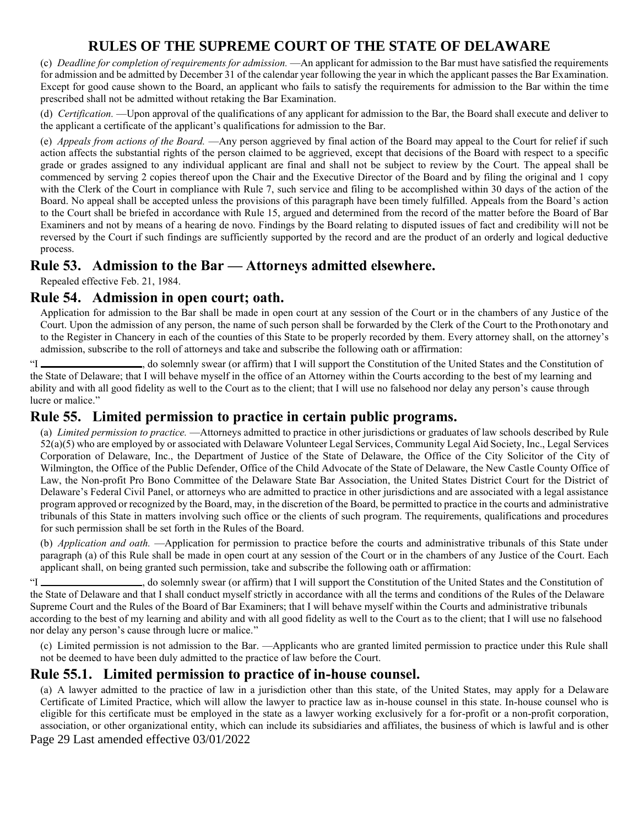(c) *Deadline for completion of requirements for admission.* —An applicant for admission to the Bar must have satisfied the requirements for admission and be admitted by December 31 of the calendar year following the year in which the applicant passes the Bar Examination. Except for good cause shown to the Board, an applicant who fails to satisfy the requirements for admission to the Bar within the time prescribed shall not be admitted without retaking the Bar Examination.

(d) *Certification.* —Upon approval of the qualifications of any applicant for admission to the Bar, the Board shall execute and deliver to the applicant a certificate of the applicant's qualifications for admission to the Bar.

(e) *Appeals from actions of the Board.* —Any person aggrieved by final action of the Board may appeal to the Court for relief if such action affects the substantial rights of the person claimed to be aggrieved, except that decisions of the Board with respect to a specific grade or grades assigned to any individual applicant are final and shall not be subject to review by the Court. The appeal shall be commenced by serving 2 copies thereof upon the Chair and the Executive Director of the Board and by filing the original and 1 copy with the Clerk of the Court in compliance with Rule 7, such service and filing to be accomplished within 30 days of the action of the Board. No appeal shall be accepted unless the provisions of this paragraph have been timely fulfilled. Appeals from the Board's action to the Court shall be briefed in accordance with Rule 15, argued and determined from the record of the matter before the Board of Bar Examiners and not by means of a hearing de novo. Findings by the Board relating to disputed issues of fact and credibility will not be reversed by the Court if such findings are sufficiently supported by the record and are the product of an orderly and logical deductive process.

### **Rule 53. Admission to the Bar — Attorneys admitted elsewhere.**

Repealed effective Feb. 21, 1984.

### **Rule 54. Admission in open court; oath.**

Application for admission to the Bar shall be made in open court at any session of the Court or in the chambers of any Justice of the Court. Upon the admission of any person, the name of such person shall be forwarded by the Clerk of the Court to the Prothonotary and to the Register in Chancery in each of the counties of this State to be properly recorded by them. Every attorney shall, on the attorney's admission, subscribe to the roll of attorneys and take and subscribe the following oath or affirmation:

"I , do solemnly swear (or affirm) that I will support the Constitution of the United States and the Constitution of the State of Delaware; that I will behave myself in the office of an Attorney within the Courts according to the best of my learning and ability and with all good fidelity as well to the Court as to the client; that I will use no falsehood nor delay any person's cause through lucre or malice."

## **Rule 55. Limited permission to practice in certain public programs.**

(a) *Limited permission to practice.* —Attorneys admitted to practice in other jurisdictions or graduates of law schools described by Rule 52(a)(5) who are employed by or associated with Delaware Volunteer Legal Services, Community Legal Aid Society, Inc., Legal Services Corporation of Delaware, Inc., the Department of Justice of the State of Delaware, the Office of the City Solicitor of the City of Wilmington, the Office of the Public Defender, Office of the Child Advocate of the State of Delaware, the New Castle County Office of Law, the Non-profit Pro Bono Committee of the Delaware State Bar Association, the United States District Court for the District of Delaware's Federal Civil Panel, or attorneys who are admitted to practice in other jurisdictions and are associated with a legal assistance program approved or recognized by the Board, may, in the discretion of the Board, be permitted to practice in the courts and administrative tribunals of this State in matters involving such office or the clients of such program. The requirements, qualifications and procedures for such permission shall be set forth in the Rules of the Board.

(b) *Application and oath.* —Application for permission to practice before the courts and administrative tribunals of this State under paragraph (a) of this Rule shall be made in open court at any session of the Court or in the chambers of any Justice of the Court. Each applicant shall, on being granted such permission, take and subscribe the following oath or affirmation:

"I \_\_\_\_\_\_\_\_\_\_\_\_\_\_\_\_\_\_\_\_\_, do solemnly swear (or affirm) that I will support the Constitution of the United States and the Constitution of the State of Delaware and that I shall conduct myself strictly in accordance with all the terms and conditions of the Rules of the Delaware Supreme Court and the Rules of the Board of Bar Examiners; that I will behave myself within the Courts and administrative tribunals according to the best of my learning and ability and with all good fidelity as well to the Court as to the client; that I will use no falsehood nor delay any person's cause through lucre or malice."

(c) Limited permission is not admission to the Bar. —Applicants who are granted limited permission to practice under this Rule shall not be deemed to have been duly admitted to the practice of law before the Court.

### **Rule 55.1. Limited permission to practice of in-house counsel.**

(a) A lawyer admitted to the practice of law in a jurisdiction other than this state, of the United States, may apply for a Delaware Certificate of Limited Practice, which will allow the lawyer to practice law as in-house counsel in this state. In-house counsel who is eligible for this certificate must be employed in the state as a lawyer working exclusively for a for-profit or a non-profit corporation, association, or other organizational entity, which can include its subsidiaries and affiliates, the business of which is lawful and is other

Page 29 Last amended effective 03/01/2022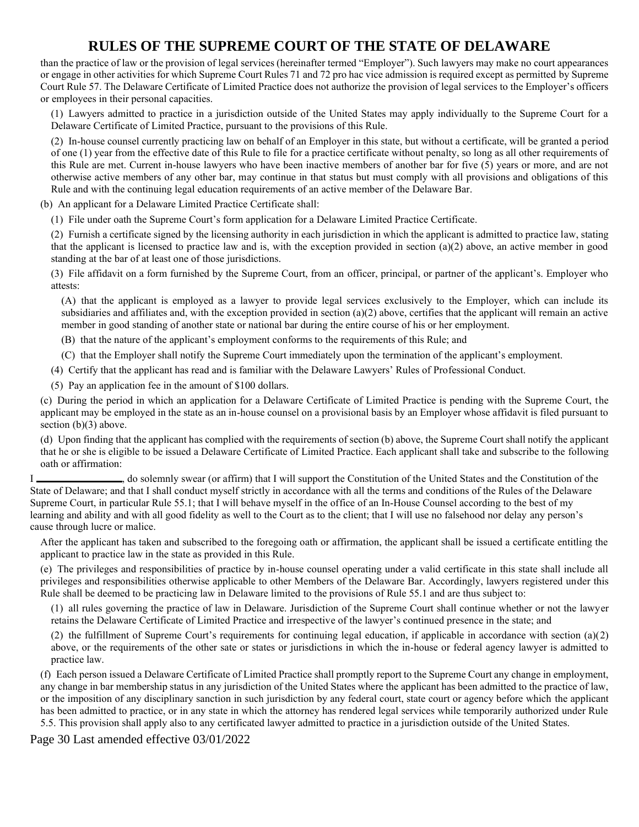than the practice of law or the provision of legal services (hereinafter termed "Employer"). Such lawyers may make no court appearances or engage in other activities for which Supreme Court Rules 71 and 72 pro hac vice admission is required except as permitted by Supreme Court Rule 57. The Delaware Certificate of Limited Practice does not authorize the provision of legal services to the Employer's officers or employees in their personal capacities.

(1) Lawyers admitted to practice in a jurisdiction outside of the United States may apply individually to the Supreme Court for a Delaware Certificate of Limited Practice, pursuant to the provisions of this Rule.

(2) In-house counsel currently practicing law on behalf of an Employer in this state, but without a certificate, will be granted a period of one (1) year from the effective date of this Rule to file for a practice certificate without penalty, so long as all other requirements of this Rule are met. Current in-house lawyers who have been inactive members of another bar for five (5) years or more, and are not otherwise active members of any other bar, may continue in that status but must comply with all provisions and obligations of this Rule and with the continuing legal education requirements of an active member of the Delaware Bar.

(b) An applicant for a Delaware Limited Practice Certificate shall:

(1) File under oath the Supreme Court's form application for a Delaware Limited Practice Certificate.

(2) Furnish a certificate signed by the licensing authority in each jurisdiction in which the applicant is admitted to practice law, stating that the applicant is licensed to practice law and is, with the exception provided in section (a)(2) above, an active member in good standing at the bar of at least one of those jurisdictions.

(3) File affidavit on a form furnished by the Supreme Court, from an officer, principal, or partner of the applicant's. Employer who attests:

(A) that the applicant is employed as a lawyer to provide legal services exclusively to the Employer, which can include its subsidiaries and affiliates and, with the exception provided in section  $(a)(2)$  above, certifies that the applicant will remain an active member in good standing of another state or national bar during the entire course of his or her employment.

(B) that the nature of the applicant's employment conforms to the requirements of this Rule; and

(C) that the Employer shall notify the Supreme Court immediately upon the termination of the applicant's employment.

(4) Certify that the applicant has read and is familiar with the Delaware Lawyers' Rules of Professional Conduct.

(5) Pay an application fee in the amount of \$100 dollars.

(c) During the period in which an application for a Delaware Certificate of Limited Practice is pending with the Supreme Court, the applicant may be employed in the state as an in-house counsel on a provisional basis by an Employer whose affidavit is filed pursuant to section (b)(3) above.

(d) Upon finding that the applicant has complied with the requirements of section (b) above, the Supreme Court shall notify the applicant that he or she is eligible to be issued a Delaware Certificate of Limited Practice. Each applicant shall take and subscribe to the following oath or affirmation:

I latter the Constitution of the United States and the Constitution of the United States and the Constitution of the State of Delaware; and that I shall conduct myself strictly in accordance with all the terms and conditions of the Rules of the Delaware Supreme Court, in particular Rule 55.1; that I will behave myself in the office of an In-House Counsel according to the best of my learning and ability and with all good fidelity as well to the Court as to the client; that I will use no falsehood nor delay any person's cause through lucre or malice.

After the applicant has taken and subscribed to the foregoing oath or affirmation, the applicant shall be issued a certificate entitling the applicant to practice law in the state as provided in this Rule.

(e) The privileges and responsibilities of practice by in-house counsel operating under a valid certificate in this state shall include all privileges and responsibilities otherwise applicable to other Members of the Delaware Bar. Accordingly, lawyers registered under this Rule shall be deemed to be practicing law in Delaware limited to the provisions of Rule 55.1 and are thus subject to:

(1) all rules governing the practice of law in Delaware. Jurisdiction of the Supreme Court shall continue whether or not the lawyer retains the Delaware Certificate of Limited Practice and irrespective of the lawyer's continued presence in the state; and

(2) the fulfillment of Supreme Court's requirements for continuing legal education, if applicable in accordance with section  $(a)(2)$ above, or the requirements of the other sate or states or jurisdictions in which the in-house or federal agency lawyer is admitted to practice law.

(f) Each person issued a Delaware Certificate of Limited Practice shall promptly report to the Supreme Court any change in employment, any change in bar membership status in any jurisdiction of the United States where the applicant has been admitted to the practice of law, or the imposition of any disciplinary sanction in such jurisdiction by any federal court, state court or agency before which the applicant has been admitted to practice, or in any state in which the attorney has rendered legal services while temporarily authorized under Rule 5.5. This provision shall apply also to any certificated lawyer admitted to practice in a jurisdiction outside of the United States.

Page 30 Last amended effective 03/01/2022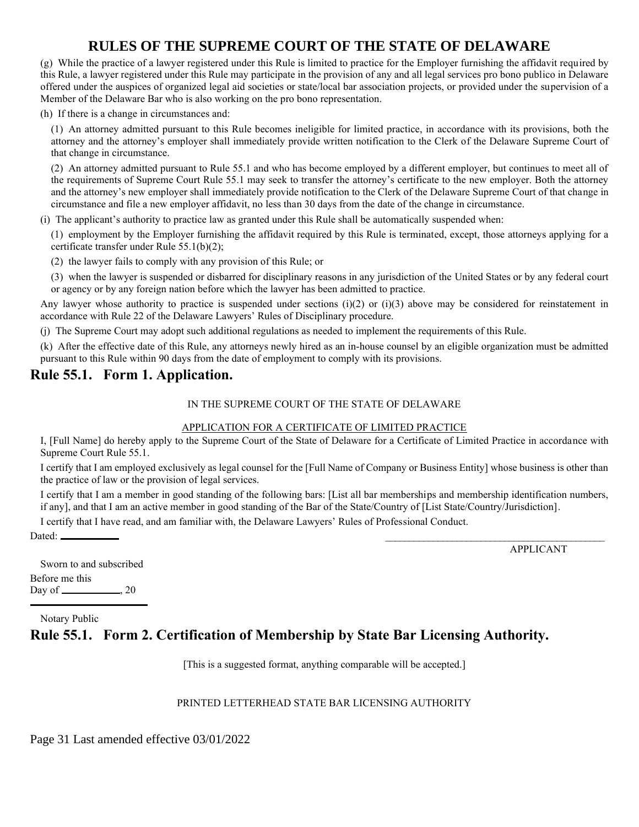(g) While the practice of a lawyer registered under this Rule is limited to practice for the Employer furnishing the affidavit required by this Rule, a lawyer registered under this Rule may participate in the provision of any and all legal services pro bono publico in Delaware offered under the auspices of organized legal aid societies or state/local bar association projects, or provided under the supervision of a Member of the Delaware Bar who is also working on the pro bono representation.

(h) If there is a change in circumstances and:

(1) An attorney admitted pursuant to this Rule becomes ineligible for limited practice, in accordance with its provisions, both the attorney and the attorney's employer shall immediately provide written notification to the Clerk of the Delaware Supreme Court of that change in circumstance.

(2) An attorney admitted pursuant to Rule 55.1 and who has become employed by a different employer, but continues to meet all of the requirements of Supreme Court Rule 55.1 may seek to transfer the attorney's certificate to the new employer. Both the attorney and the attorney's new employer shall immediately provide notification to the Clerk of the Delaware Supreme Court of that change in circumstance and file a new employer affidavit, no less than 30 days from the date of the change in circumstance.

(i) The applicant's authority to practice law as granted under this Rule shall be automatically suspended when:

(1) employment by the Employer furnishing the affidavit required by this Rule is terminated, except, those attorneys applying for a certificate transfer under Rule 55.1(b)(2);

(2) the lawyer fails to comply with any provision of this Rule; or

(3) when the lawyer is suspended or disbarred for disciplinary reasons in any jurisdiction of the United States or by any federal court or agency or by any foreign nation before which the lawyer has been admitted to practice.

Any lawyer whose authority to practice is suspended under sections  $(i)(2)$  or  $(i)(3)$  above may be considered for reinstatement in accordance with Rule 22 of the Delaware Lawyers' Rules of Disciplinary procedure.

(j) The Supreme Court may adopt such additional regulations as needed to implement the requirements of this Rule.

(k) After the effective date of this Rule, any attorneys newly hired as an in-house counsel by an eligible organization must be admitted pursuant to this Rule within 90 days from the date of employment to comply with its provisions.

### **Rule 55.1. Form 1. Application.**

#### IN THE SUPREME COURT OF THE STATE OF DELAWARE

#### APPLICATION FOR A CERTIFICATE OF LIMITED PRACTICE

I, [Full Name] do hereby apply to the Supreme Court of the State of Delaware for a Certificate of Limited Practice in accordance with Supreme Court Rule 55.1.

I certify that I am employed exclusively as legal counsel for the [Full Name of Company or Business Entity] whose business is other than the practice of law or the provision of legal services.

I certify that I am a member in good standing of the following bars: [List all bar memberships and membership identification numbers, if any], and that I am an active member in good standing of the Bar of the State/Country of [List State/Country/Jurisdiction].

I certify that I have read, and am familiar with, the Delaware Lawyers' Rules of Professional Conduct.

Dated: \_\_\_\_\_\_\_\_\_\_\_\_\_\_\_\_\_\_\_\_\_\_\_\_\_\_\_\_\_\_\_\_\_\_\_\_\_\_\_\_\_\_\_\_\_\_

APPLICANT

Sworn to and subscribed Before me this Day of  $\_\_\_\_\_$ , 20

Notary Public

### **Rule 55.1. Form 2. Certification of Membership by State Bar Licensing Authority.**

[This is a suggested format, anything comparable will be accepted.]

#### PRINTED LETTERHEAD STATE BAR LICENSING AUTHORITY

Page 31 Last amended effective 03/01/2022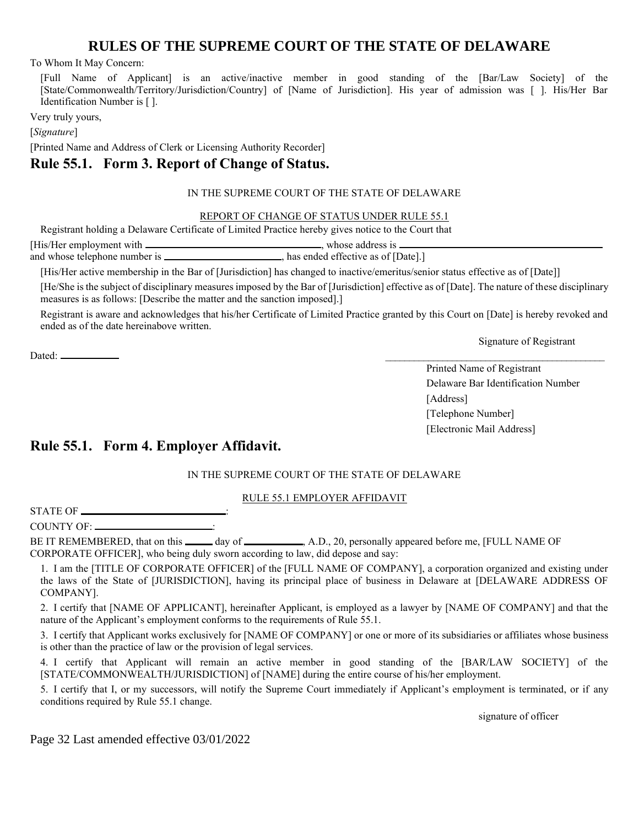To Whom It May Concern:

[Full Name of Applicant] is an active/inactive member in good standing of the [Bar/Law Society] of the [State/Commonwealth/Territory/Jurisdiction/Country] of [Name of Jurisdiction]. His year of admission was [ ]. His/Her Bar Identification Number is [ ].

Very truly yours,

[*Signature*]

[Printed Name and Address of Clerk or Licensing Authority Recorder]

### **Rule 55.1. Form 3. Report of Change of Status.**

#### IN THE SUPREME COURT OF THE STATE OF DELAWARE

#### REPORT OF CHANGE OF STATUS UNDER RULE 55.1

Registrant holding a Delaware Certificate of Limited Practice hereby gives notice to the Court that

| [His/Her employment with .             | whose address is                     |
|----------------------------------------|--------------------------------------|
| and whose telephone number is $\equiv$ | , has ended effective as of [Date].] |

[His/Her active membership in the Bar of [Jurisdiction] has changed to inactive/emeritus/senior status effective as of [Date]]

[He/She is the subject of disciplinary measures imposed by the Bar of [Jurisdiction] effective as of [Date]. The nature of these disciplinary measures is as follows: [Describe the matter and the sanction imposed].]

Registrant is aware and acknowledges that his/her Certificate of Limited Practice granted by this Court on [Date] is hereby revoked and ended as of the date hereinabove written.

Signature of Registrant

Printed Name of Registrant Delaware Bar Identification Number [Address] [Telephone Number] [Electronic Mail Address]

### **Rule 55.1. Form 4. Employer Affidavit.**

#### IN THE SUPREME COURT OF THE STATE OF DELAWARE

RULE 55.1 EMPLOYER AFFIDAVIT

STATE OF  $\_\_$ 

COUNTY OF:

Dated: \_\_\_\_\_\_\_\_\_\_\_\_\_\_\_\_\_\_\_\_\_\_\_\_\_\_\_\_\_\_\_\_\_\_\_\_\_\_\_\_\_\_\_\_\_\_

BE IT REMEMBERED, that on this \_\_\_\_\_ day of \_\_\_\_\_\_\_\_\_, A.D., 20, personally appeared before me, [FULL NAME OF CORPORATE OFFICER], who being duly sworn according to law, did depose and say:

1. I am the [TITLE OF CORPORATE OFFICER] of the [FULL NAME OF COMPANY], a corporation organized and existing under the laws of the State of [JURISDICTION], having its principal place of business in Delaware at [DELAWARE ADDRESS OF COMPANY].

2. I certify that [NAME OF APPLICANT], hereinafter Applicant, is employed as a lawyer by [NAME OF COMPANY] and that the nature of the Applicant's employment conforms to the requirements of Rule 55.1.

3. I certify that Applicant works exclusively for [NAME OF COMPANY] or one or more of its subsidiaries or affiliates whose business is other than the practice of law or the provision of legal services.

4. I certify that Applicant will remain an active member in good standing of the [BAR/LAW SOCIETY] of the [STATE/COMMONWEALTH/JURISDICTION] of [NAME] during the entire course of his/her employment.

5. I certify that I, or my successors, will notify the Supreme Court immediately if Applicant's employment is terminated, or if any conditions required by Rule 55.1 change.

signature of officer

Page 32 Last amended effective 03/01/2022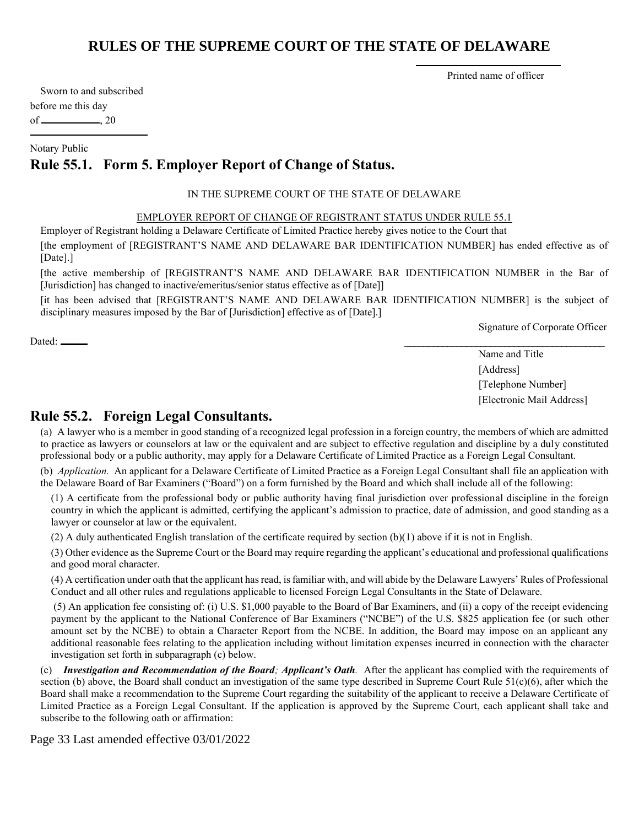Printed name of officer

Sworn to and subscribed before me this day of  $\_\_\_\_$ , 20

Notary Public

## **Rule 55.1. Form 5. Employer Report of Change of Status.**

#### IN THE SUPREME COURT OF THE STATE OF DELAWARE

#### EMPLOYER REPORT OF CHANGE OF REGISTRANT STATUS UNDER RULE 55.1

Employer of Registrant holding a Delaware Certificate of Limited Practice hereby gives notice to the Court that

[the employment of [REGISTRANT'S NAME AND DELAWARE BAR IDENTIFICATION NUMBER] has ended effective as of [Date].]

[the active membership of [REGISTRANT'S NAME AND DELAWARE BAR IDENTIFICATION NUMBER in the Bar of [Jurisdiction] has changed to inactive/emeritus/senior status effective as of [Date]]

[it has been advised that [REGISTRANT'S NAME AND DELAWARE BAR IDENTIFICATION NUMBER] is the subject of disciplinary measures imposed by the Bar of [Jurisdiction] effective as of [Date].]

Signature of Corporate Officer

 $\text{Dated:}\textcolor{red}{\overline{\text{Data}}}$ 

Name and Title [Address] [Telephone Number] [Electronic Mail Address]

### **Rule 55.2. Foreign Legal Consultants.**

(a) A lawyer who is a member in good standing of a recognized legal profession in a foreign country, the members of which are admitted to practice as lawyers or counselors at law or the equivalent and are subject to effective regulation and discipline by a duly constituted professional body or a public authority, may apply for a Delaware Certificate of Limited Practice as a Foreign Legal Consultant.

(b) *Application.* An applicant for a Delaware Certificate of Limited Practice as a Foreign Legal Consultant shall file an application with the Delaware Board of Bar Examiners ("Board") on a form furnished by the Board and which shall include all of the following:

(1) A certificate from the professional body or public authority having final jurisdiction over professional discipline in the foreign country in which the applicant is admitted, certifying the applicant's admission to practice, date of admission, and good standing as a lawyer or counselor at law or the equivalent.

(2) A duly authenticated English translation of the certificate required by section  $(b)(1)$  above if it is not in English.

(3) Other evidence as the Supreme Court or the Board may require regarding the applicant's educational and professional qualifications and good moral character.

(4) A certification under oath that the applicant has read, is familiar with, and will abide by the Delaware Lawyers' Rules of Professional Conduct and all other rules and regulations applicable to licensed Foreign Legal Consultants in the State of Delaware.

(5) An application fee consisting of: (i) U.S. \$1,000 payable to the Board of Bar Examiners, and (ii) a copy of the receipt evidencing payment by the applicant to the National Conference of Bar Examiners ("NCBE") of the U.S. \$825 application fee (or such other amount set by the NCBE) to obtain a Character Report from the NCBE. In addition, the Board may impose on an applicant any additional reasonable fees relating to the application including without limitation expenses incurred in connection with the character investigation set forth in subparagraph (c) below.

(c) *Investigation and Recommendation of the Board; Applicant's Oath.* After the applicant has complied with the requirements of section (b) above, the Board shall conduct an investigation of the same type described in Supreme Court Rule  $51(c)(6)$ , after which the Board shall make a recommendation to the Supreme Court regarding the suitability of the applicant to receive a Delaware Certificate of Limited Practice as a Foreign Legal Consultant. If the application is approved by the Supreme Court, each applicant shall take and subscribe to the following oath or affirmation:

Page 33 Last amended effective 03/01/2022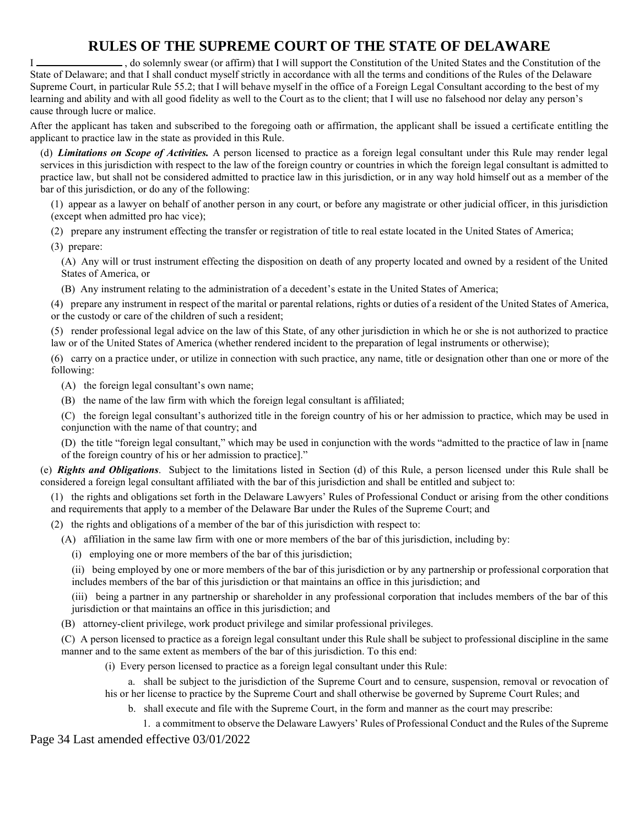I , do solemnly swear (or affirm) that I will support the Constitution of the United States and the Constitution of the State of Delaware; and that I shall conduct myself strictly in accordance with all the terms and conditions of the Rules of the Delaware Supreme Court, in particular Rule 55.2; that I will behave myself in the office of a Foreign Legal Consultant according to the best of my learning and ability and with all good fidelity as well to the Court as to the client; that I will use no falsehood nor delay any person's cause through lucre or malice.

After the applicant has taken and subscribed to the foregoing oath or affirmation, the applicant shall be issued a certificate entitling the applicant to practice law in the state as provided in this Rule.

(d) *Limitations on Scope of Activities.* A person licensed to practice as a foreign legal consultant under this Rule may render legal services in this jurisdiction with respect to the law of the foreign country or countries in which the foreign legal consultant is admitted to practice law, but shall not be considered admitted to practice law in this jurisdiction, or in any way hold himself out as a member of the bar of this jurisdiction, or do any of the following:

(1) appear as a lawyer on behalf of another person in any court, or before any magistrate or other judicial officer, in this jurisdiction (except when admitted pro hac vice);

(2) prepare any instrument effecting the transfer or registration of title to real estate located in the United States of America;

(3) prepare:

(A) Any will or trust instrument effecting the disposition on death of any property located and owned by a resident of the United States of America, or

(B) Any instrument relating to the administration of a decedent's estate in the United States of America;

(4) prepare any instrument in respect of the marital or parental relations, rights or duties of a resident of the United States of America, or the custody or care of the children of such a resident;

(5) render professional legal advice on the law of this State, of any other jurisdiction in which he or she is not authorized to practice law or of the United States of America (whether rendered incident to the preparation of legal instruments or otherwise);

(6) carry on a practice under, or utilize in connection with such practice, any name, title or designation other than one or more of the following:

(A) the foreign legal consultant's own name;

(B) the name of the law firm with which the foreign legal consultant is affiliated;

(C) the foreign legal consultant's authorized title in the foreign country of his or her admission to practice, which may be used in conjunction with the name of that country; and

(D) the title "foreign legal consultant," which may be used in conjunction with the words "admitted to the practice of law in [name of the foreign country of his or her admission to practice]."

(e) *Rights and Obligations*. Subject to the limitations listed in Section (d) of this Rule, a person licensed under this Rule shall be considered a foreign legal consultant affiliated with the bar of this jurisdiction and shall be entitled and subject to:

(1) the rights and obligations set forth in the Delaware Lawyers' Rules of Professional Conduct or arising from the other conditions and requirements that apply to a member of the Delaware Bar under the Rules of the Supreme Court; and

(2) the rights and obligations of a member of the bar of this jurisdiction with respect to:

(A) affiliation in the same law firm with one or more members of the bar of this jurisdiction, including by:

(i) employing one or more members of the bar of this jurisdiction;

(ii) being employed by one or more members of the bar of this jurisdiction or by any partnership or professional corporation that includes members of the bar of this jurisdiction or that maintains an office in this jurisdiction; and

(iii) being a partner in any partnership or shareholder in any professional corporation that includes members of the bar of this jurisdiction or that maintains an office in this jurisdiction; and

(B) attorney-client privilege, work product privilege and similar professional privileges.

(C) A person licensed to practice as a foreign legal consultant under this Rule shall be subject to professional discipline in the same manner and to the same extent as members of the bar of this jurisdiction. To this end:

(i) Every person licensed to practice as a foreign legal consultant under this Rule:

a. shall be subject to the jurisdiction of the Supreme Court and to censure, suspension, removal or revocation of his or her license to practice by the Supreme Court and shall otherwise be governed by Supreme Court Rules; and

b. shall execute and file with the Supreme Court, in the form and manner as the court may prescribe:

1. a commitment to observe the Delaware Lawyers' Rules of Professional Conduct and the Rules of the Supreme

Page 34 Last amended effective 03/01/2022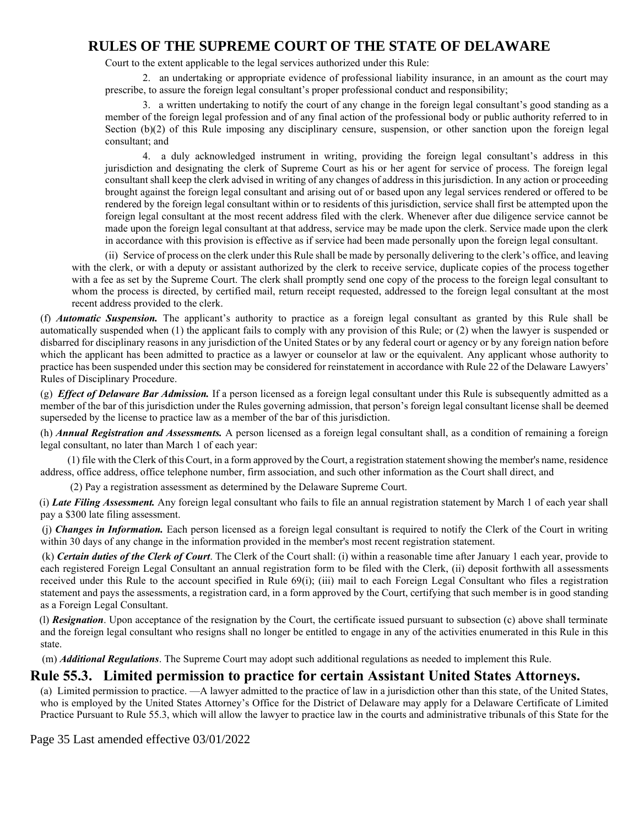Court to the extent applicable to the legal services authorized under this Rule:

2. an undertaking or appropriate evidence of professional liability insurance, in an amount as the court may prescribe, to assure the foreign legal consultant's proper professional conduct and responsibility;

3. a written undertaking to notify the court of any change in the foreign legal consultant's good standing as a member of the foreign legal profession and of any final action of the professional body or public authority referred to in Section (b)(2) of this Rule imposing any disciplinary censure, suspension, or other sanction upon the foreign legal consultant; and

4. a duly acknowledged instrument in writing, providing the foreign legal consultant's address in this jurisdiction and designating the clerk of Supreme Court as his or her agent for service of process. The foreign legal consultant shall keep the clerk advised in writing of any changes of address in this jurisdiction. In any action or proceeding brought against the foreign legal consultant and arising out of or based upon any legal services rendered or offered to be rendered by the foreign legal consultant within or to residents of this jurisdiction, service shall first be attempted upon the foreign legal consultant at the most recent address filed with the clerk. Whenever after due diligence service cannot be made upon the foreign legal consultant at that address, service may be made upon the clerk. Service made upon the clerk in accordance with this provision is effective as if service had been made personally upon the foreign legal consultant.

(ii) Service of process on the clerk under this Rule shall be made by personally delivering to the clerk's office, and leaving with the clerk, or with a deputy or assistant authorized by the clerk to receive service, duplicate copies of the process together with a fee as set by the Supreme Court. The clerk shall promptly send one copy of the process to the foreign legal consultant to whom the process is directed, by certified mail, return receipt requested, addressed to the foreign legal consultant at the most recent address provided to the clerk.

(f) *Automatic Suspension.* The applicant's authority to practice as a foreign legal consultant as granted by this Rule shall be automatically suspended when (1) the applicant fails to comply with any provision of this Rule; or (2) when the lawyer is suspended or disbarred for disciplinary reasons in any jurisdiction of the United States or by any federal court or agency or by any foreign nation before which the applicant has been admitted to practice as a lawyer or counselor at law or the equivalent. Any applicant whose authority to practice has been suspended under this section may be considered for reinstatement in accordance with Rule 22 of the Delaware Lawyers' Rules of Disciplinary Procedure.

(g) *Effect of Delaware Bar Admission.* If a person licensed as a foreign legal consultant under this Rule is subsequently admitted as a member of the bar of this jurisdiction under the Rules governing admission, that person's foreign legal consultant license shall be deemed superseded by the license to practice law as a member of the bar of this jurisdiction.

(h) *Annual Registration and Assessments.* A person licensed as a foreign legal consultant shall, as a condition of remaining a foreign legal consultant, no later than March 1 of each year:

(1) file with the Clerk of this Court, in a form approved by the Court, a registration statement showing the member's name, residence address, office address, office telephone number, firm association, and such other information as the Court shall direct, and

(2) Pay a registration assessment as determined by the Delaware Supreme Court.

(i) *Late Filing Assessment.* Any foreign legal consultant who fails to file an annual registration statement by March 1 of each year shall pay a \$300 late filing assessment.

(j) *Changes in Information.* Each person licensed as a foreign legal consultant is required to notify the Clerk of the Court in writing within 30 days of any change in the information provided in the member's most recent registration statement.

(k) *Certain duties of the Clerk of Court*. The Clerk of the Court shall: (i) within a reasonable time after January 1 each year, provide to each registered Foreign Legal Consultant an annual registration form to be filed with the Clerk, (ii) deposit forthwith all assessments received under this Rule to the account specified in Rule 69(i); (iii) mail to each Foreign Legal Consultant who files a registration statement and pays the assessments, a registration card, in a form approved by the Court, certifying that such member is in good standing as a Foreign Legal Consultant.

(l) *Resignation*. Upon acceptance of the resignation by the Court, the certificate issued pursuant to subsection (c) above shall terminate and the foreign legal consultant who resigns shall no longer be entitled to engage in any of the activities enumerated in this Rule in this state.

(m) *Additional Regulations*. The Supreme Court may adopt such additional regulations as needed to implement this Rule.

### **Rule 55.3. Limited permission to practice for certain Assistant United States Attorneys.**

(a) Limited permission to practice. —A lawyer admitted to the practice of law in a jurisdiction other than this state, of the United States, who is employed by the United States Attorney's Office for the District of Delaware may apply for a Delaware Certificate of Limited Practice Pursuant to Rule 55.3, which will allow the lawyer to practice law in the courts and administrative tribunals of this State for the

Page 35 Last amended effective 03/01/2022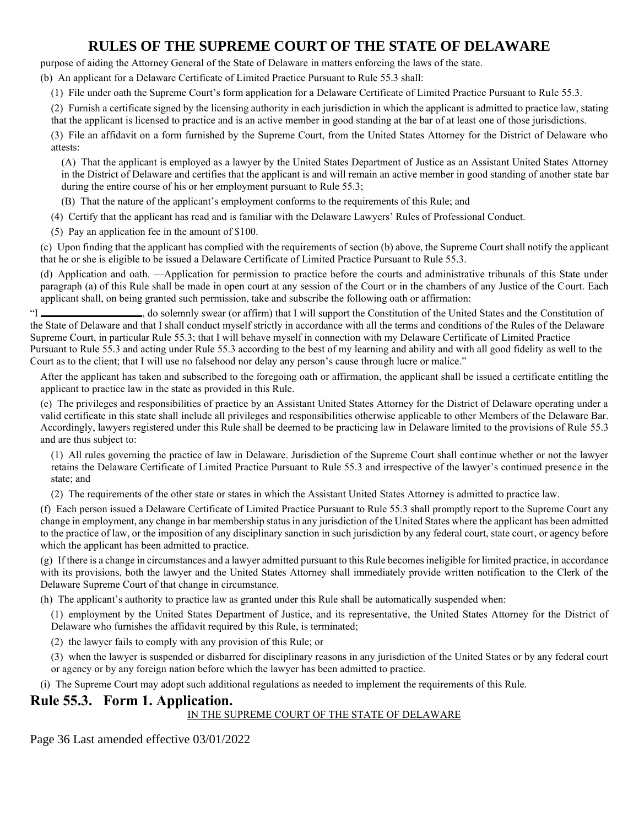purpose of aiding the Attorney General of the State of Delaware in matters enforcing the laws of the state.

(b) An applicant for a Delaware Certificate of Limited Practice Pursuant to Rule 55.3 shall:

(1) File under oath the Supreme Court's form application for a Delaware Certificate of Limited Practice Pursuant to Rule 55.3.

(2) Furnish a certificate signed by the licensing authority in each jurisdiction in which the applicant is admitted to practice law, stating

that the applicant is licensed to practice and is an active member in good standing at the bar of at least one of those jurisdictions.

(3) File an affidavit on a form furnished by the Supreme Court, from the United States Attorney for the District of Delaware who attests:

(A) That the applicant is employed as a lawyer by the United States Department of Justice as an Assistant United States Attorney in the District of Delaware and certifies that the applicant is and will remain an active member in good standing of another state bar during the entire course of his or her employment pursuant to Rule 55.3;

(B) That the nature of the applicant's employment conforms to the requirements of this Rule; and

- (4) Certify that the applicant has read and is familiar with the Delaware Lawyers' Rules of Professional Conduct.
- (5) Pay an application fee in the amount of \$100.

(c) Upon finding that the applicant has complied with the requirements of section (b) above, the Supreme Court shall notify the applicant that he or she is eligible to be issued a Delaware Certificate of Limited Practice Pursuant to Rule 55.3.

(d) Application and oath. —Application for permission to practice before the courts and administrative tribunals of this State under paragraph (a) of this Rule shall be made in open court at any session of the Court or in the chambers of any Justice of the Court. Each applicant shall, on being granted such permission, take and subscribe the following oath or affirmation:

"I \_\_\_\_\_\_\_\_\_\_\_\_\_\_\_\_\_\_\_\_, do solemnly swear (or affirm) that I will support the Constitution of the United States and the Constitution of the State of Delaware and that I shall conduct myself strictly in accordance with all the terms and conditions of the Rules of the Delaware Supreme Court, in particular Rule 55.3; that I will behave myself in connection with my Delaware Certificate of Limited Practice Pursuant to Rule 55.3 and acting under Rule 55.3 according to the best of my learning and ability and with all good fidelity as well to the Court as to the client; that I will use no falsehood nor delay any person's cause through lucre or malice."

After the applicant has taken and subscribed to the foregoing oath or affirmation, the applicant shall be issued a certificate entitling the applicant to practice law in the state as provided in this Rule.

(e) The privileges and responsibilities of practice by an Assistant United States Attorney for the District of Delaware operating under a valid certificate in this state shall include all privileges and responsibilities otherwise applicable to other Members of the Delaware Bar. Accordingly, lawyers registered under this Rule shall be deemed to be practicing law in Delaware limited to the provisions of Rule 55.3 and are thus subject to:

(1) All rules governing the practice of law in Delaware. Jurisdiction of the Supreme Court shall continue whether or not the lawyer retains the Delaware Certificate of Limited Practice Pursuant to Rule 55.3 and irrespective of the lawyer's continued presence in the state; and

(2) The requirements of the other state or states in which the Assistant United States Attorney is admitted to practice law.

(f) Each person issued a Delaware Certificate of Limited Practice Pursuant to Rule 55.3 shall promptly report to the Supreme Court any change in employment, any change in bar membership status in any jurisdiction of the United States where the applicant has been admitted to the practice of law, or the imposition of any disciplinary sanction in such jurisdiction by any federal court, state court, or agency before which the applicant has been admitted to practice.

(g) If there is a change in circumstances and a lawyer admitted pursuant to this Rule becomes ineligible for limited practice, in accordance with its provisions, both the lawyer and the United States Attorney shall immediately provide written notification to the Clerk of the Delaware Supreme Court of that change in circumstance.

(h) The applicant's authority to practice law as granted under this Rule shall be automatically suspended when:

(1) employment by the United States Department of Justice, and its representative, the United States Attorney for the District of Delaware who furnishes the affidavit required by this Rule, is terminated;

(2) the lawyer fails to comply with any provision of this Rule; or

(3) when the lawyer is suspended or disbarred for disciplinary reasons in any jurisdiction of the United States or by any federal court or agency or by any foreign nation before which the lawyer has been admitted to practice.

(i) The Supreme Court may adopt such additional regulations as needed to implement the requirements of this Rule.

### **Rule 55.3. Form 1. Application.**

#### IN THE SUPREME COURT OF THE STATE OF DELAWARE

Page 36 Last amended effective 03/01/2022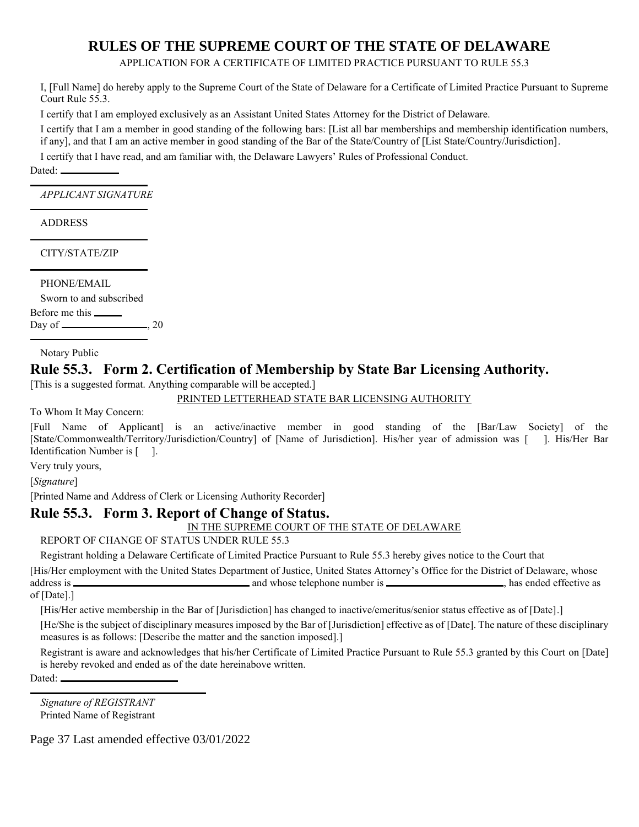APPLICATION FOR A CERTIFICATE OF LIMITED PRACTICE PURSUANT TO RULE 55.3

I, [Full Name] do hereby apply to the Supreme Court of the State of Delaware for a Certificate of Limited Practice Pursuant to Supreme Court Rule 55.3.

I certify that I am employed exclusively as an Assistant United States Attorney for the District of Delaware.

I certify that I am a member in good standing of the following bars: [List all bar memberships and membership identification numbers, if any], and that I am an active member in good standing of the Bar of the State/Country of [List State/Country/Jurisdiction].

I certify that I have read, and am familiar with, the Delaware Lawyers' Rules of Professional Conduct.

Dated:

l

l

l

*APPLICANT SIGNATURE*

ADDRESS

CITY/STATE/ZIP

PHONE/EMAIL

Sworn to and subscribed

Before me this Day of  $\qquad \qquad \longrightarrow 20$ 

Notary Public

## **Rule 55.3. Form 2. Certification of Membership by State Bar Licensing Authority.**

[This is a suggested format. Anything comparable will be accepted.]

PRINTED LETTERHEAD STATE BAR LICENSING AUTHORITY

To Whom It May Concern:

[Full Name of Applicant] is an active/inactive member in good standing of the [Bar/Law Society] of the [State/Commonwealth/Territory/Jurisdiction/Country] of [Name of Jurisdiction]. His/her year of admission was [ ]. His/Her Bar Identification Number is [ ].

Very truly yours,

[*Signature*]

[Printed Name and Address of Clerk or Licensing Authority Recorder]

#### **Rule 55.3. Form 3. Report of Change of Status.**

#### IN THE SUPREME COURT OF THE STATE OF DELAWARE

REPORT OF CHANGE OF STATUS UNDER RULE 55.3

Registrant holding a Delaware Certificate of Limited Practice Pursuant to Rule 55.3 hereby gives notice to the Court that

[His/Her employment with the United States Department of Justice, United States Attorney's Office for the District of Delaware, whose address is and whose telephone number is , has ended effective as

of [Date].]

[His/Her active membership in the Bar of [Jurisdiction] has changed to inactive/emeritus/senior status effective as of [Date].]

[He/She is the subject of disciplinary measures imposed by the Bar of [Jurisdiction] effective as of [Date]. The nature of these disciplinary measures is as follows: [Describe the matter and the sanction imposed].]

Registrant is aware and acknowledges that his/her Certificate of Limited Practice Pursuant to Rule 55.3 granted by this Court on [Date] is hereby revoked and ended as of the date hereinabove written.

Dated:<br>————

*Signature of REGISTRANT* Printed Name of Registrant

Page 37 Last amended effective 03/01/2022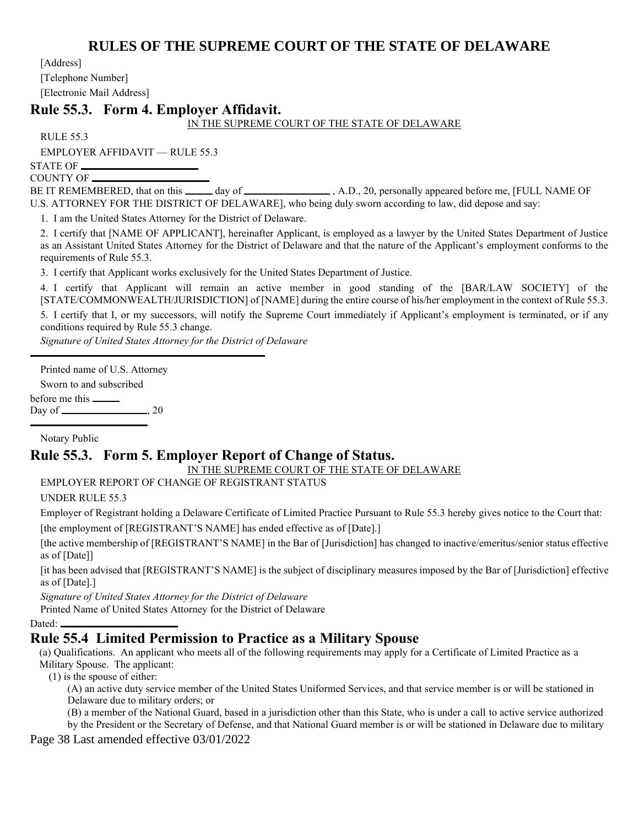[Address]

[Telephone Number]

[Electronic Mail Address]

### **Rule 55.3. Form 4. Employer Affidavit.**

IN THE SUPREME COURT OF THE STATE OF DELAWARE

RULE 55.3

EMPLOYER AFFIDAVIT — RULE 55.3

STATE OF COUNTY OF

BE IT REMEMBERED, that on this \_\_\_\_\_ day of , \_\_\_\_\_\_\_\_\_\_\_\_\_\_\_\_, A.D., 20, personally appeared before me, [FULL NAME OF U.S. ATTORNEY FOR THE DISTRICT OF DELAWARE], who being duly sworn according to law, did depose and say:

1. I am the United States Attorney for the District of Delaware.

2. I certify that [NAME OF APPLICANT], hereinafter Applicant, is employed as a lawyer by the United States Department of Justice as an Assistant United States Attorney for the District of Delaware and that the nature of the Applicant's employment conforms to the requirements of Rule 55.3.

3. I certify that Applicant works exclusively for the United States Department of Justice.

4. I certify that Applicant will remain an active member in good standing of the [BAR/LAW SOCIETY] of the [STATE/COMMONWEALTH/JURISDICTION] of [NAME] during the entire course of his/her employment in the context of Rule 55.3.

5. I certify that I, or my successors, will notify the Supreme Court immediately if Applicant's employment is terminated, or if any conditions required by Rule 55.3 change.

*Signature of United States Attorney for the District of Delaware*

Printed name of U.S. Attorney

Sworn to and subscribed

before me this

l

Day of  $\frac{20}{2}$ 

Notary Public

### **Rule 55.3. Form 5. Employer Report of Change of Status.**

IN THE SUPREME COURT OF THE STATE OF DELAWARE

EMPLOYER REPORT OF CHANGE OF REGISTRANT STATUS

UNDER RULE 55.3

Employer of Registrant holding a Delaware Certificate of Limited Practice Pursuant to Rule 55.3 hereby gives notice to the Court that:

[the employment of [REGISTRANT'S NAME] has ended effective as of [Date].]

[the active membership of [REGISTRANT'S NAME] in the Bar of [Jurisdiction] has changed to inactive/emeritus/senior status effective as of [Date]]

[it has been advised that [REGISTRANT'S NAME] is the subject of disciplinary measures imposed by the Bar of [Jurisdiction] effective as of [Date].]

*Signature of United States Attorney for the District of Delaware*

Printed Name of United States Attorney for the District of Delaware

Dated:

### **Rule 55.4 Limited Permission to Practice as a Military Spouse**

(a) Qualifications. An applicant who meets all of the following requirements may apply for a Certificate of Limited Practice as a Military Spouse. The applicant:

(1) is the spouse of either:

(A) an active duty service member of the United States Uniformed Services, and that service member is or will be stationed in Delaware due to military orders; or

(B) a member of the National Guard, based in a jurisdiction other than this State, who is under a call to active service authorized by the President or the Secretary of Defense, and that National Guard member is or will be stationed in Delaware due to military

Page 38 Last amended effective 03/01/2022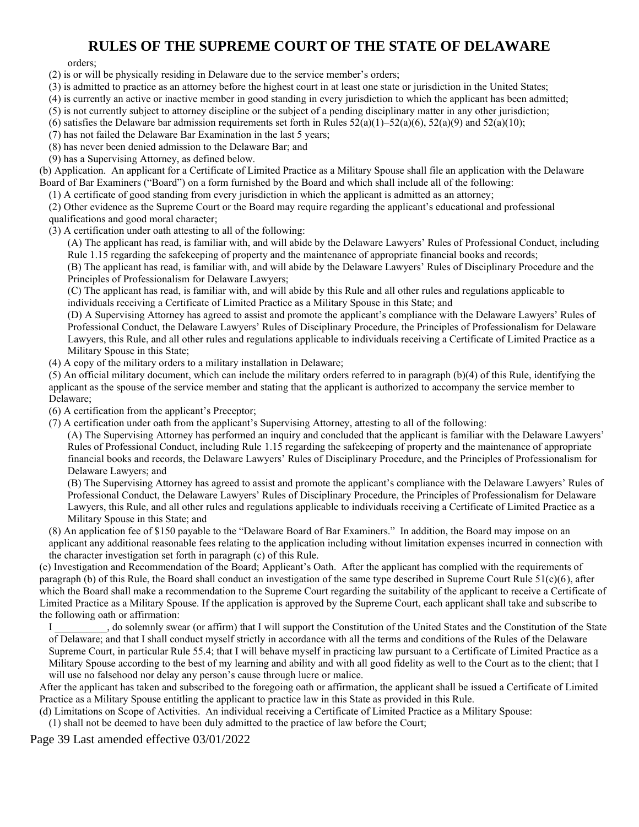orders;

- (2) is or will be physically residing in Delaware due to the service member's orders;
- (3) is admitted to practice as an attorney before the highest court in at least one state or jurisdiction in the United States;
- (4) is currently an active or inactive member in good standing in every jurisdiction to which the applicant has been admitted;
- (5) is not currently subject to attorney discipline or the subject of a pending disciplinary matter in any other jurisdiction;
- (6) satisfies the Delaware bar admission requirements set forth in Rules  $52(a)(1)$ – $52(a)(6)$ ,  $52(a)(9)$  and  $52(a)(10)$ ;
- (7) has not failed the Delaware Bar Examination in the last 5 years;
- (8) has never been denied admission to the Delaware Bar; and
- (9) has a Supervising Attorney, as defined below.

(b) Application. An applicant for a Certificate of Limited Practice as a Military Spouse shall file an application with the Delaware Board of Bar Examiners ("Board") on a form furnished by the Board and which shall include all of the following:

(1) A certificate of good standing from every jurisdiction in which the applicant is admitted as an attorney;

(2) Other evidence as the Supreme Court or the Board may require regarding the applicant's educational and professional qualifications and good moral character;

- (3) A certification under oath attesting to all of the following:
	- (A) The applicant has read, is familiar with, and will abide by the Delaware Lawyers' Rules of Professional Conduct, including Rule 1.15 regarding the safekeeping of property and the maintenance of appropriate financial books and records;
	- (B) The applicant has read, is familiar with, and will abide by the Delaware Lawyers' Rules of Disciplinary Procedure and the Principles of Professionalism for Delaware Lawyers;

(C) The applicant has read, is familiar with, and will abide by this Rule and all other rules and regulations applicable to individuals receiving a Certificate of Limited Practice as a Military Spouse in this State; and

(D) A Supervising Attorney has agreed to assist and promote the applicant's compliance with the Delaware Lawyers' Rules of Professional Conduct, the Delaware Lawyers' Rules of Disciplinary Procedure, the Principles of Professionalism for Delaware Lawyers, this Rule, and all other rules and regulations applicable to individuals receiving a Certificate of Limited Practice as a Military Spouse in this State;

(4) A copy of the military orders to a military installation in Delaware;

(5) An official military document, which can include the military orders referred to in paragraph (b)(4) of this Rule, identifying the applicant as the spouse of the service member and stating that the applicant is authorized to accompany the service member to Delaware;

(6) A certification from the applicant's Preceptor;

(7) A certification under oath from the applicant's Supervising Attorney, attesting to all of the following:

(A) The Supervising Attorney has performed an inquiry and concluded that the applicant is familiar with the Delaware Lawyers' Rules of Professional Conduct, including Rule 1.15 regarding the safekeeping of property and the maintenance of appropriate financial books and records, the Delaware Lawyers' Rules of Disciplinary Procedure, and the Principles of Professionalism for Delaware Lawyers; and

(B) The Supervising Attorney has agreed to assist and promote the applicant's compliance with the Delaware Lawyers' Rules of Professional Conduct, the Delaware Lawyers' Rules of Disciplinary Procedure, the Principles of Professionalism for Delaware Lawyers, this Rule, and all other rules and regulations applicable to individuals receiving a Certificate of Limited Practice as a Military Spouse in this State; and

(8) An application fee of \$150 payable to the "Delaware Board of Bar Examiners." In addition, the Board may impose on an applicant any additional reasonable fees relating to the application including without limitation expenses incurred in connection with the character investigation set forth in paragraph (c) of this Rule.

(c) Investigation and Recommendation of the Board; Applicant's Oath. After the applicant has complied with the requirements of paragraph (b) of this Rule, the Board shall conduct an investigation of the same type described in Supreme Court Rule 51(c)(6), after which the Board shall make a recommendation to the Supreme Court regarding the suitability of the applicant to receive a Certificate of Limited Practice as a Military Spouse. If the application is approved by the Supreme Court, each applicant shall take and subscribe to the following oath or affirmation:

I \_\_\_\_\_\_\_\_\_\_, do solemnly swear (or affirm) that I will support the Constitution of the United States and the Constitution of the State of Delaware; and that I shall conduct myself strictly in accordance with all the terms and conditions of the Rules of the Delaware Supreme Court, in particular Rule 55.4; that I will behave myself in practicing law pursuant to a Certificate of Limited Practice as a Military Spouse according to the best of my learning and ability and with all good fidelity as well to the Court as to the client; that I will use no falsehood nor delay any person's cause through lucre or malice.

After the applicant has taken and subscribed to the foregoing oath or affirmation, the applicant shall be issued a Certificate of Limited Practice as a Military Spouse entitling the applicant to practice law in this State as provided in this Rule.

(d) Limitations on Scope of Activities. An individual receiving a Certificate of Limited Practice as a Military Spouse:

(1) shall not be deemed to have been duly admitted to the practice of law before the Court;

Page 39 Last amended effective 03/01/2022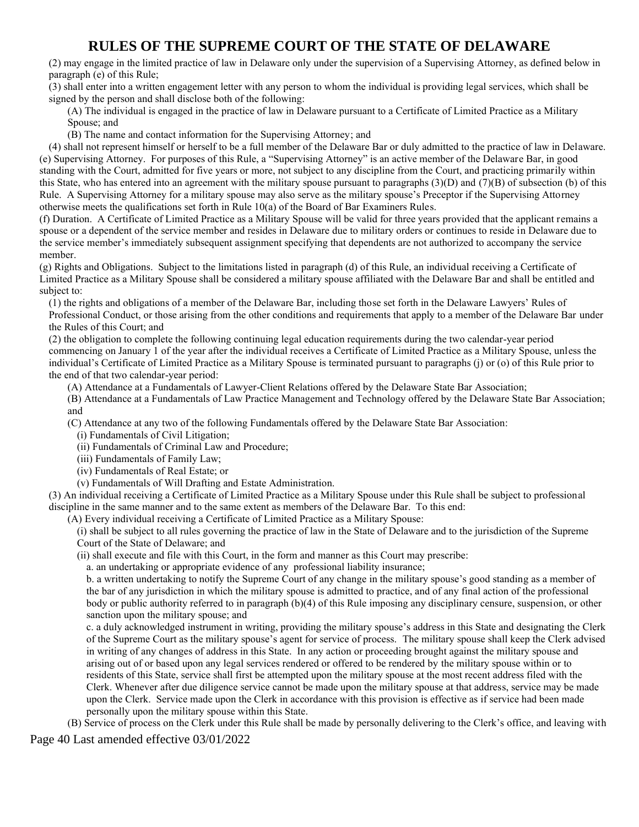(2) may engage in the limited practice of law in Delaware only under the supervision of a Supervising Attorney, as defined below in paragraph (e) of this Rule;

(3) shall enter into a written engagement letter with any person to whom the individual is providing legal services, which shall be signed by the person and shall disclose both of the following:

(A) The individual is engaged in the practice of law in Delaware pursuant to a Certificate of Limited Practice as a Military Spouse; and

(B) The name and contact information for the Supervising Attorney; and

(4) shall not represent himself or herself to be a full member of the Delaware Bar or duly admitted to the practice of law in Delaware. (e) Supervising Attorney. For purposes of this Rule, a "Supervising Attorney" is an active member of the Delaware Bar, in good standing with the Court, admitted for five years or more, not subject to any discipline from the Court, and practicing primarily within this State, who has entered into an agreement with the military spouse pursuant to paragraphs (3)(D) and (7)(B) of subsection (b) of this Rule. A Supervising Attorney for a military spouse may also serve as the military spouse's Preceptor if the Supervising Attorney otherwise meets the qualifications set forth in Rule 10(a) of the Board of Bar Examiners Rules.

(f) Duration. A Certificate of Limited Practice as a Military Spouse will be valid for three years provided that the applicant remains a spouse or a dependent of the service member and resides in Delaware due to military orders or continues to reside in Delaware due to the service member's immediately subsequent assignment specifying that dependents are not authorized to accompany the service member.

(g) Rights and Obligations. Subject to the limitations listed in paragraph (d) of this Rule, an individual receiving a Certificate of Limited Practice as a Military Spouse shall be considered a military spouse affiliated with the Delaware Bar and shall be entitled and subject to:

(1) the rights and obligations of a member of the Delaware Bar, including those set forth in the Delaware Lawyers' Rules of Professional Conduct, or those arising from the other conditions and requirements that apply to a member of the Delaware Bar under the Rules of this Court; and

(2) the obligation to complete the following continuing legal education requirements during the two calendar-year period commencing on January 1 of the year after the individual receives a Certificate of Limited Practice as a Military Spouse, unless the individual's Certificate of Limited Practice as a Military Spouse is terminated pursuant to paragraphs (j) or (o) of this Rule prior to the end of that two calendar-year period:

(A) Attendance at a Fundamentals of Lawyer-Client Relations offered by the Delaware State Bar Association;

(B) Attendance at a Fundamentals of Law Practice Management and Technology offered by the Delaware State Bar Association; and

(C) Attendance at any two of the following Fundamentals offered by the Delaware State Bar Association:

(i) Fundamentals of Civil Litigation;

(ii) Fundamentals of Criminal Law and Procedure;

(iii) Fundamentals of Family Law;

(iv) Fundamentals of Real Estate; or

(v) Fundamentals of Will Drafting and Estate Administration.

(3) An individual receiving a Certificate of Limited Practice as a Military Spouse under this Rule shall be subject to professional discipline in the same manner and to the same extent as members of the Delaware Bar. To this end:

(A) Every individual receiving a Certificate of Limited Practice as a Military Spouse:

(i) shall be subject to all rules governing the practice of law in the State of Delaware and to the jurisdiction of the Supreme Court of the State of Delaware; and

(ii) shall execute and file with this Court, in the form and manner as this Court may prescribe:

a. an undertaking or appropriate evidence of any professional liability insurance;

b. a written undertaking to notify the Supreme Court of any change in the military spouse's good standing as a member of the bar of any jurisdiction in which the military spouse is admitted to practice, and of any final action of the professional body or public authority referred to in paragraph (b)(4) of this Rule imposing any disciplinary censure, suspension, or other sanction upon the military spouse; and

c. a duly acknowledged instrument in writing, providing the military spouse's address in this State and designating the Clerk of the Supreme Court as the military spouse's agent for service of process. The military spouse shall keep the Clerk advised in writing of any changes of address in this State. In any action or proceeding brought against the military spouse and arising out of or based upon any legal services rendered or offered to be rendered by the military spouse within or to residents of this State, service shall first be attempted upon the military spouse at the most recent address filed with the Clerk. Whenever after due diligence service cannot be made upon the military spouse at that address, service may be made upon the Clerk. Service made upon the Clerk in accordance with this provision is effective as if service had been made personally upon the military spouse within this State.

(B) Service of process on the Clerk under this Rule shall be made by personally delivering to the Clerk's office, and leaving with

Page 40 Last amended effective 03/01/2022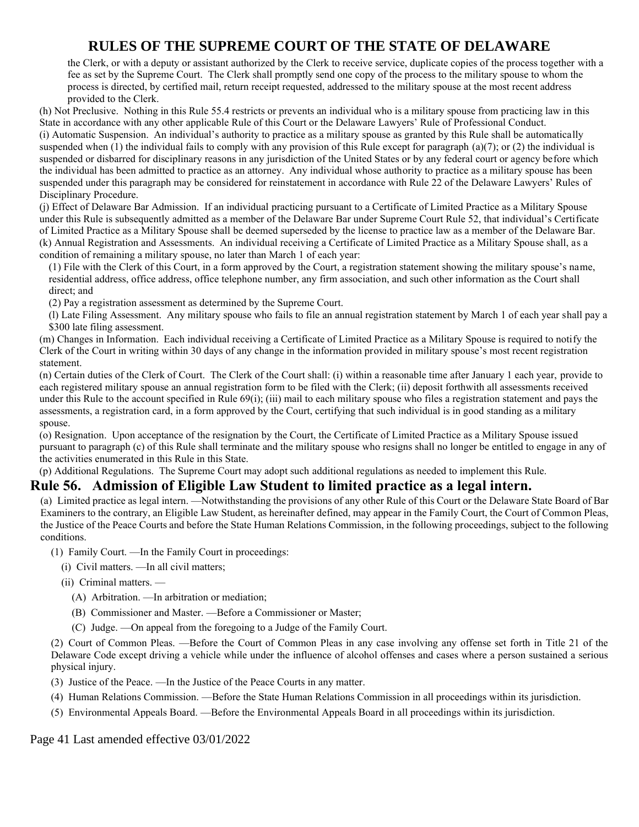the Clerk, or with a deputy or assistant authorized by the Clerk to receive service, duplicate copies of the process together with a fee as set by the Supreme Court. The Clerk shall promptly send one copy of the process to the military spouse to whom the process is directed, by certified mail, return receipt requested, addressed to the military spouse at the most recent address provided to the Clerk.

(h) Not Preclusive. Nothing in this Rule 55.4 restricts or prevents an individual who is a military spouse from practicing law in this State in accordance with any other applicable Rule of this Court or the Delaware Lawyers' Rule of Professional Conduct. (i) Automatic Suspension. An individual's authority to practice as a military spouse as granted by this Rule shall be automatically suspended when (1) the individual fails to comply with any provision of this Rule except for paragraph (a)(7); or (2) the individual is suspended or disbarred for disciplinary reasons in any jurisdiction of the United States or by any federal court or agency before which the individual has been admitted to practice as an attorney. Any individual whose authority to practice as a military spouse has been suspended under this paragraph may be considered for reinstatement in accordance with Rule 22 of the Delaware Lawyers' Rules of Disciplinary Procedure.

(j) Effect of Delaware Bar Admission. If an individual practicing pursuant to a Certificate of Limited Practice as a Military Spouse under this Rule is subsequently admitted as a member of the Delaware Bar under Supreme Court Rule 52, that individual's Certificate of Limited Practice as a Military Spouse shall be deemed superseded by the license to practice law as a member of the Delaware Bar. (k) Annual Registration and Assessments. An individual receiving a Certificate of Limited Practice as a Military Spouse shall, as a condition of remaining a military spouse, no later than March 1 of each year:

(1) File with the Clerk of this Court, in a form approved by the Court, a registration statement showing the military spouse's name, residential address, office address, office telephone number, any firm association, and such other information as the Court shall direct; and

(2) Pay a registration assessment as determined by the Supreme Court.

(l) Late Filing Assessment. Any military spouse who fails to file an annual registration statement by March 1 of each year shall pay a \$300 late filing assessment.

(m) Changes in Information. Each individual receiving a Certificate of Limited Practice as a Military Spouse is required to notify the Clerk of the Court in writing within 30 days of any change in the information provided in military spouse's most recent registration statement.

(n) Certain duties of the Clerk of Court. The Clerk of the Court shall: (i) within a reasonable time after January 1 each year, provide to each registered military spouse an annual registration form to be filed with the Clerk; (ii) deposit forthwith all assessments received under this Rule to the account specified in Rule 69(i); (iii) mail to each military spouse who files a registration statement and pays the assessments, a registration card, in a form approved by the Court, certifying that such individual is in good standing as a military spouse.

(o) Resignation. Upon acceptance of the resignation by the Court, the Certificate of Limited Practice as a Military Spouse issued pursuant to paragraph (c) of this Rule shall terminate and the military spouse who resigns shall no longer be entitled to engage in any of the activities enumerated in this Rule in this State.

(p) Additional Regulations. The Supreme Court may adopt such additional regulations as needed to implement this Rule.

### **Rule 56. Admission of Eligible Law Student to limited practice as a legal intern.**

(a) Limited practice as legal intern. —Notwithstanding the provisions of any other Rule of this Court or the Delaware State Board of Bar Examiners to the contrary, an Eligible Law Student, as hereinafter defined, may appear in the Family Court, the Court of Common Pleas, the Justice of the Peace Courts and before the State Human Relations Commission, in the following proceedings, subject to the following conditions.

(1) Family Court. —In the Family Court in proceedings:

- (i) Civil matters. —In all civil matters;
- (ii) Criminal matters.
	- (A) Arbitration. —In arbitration or mediation;
	- (B) Commissioner and Master. —Before a Commissioner or Master;
	- (C) Judge. —On appeal from the foregoing to a Judge of the Family Court.

(2) Court of Common Pleas. —Before the Court of Common Pleas in any case involving any offense set forth in Title 21 of the Delaware Code except driving a vehicle while under the influence of alcohol offenses and cases where a person sustained a serious physical injury.

- (3) Justice of the Peace. —In the Justice of the Peace Courts in any matter.
- (4) Human Relations Commission. —Before the State Human Relations Commission in all proceedings within its jurisdiction.
- (5) Environmental Appeals Board. —Before the Environmental Appeals Board in all proceedings within its jurisdiction.

Page 41 Last amended effective 03/01/2022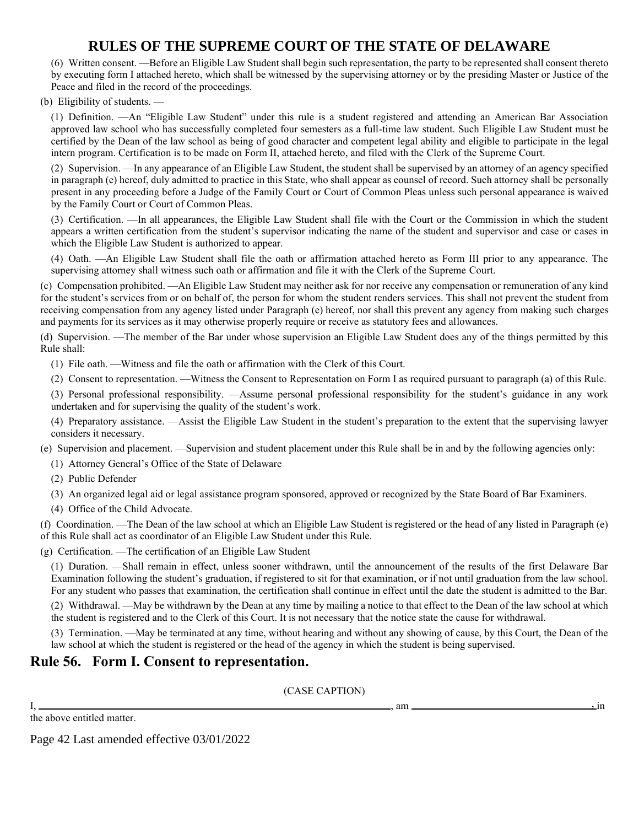(6) Written consent. —Before an Eligible Law Student shall begin such representation, the party to be represented shall consent thereto by executing form I attached hereto, which shall be witnessed by the supervising attorney or by the presiding Master or Justice of the Peace and filed in the record of the proceedings.

(b) Eligibility of students. —

(1) Definition. —An "Eligible Law Student" under this rule is a student registered and attending an American Bar Association approved law school who has successfully completed four semesters as a full-time law student. Such Eligible Law Student must be certified by the Dean of the law school as being of good character and competent legal ability and eligible to participate in the legal intern program. Certification is to be made on Form II, attached hereto, and filed with the Clerk of the Supreme Court.

(2) Supervision. —In any appearance of an Eligible Law Student, the student shall be supervised by an attorney of an agency specified in paragraph (e) hereof, duly admitted to practice in this State, who shall appear as counsel of record. Such attorney shall be personally present in any proceeding before a Judge of the Family Court or Court of Common Pleas unless such personal appearance is waived by the Family Court or Court of Common Pleas.

(3) Certification. —In all appearances, the Eligible Law Student shall file with the Court or the Commission in which the student appears a written certification from the student's supervisor indicating the name of the student and supervisor and case or cases in which the Eligible Law Student is authorized to appear.

(4) Oath. —An Eligible Law Student shall file the oath or affirmation attached hereto as Form III prior to any appearance. The supervising attorney shall witness such oath or affirmation and file it with the Clerk of the Supreme Court.

(c) Compensation prohibited. —An Eligible Law Student may neither ask for nor receive any compensation or remuneration of any kind for the student's services from or on behalf of, the person for whom the student renders services. This shall not prevent the student from receiving compensation from any agency listed under Paragraph (e) hereof, nor shall this prevent any agency from making such charges and payments for its services as it may otherwise properly require or receive as statutory fees and allowances.

(d) Supervision. —The member of the Bar under whose supervision an Eligible Law Student does any of the things permitted by this Rule shall:

(1) File oath. —Witness and file the oath or affirmation with the Clerk of this Court.

(2) Consent to representation. —Witness the Consent to Representation on Form I as required pursuant to paragraph (a) of this Rule.

(3) Personal professional responsibility. —Assume personal professional responsibility for the student's guidance in any work undertaken and for supervising the quality of the student's work.

(4) Preparatory assistance. —Assist the Eligible Law Student in the student's preparation to the extent that the supervising lawyer considers it necessary.

(e) Supervision and placement. —Supervision and student placement under this Rule shall be in and by the following agencies only:

- (1) Attorney General's Office of the State of Delaware
- (2) Public Defender
- (3) An organized legal aid or legal assistance program sponsored, approved or recognized by the State Board of Bar Examiners.
- (4) Office of the Child Advocate.

(f) Coordination. —The Dean of the law school at which an Eligible Law Student is registered or the head of any listed in Paragraph (e) of this Rule shall act as coordinator of an Eligible Law Student under this Rule.

(g) Certification. —The certification of an Eligible Law Student

(1) Duration. —Shall remain in effect, unless sooner withdrawn, until the announcement of the results of the first Delaware Bar Examination following the student's graduation, if registered to sit for that examination, or if not until graduation from the law school. For any student who passes that examination, the certification shall continue in effect until the date the student is admitted to the Bar.

(2) Withdrawal. —May be withdrawn by the Dean at any time by mailing a notice to that effect to the Dean of the law school at which the student is registered and to the Clerk of this Court. It is not necessary that the notice state the cause for withdrawal.

(3) Termination. —May be terminated at any time, without hearing and without any showing of cause, by this Court, the Dean of the law school at which the student is registered or the head of the agency in which the student is being supervised.

### **Rule 56. Form I. Consent to representation.**

(CASE CAPTION)

|  | the above entitled matter. |  |
|--|----------------------------|--|

 $I, \_\_\_\_$  am  $\_\_\_\_\_\$ 

Page 42 Last amended effective 03/01/2022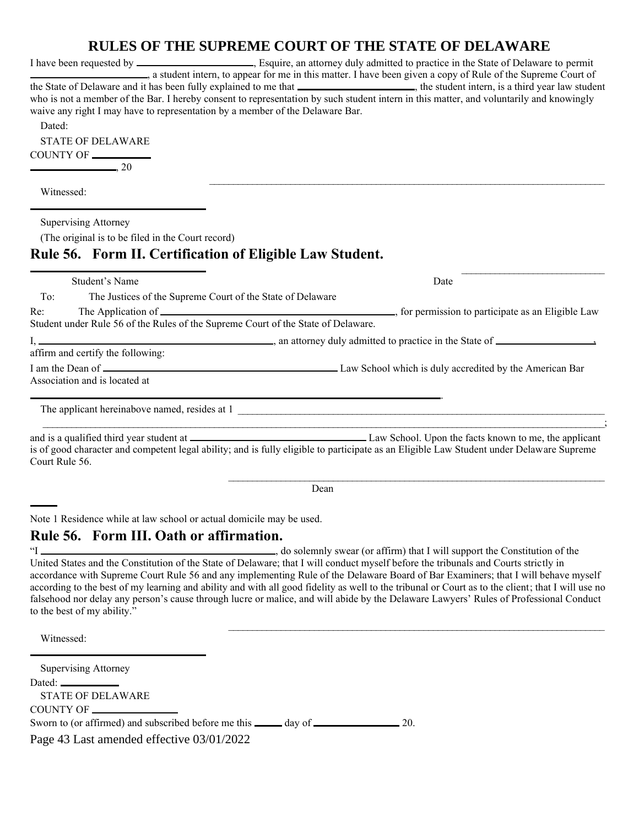|                                                                                                                                                               | of the solitering cooki of the state of been want                                                                                                                                                                                                                                                                                                                                                  |
|---------------------------------------------------------------------------------------------------------------------------------------------------------------|----------------------------------------------------------------------------------------------------------------------------------------------------------------------------------------------------------------------------------------------------------------------------------------------------------------------------------------------------------------------------------------------------|
| waive any right I may have to representation by a member of the Delaware Bar.<br>Dated:<br><b>STATE OF DELAWARE</b><br>COUNTY OF<br>$\sim$ 20                 | a student intern, to appear for me in this matter. I have been given a copy of Rule of the Supreme Court of<br>the State of Delaware and it has been fully explained to me that ______________________, the student intern, is a third year law student<br>who is not a member of the Bar. I hereby consent to representation by such student intern in this matter, and voluntarily and knowingly |
| Witnessed:                                                                                                                                                    |                                                                                                                                                                                                                                                                                                                                                                                                    |
| <b>Supervising Attorney</b><br>(The original is to be filed in the Court record)<br>Rule 56. Form II. Certification of Eligible Law Student.                  |                                                                                                                                                                                                                                                                                                                                                                                                    |
| Student's Name                                                                                                                                                | Date                                                                                                                                                                                                                                                                                                                                                                                               |
| To:<br>The Justices of the Supreme Court of the State of Delaware<br>Re:<br>Student under Rule 56 of the Rules of the Supreme Court of the State of Delaware. | The Application of example 2 and 2 and 2 and 2 and 2 and 2 and 2 and 2 and 2 and 2 and 2 and 2 and 2 and 2 and 2 and 2 and 2 and 2 and 2 and 2 and 2 and 2 and 2 and 2 and 2 and 2 and 2 and 2 and 2 and 2 and 2 and 2 and 2 a                                                                                                                                                                     |
| affirm and certify the following:                                                                                                                             |                                                                                                                                                                                                                                                                                                                                                                                                    |
| Association and is located at                                                                                                                                 |                                                                                                                                                                                                                                                                                                                                                                                                    |
|                                                                                                                                                               |                                                                                                                                                                                                                                                                                                                                                                                                    |
| Court Rule 56.                                                                                                                                                | is of good character and competent legal ability; and is fully eligible to participate as an Eligible Law Student under Delaware Supreme                                                                                                                                                                                                                                                           |

Dean

Note 1 Residence while at law school or actual domicile may be used.

### **Rule 56. Form III. Oath or affirmation.**

"I , do solemnly swear (or affirm) that I will support the Constitution of the United States and the Constitution of the State of Delaware; that I will conduct myself before the tribunals and Courts strictly in accordance with Supreme Court Rule 56 and any implementing Rule of the Delaware Board of Bar Examiners; that I will behave myself according to the best of my learning and ability and with all good fidelity as well to the tribunal or Court as to the client; that I will use no falsehood nor delay any person's cause through lucre or malice, and will abide by the Delaware Lawyers' Rules of Professional Conduct to the best of my ability."

Witnessed:

l

 $\overline{a}$ 

Page 43 Last amended effective 03/01/2022 Supervising Attorney Dated: STATE OF DELAWARE COUNTY OF Sworn to (or affirmed) and subscribed before me this \_\_\_\_\_\_ day of \_\_\_\_\_\_\_\_\_\_\_\_\_\_\_\_\_\_\_\_ 20.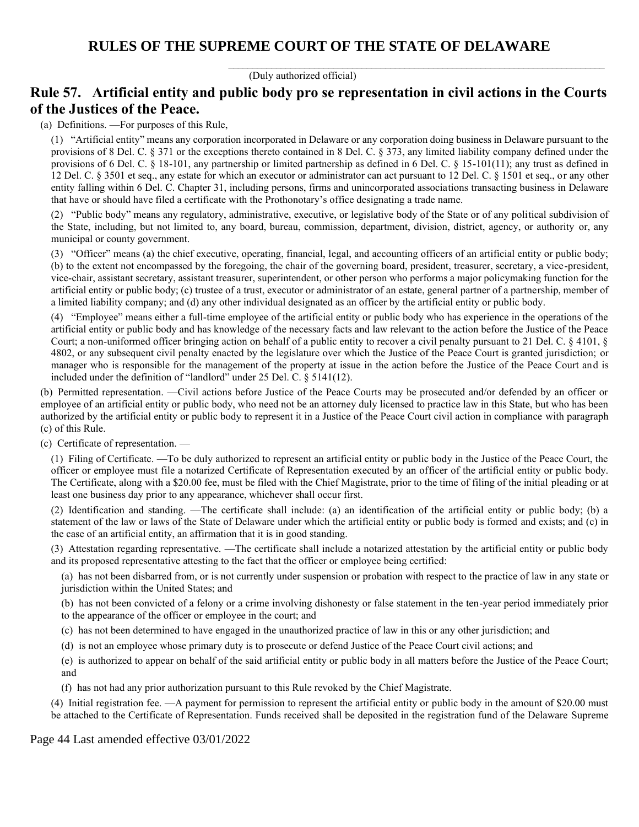$\_$  , and the set of the set of the set of the set of the set of the set of the set of the set of the set of the set of the set of the set of the set of the set of the set of the set of the set of the set of the set of th

(Duly authorized official)

## **Rule 57. Artificial entity and public body pro se representation in civil actions in the Courts of the Justices of the Peace.**

(a) Definitions. —For purposes of this Rule,

(1) "Artificial entity" means any corporation incorporated in Delaware or any corporation doing business in Delaware pursuant to the provisions of 8 Del. C. § 371 or the exceptions thereto contained in 8 Del. C. § 373, any limited liability company defined under the provisions of 6 Del. C. § 18-101, any partnership or limited partnership as defined in 6 Del. C. § 15-101(11); any trust as defined in 12 Del. C. § 3501 et seq., any estate for which an executor or administrator can act pursuant to 12 Del. C. § 1501 et seq., or any other entity falling within 6 Del. C. Chapter 31, including persons, firms and unincorporated associations transacting business in Delaware that have or should have filed a certificate with the Prothonotary's office designating a trade name.

(2) "Public body" means any regulatory, administrative, executive, or legislative body of the State or of any political subdivision of the State, including, but not limited to, any board, bureau, commission, department, division, district, agency, or authority or, any municipal or county government.

(3) "Officer" means (a) the chief executive, operating, financial, legal, and accounting officers of an artificial entity or public body; (b) to the extent not encompassed by the foregoing, the chair of the governing board, president, treasurer, secretary, a vice-president, vice-chair, assistant secretary, assistant treasurer, superintendent, or other person who performs a major policymaking function for the artificial entity or public body; (c) trustee of a trust, executor or administrator of an estate, general partner of a partnership, member of a limited liability company; and (d) any other individual designated as an officer by the artificial entity or public body.

(4) "Employee" means either a full-time employee of the artificial entity or public body who has experience in the operations of the artificial entity or public body and has knowledge of the necessary facts and law relevant to the action before the Justice of the Peace Court; a non-uniformed officer bringing action on behalf of a public entity to recover a civil penalty pursuant to 21 Del. C. § 4101, § 4802, or any subsequent civil penalty enacted by the legislature over which the Justice of the Peace Court is granted jurisdiction; or manager who is responsible for the management of the property at issue in the action before the Justice of the Peace Court and is included under the definition of "landlord" under 25 Del. C. § 5141(12).

(b) Permitted representation. —Civil actions before Justice of the Peace Courts may be prosecuted and/or defended by an officer or employee of an artificial entity or public body, who need not be an attorney duly licensed to practice law in this State, but who has been authorized by the artificial entity or public body to represent it in a Justice of the Peace Court civil action in compliance with paragraph (c) of this Rule.

(c) Certificate of representation. —

(1) Filing of Certificate. —To be duly authorized to represent an artificial entity or public body in the Justice of the Peace Court, the officer or employee must file a notarized Certificate of Representation executed by an officer of the artificial entity or public body. The Certificate, along with a \$20.00 fee, must be filed with the Chief Magistrate, prior to the time of filing of the initial pleading or at least one business day prior to any appearance, whichever shall occur first.

(2) Identification and standing. —The certificate shall include: (a) an identification of the artificial entity or public body; (b) a statement of the law or laws of the State of Delaware under which the artificial entity or public body is formed and exists; and (c) in the case of an artificial entity, an affirmation that it is in good standing.

(3) Attestation regarding representative. —The certificate shall include a notarized attestation by the artificial entity or public body and its proposed representative attesting to the fact that the officer or employee being certified:

(a) has not been disbarred from, or is not currently under suspension or probation with respect to the practice of law in any state or jurisdiction within the United States; and

(b) has not been convicted of a felony or a crime involving dishonesty or false statement in the ten-year period immediately prior to the appearance of the officer or employee in the court; and

(c) has not been determined to have engaged in the unauthorized practice of law in this or any other jurisdiction; and

(d) is not an employee whose primary duty is to prosecute or defend Justice of the Peace Court civil actions; and

(e) is authorized to appear on behalf of the said artificial entity or public body in all matters before the Justice of the Peace Court; and

(f) has not had any prior authorization pursuant to this Rule revoked by the Chief Magistrate.

(4) Initial registration fee. —A payment for permission to represent the artificial entity or public body in the amount of \$20.00 must be attached to the Certificate of Representation. Funds received shall be deposited in the registration fund of the Delaware Supreme

Page 44 Last amended effective 03/01/2022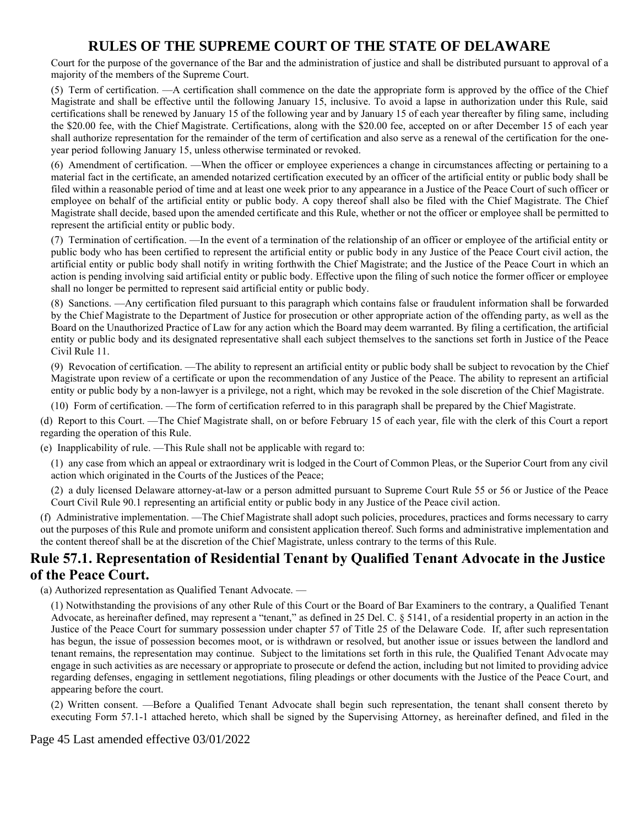Court for the purpose of the governance of the Bar and the administration of justice and shall be distributed pursuant to approval of a majority of the members of the Supreme Court.

(5) Term of certification. —A certification shall commence on the date the appropriate form is approved by the office of the Chief Magistrate and shall be effective until the following January 15, inclusive. To avoid a lapse in authorization under this Rule, said certifications shall be renewed by January 15 of the following year and by January 15 of each year thereafter by filing same, including the \$20.00 fee, with the Chief Magistrate. Certifications, along with the \$20.00 fee, accepted on or after December 15 of each year shall authorize representation for the remainder of the term of certification and also serve as a renewal of the certification for the oneyear period following January 15, unless otherwise terminated or revoked.

(6) Amendment of certification. —When the officer or employee experiences a change in circumstances affecting or pertaining to a material fact in the certificate, an amended notarized certification executed by an officer of the artificial entity or public body shall be filed within a reasonable period of time and at least one week prior to any appearance in a Justice of the Peace Court of such officer or employee on behalf of the artificial entity or public body. A copy thereof shall also be filed with the Chief Magistrate. The Chief Magistrate shall decide, based upon the amended certificate and this Rule, whether or not the officer or employee shall be permitted to represent the artificial entity or public body.

(7) Termination of certification. —In the event of a termination of the relationship of an officer or employee of the artificial entity or public body who has been certified to represent the artificial entity or public body in any Justice of the Peace Court civil action, the artificial entity or public body shall notify in writing forthwith the Chief Magistrate; and the Justice of the Peace Court in which an action is pending involving said artificial entity or public body. Effective upon the filing of such notice the former officer or employee shall no longer be permitted to represent said artificial entity or public body.

(8) Sanctions. —Any certification filed pursuant to this paragraph which contains false or fraudulent information shall be forwarded by the Chief Magistrate to the Department of Justice for prosecution or other appropriate action of the offending party, as well as the Board on the Unauthorized Practice of Law for any action which the Board may deem warranted. By filing a certification, the artificial entity or public body and its designated representative shall each subject themselves to the sanctions set forth in Justice of the Peace Civil Rule 11.

(9) Revocation of certification. —The ability to represent an artificial entity or public body shall be subject to revocation by the Chief Magistrate upon review of a certificate or upon the recommendation of any Justice of the Peace. The ability to represent an artificial entity or public body by a non-lawyer is a privilege, not a right, which may be revoked in the sole discretion of the Chief Magistrate.

(10) Form of certification. —The form of certification referred to in this paragraph shall be prepared by the Chief Magistrate.

(d) Report to this Court. —The Chief Magistrate shall, on or before February 15 of each year, file with the clerk of this Court a report regarding the operation of this Rule.

(e) Inapplicability of rule. —This Rule shall not be applicable with regard to:

(1) any case from which an appeal or extraordinary writ is lodged in the Court of Common Pleas, or the Superior Court from any civil action which originated in the Courts of the Justices of the Peace;

(2) a duly licensed Delaware attorney-at-law or a person admitted pursuant to Supreme Court Rule 55 or 56 or Justice of the Peace Court Civil Rule 90.1 representing an artificial entity or public body in any Justice of the Peace civil action.

(f) Administrative implementation. —The Chief Magistrate shall adopt such policies, procedures, practices and forms necessary to carry out the purposes of this Rule and promote uniform and consistent application thereof. Such forms and administrative implementation and the content thereof shall be at the discretion of the Chief Magistrate, unless contrary to the terms of this Rule.

## **Rule 57.1. Representation of Residential Tenant by Qualified Tenant Advocate in the Justice of the Peace Court.**

(a) Authorized representation as Qualified Tenant Advocate. —

(1) Notwithstanding the provisions of any other Rule of this Court or the Board of Bar Examiners to the contrary, a Qualified Tenant Advocate, as hereinafter defined, may represent a "tenant," as defined in 25 Del. C. § 5141, of a residential property in an action in the Justice of the Peace Court for summary possession under chapter 57 of Title 25 of the Delaware Code. If, after such representation has begun, the issue of possession becomes moot, or is withdrawn or resolved, but another issue or issues between the landlord and tenant remains, the representation may continue. Subject to the limitations set forth in this rule, the Qualified Tenant Advocate may engage in such activities as are necessary or appropriate to prosecute or defend the action, including but not limited to providing advice regarding defenses, engaging in settlement negotiations, filing pleadings or other documents with the Justice of the Peace Court, and appearing before the court.

(2) Written consent. —Before a Qualified Tenant Advocate shall begin such representation, the tenant shall consent thereto by executing Form 57.1-1 attached hereto, which shall be signed by the Supervising Attorney, as hereinafter defined, and filed in the

#### Page 45 Last amended effective 03/01/2022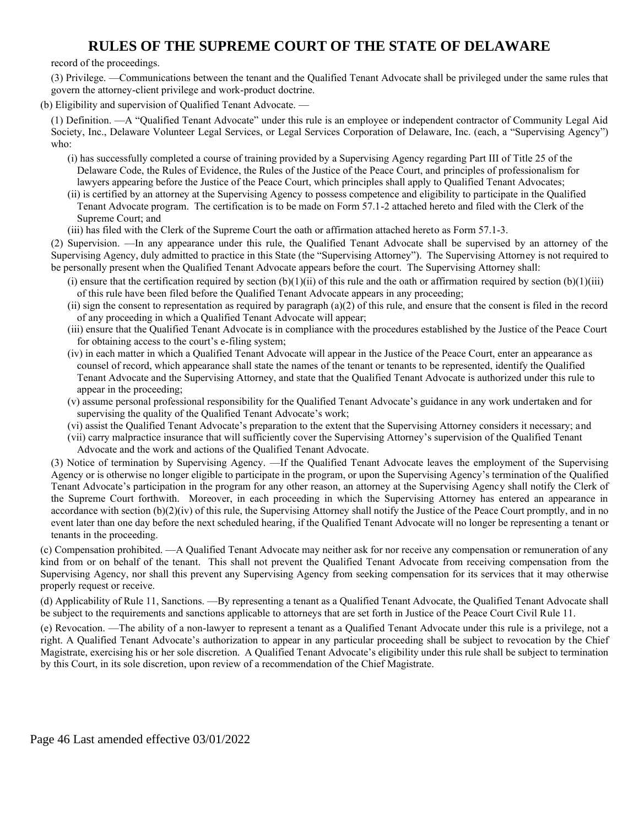record of the proceedings.

(3) Privilege. —Communications between the tenant and the Qualified Tenant Advocate shall be privileged under the same rules that govern the attorney-client privilege and work-product doctrine.

(b) Eligibility and supervision of Qualified Tenant Advocate. —

(1) Definition. —A "Qualified Tenant Advocate" under this rule is an employee or independent contractor of Community Legal Aid Society, Inc., Delaware Volunteer Legal Services, or Legal Services Corporation of Delaware, Inc. (each, a "Supervising Agency") who:

- (i) has successfully completed a course of training provided by a Supervising Agency regarding Part III of Title 25 of the Delaware Code, the Rules of Evidence, the Rules of the Justice of the Peace Court, and principles of professionalism for lawyers appearing before the Justice of the Peace Court, which principles shall apply to Qualified Tenant Advocates;
- (ii) is certified by an attorney at the Supervising Agency to possess competence and eligibility to participate in the Qualified Tenant Advocate program. The certification is to be made on Form 57.1-2 attached hereto and filed with the Clerk of the Supreme Court; and
- (iii) has filed with the Clerk of the Supreme Court the oath or affirmation attached hereto as Form 57.1-3.

(2) Supervision. —In any appearance under this rule, the Qualified Tenant Advocate shall be supervised by an attorney of the Supervising Agency, duly admitted to practice in this State (the "Supervising Attorney"). The Supervising Attorney is not required to be personally present when the Qualified Tenant Advocate appears before the court. The Supervising Attorney shall:

- (i) ensure that the certification required by section  $(b)(1)(ii)$  of this rule and the oath or affirmation required by section  $(b)(1)(iii)$ of this rule have been filed before the Qualified Tenant Advocate appears in any proceeding;
- $(ii)$  sign the consent to representation as required by paragraph  $(a)(2)$  of this rule, and ensure that the consent is filed in the record of any proceeding in which a Qualified Tenant Advocate will appear;
- (iii) ensure that the Qualified Tenant Advocate is in compliance with the procedures established by the Justice of the Peace Court for obtaining access to the court's e-filing system;
- (iv) in each matter in which a Qualified Tenant Advocate will appear in the Justice of the Peace Court, enter an appearance as counsel of record, which appearance shall state the names of the tenant or tenants to be represented, identify the Qualified Tenant Advocate and the Supervising Attorney, and state that the Qualified Tenant Advocate is authorized under this rule to appear in the proceeding;
- (v) assume personal professional responsibility for the Qualified Tenant Advocate's guidance in any work undertaken and for supervising the quality of the Qualified Tenant Advocate's work;
- (vi) assist the Qualified Tenant Advocate's preparation to the extent that the Supervising Attorney considers it necessary; and
- (vii) carry malpractice insurance that will sufficiently cover the Supervising Attorney's supervision of the Qualified Tenant Advocate and the work and actions of the Qualified Tenant Advocate.

(3) Notice of termination by Supervising Agency. —If the Qualified Tenant Advocate leaves the employment of the Supervising Agency or is otherwise no longer eligible to participate in the program, or upon the Supervising Agency's termination of the Qualified Tenant Advocate's participation in the program for any other reason, an attorney at the Supervising Agency shall notify the Clerk of the Supreme Court forthwith. Moreover, in each proceeding in which the Supervising Attorney has entered an appearance in accordance with section (b)(2)(iv) of this rule, the Supervising Attorney shall notify the Justice of the Peace Court promptly, and in no event later than one day before the next scheduled hearing, if the Qualified Tenant Advocate will no longer be representing a tenant or tenants in the proceeding.

(c) Compensation prohibited. —A Qualified Tenant Advocate may neither ask for nor receive any compensation or remuneration of any kind from or on behalf of the tenant. This shall not prevent the Qualified Tenant Advocate from receiving compensation from the Supervising Agency, nor shall this prevent any Supervising Agency from seeking compensation for its services that it may otherwise properly request or receive.

(d) Applicability of Rule 11, Sanctions. —By representing a tenant as a Qualified Tenant Advocate, the Qualified Tenant Advocate shall be subject to the requirements and sanctions applicable to attorneys that are set forth in Justice of the Peace Court Civil Rule 11.

(e) Revocation. —The ability of a non-lawyer to represent a tenant as a Qualified Tenant Advocate under this rule is a privilege, not a right. A Qualified Tenant Advocate's authorization to appear in any particular proceeding shall be subject to revocation by the Chief Magistrate, exercising his or her sole discretion. A Qualified Tenant Advocate's eligibility under this rule shall be subject to termination by this Court, in its sole discretion, upon review of a recommendation of the Chief Magistrate.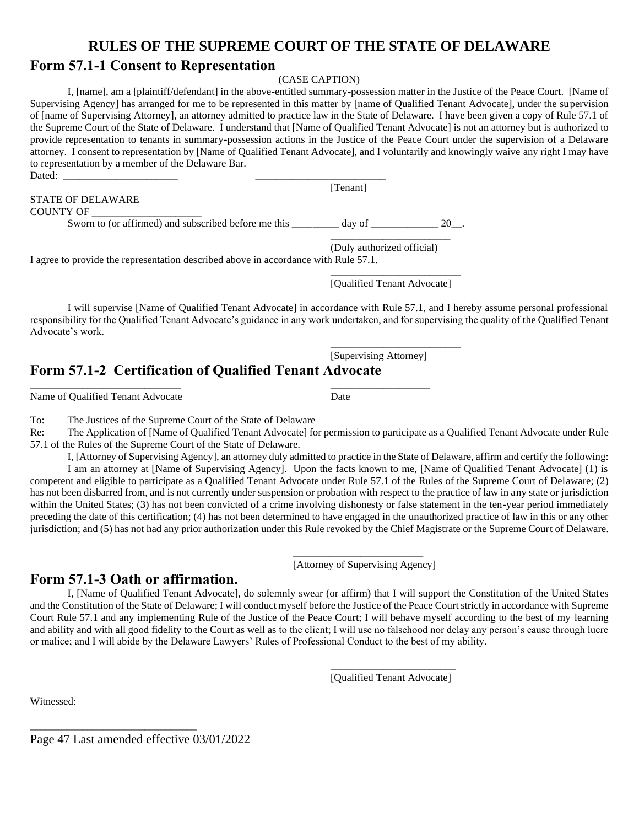### **Form 57.1-1 Consent to Representation**

#### (CASE CAPTION)

I, [name], am a [plaintiff/defendant] in the above-entitled summary-possession matter in the Justice of the Peace Court. [Name of Supervising Agency] has arranged for me to be represented in this matter by [name of Qualified Tenant Advocate], under the supervision of [name of Supervising Attorney], an attorney admitted to practice law in the State of Delaware. I have been given a copy of Rule 57.1 of the Supreme Court of the State of Delaware. I understand that [Name of Qualified Tenant Advocate] is not an attorney but is authorized to provide representation to tenants in summary-possession actions in the Justice of the Peace Court under the supervision of a Delaware attorney. I consent to representation by [Name of Qualified Tenant Advocate], and I voluntarily and knowingly waive any right I may have to representation by a member of the Delaware Bar. Dated: \_\_\_\_\_\_\_\_\_\_\_\_\_\_\_\_\_\_\_\_\_\_ \_\_\_\_\_\_\_\_\_\_\_\_\_\_\_\_\_\_\_\_\_\_\_\_\_

[Tenant] STATE OF DELAWARE COUNTY OF Sworn to (or affirmed) and subscribed before me this \_\_\_\_\_\_\_\_\_ day of \_\_\_\_\_\_\_\_\_\_\_\_ 20\_\_. \_\_\_\_\_\_\_\_\_\_\_\_\_\_\_\_\_\_\_\_\_\_\_ (Duly authorized official)

I agree to provide the representation described above in accordance with Rule 57.1.

\_\_\_\_\_\_\_\_\_\_\_\_\_\_\_\_\_\_\_\_\_\_\_\_\_ [Qualified Tenant Advocate]

I will supervise [Name of Qualified Tenant Advocate] in accordance with Rule 57.1, and I hereby assume personal professional responsibility for the Qualified Tenant Advocate's guidance in any work undertaken, and for supervising the quality of the Qualified Tenant Advocate's work.

[Supervising Attorney]

\_\_\_\_\_\_\_\_\_\_\_\_\_\_\_\_\_\_\_\_\_\_\_\_\_

## **Form 57.1-2 Certification of Qualified Tenant Advocate**

\_\_\_\_\_\_\_\_\_\_\_\_\_\_\_\_\_\_\_\_\_\_\_\_\_\_\_\_\_ \_\_\_\_\_\_\_\_\_\_\_\_\_\_\_\_\_\_\_

Name of Qualified Tenant Advocate Date

To: The Justices of the Supreme Court of the State of Delaware

Re: The Application of [Name of Qualified Tenant Advocate] for permission to participate as a Qualified Tenant Advocate under Rule 57.1 of the Rules of the Supreme Court of the State of Delaware.

I, [Attorney of Supervising Agency], an attorney duly admitted to practice in the State of Delaware, affirm and certify the following:

I am an attorney at [Name of Supervising Agency]. Upon the facts known to me, [Name of Qualified Tenant Advocate] (1) is competent and eligible to participate as a Qualified Tenant Advocate under Rule 57.1 of the Rules of the Supreme Court of Delaware; (2) has not been disbarred from, and is not currently under suspension or probation with respect to the practice of law in any state or jurisdiction within the United States; (3) has not been convicted of a crime involving dishonesty or false statement in the ten-year period immediately preceding the date of this certification; (4) has not been determined to have engaged in the unauthorized practice of law in this or any other jurisdiction; and (5) has not had any prior authorization under this Rule revoked by the Chief Magistrate or the Supreme Court of Delaware.

> \_\_\_\_\_\_\_\_\_\_\_\_\_\_\_\_\_\_\_\_\_\_\_\_\_ [Attorney of Supervising Agency]

## **Form 57.1-3 Oath or affirmation.**

I, [Name of Qualified Tenant Advocate], do solemnly swear (or affirm) that I will support the Constitution of the United States and the Constitution of the State of Delaware; I will conduct myself before the Justice of the Peace Court strictly in accordance with Supreme Court Rule 57.1 and any implementing Rule of the Justice of the Peace Court; I will behave myself according to the best of my learning and ability and with all good fidelity to the Court as well as to the client; I will use no falsehood nor delay any person's cause through lucre or malice; and I will abide by the Delaware Lawyers' Rules of Professional Conduct to the best of my ability.

> \_\_\_\_\_\_\_\_\_\_\_\_\_\_\_\_\_\_\_\_\_\_\_\_ [Qualified Tenant Advocate]

Witnessed:

Page 47 Last amended effective 03/01/2022

\_\_\_\_\_\_\_\_\_\_\_\_\_\_\_\_\_\_\_\_\_\_\_\_\_\_\_\_\_\_\_\_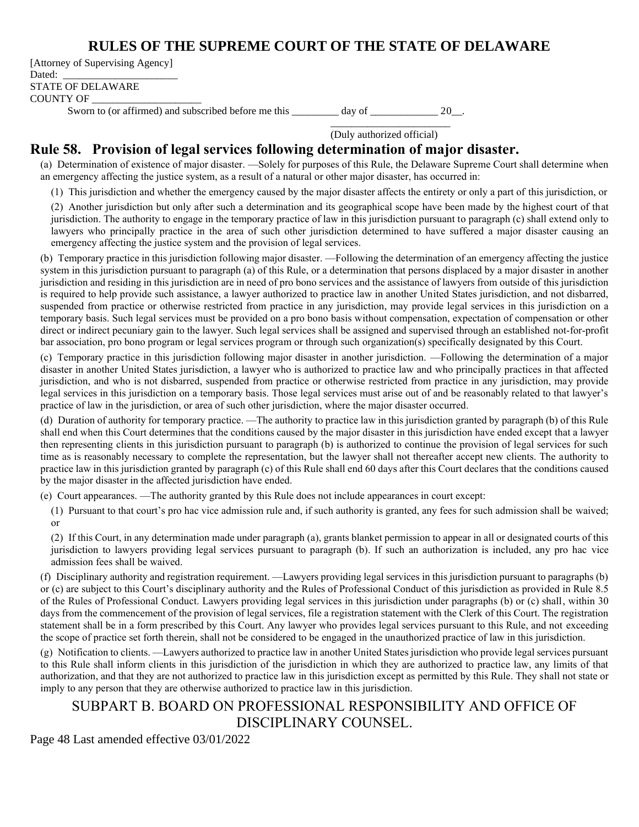[Attorney of Supervising Agency] Dated: STATE OF DELAWARE COUNTY OF \_\_\_\_\_\_\_\_\_\_\_\_\_\_\_\_\_\_\_\_\_

Sworn to (or affirmed) and subscribed before me this day of  $20 \text{ }$ .

\_\_\_\_\_\_\_\_\_\_\_\_\_\_\_\_\_\_\_\_\_\_\_ (Duly authorized official)

### **Rule 58. Provision of legal services following determination of major disaster.**

(a) Determination of existence of major disaster. —Solely for purposes of this Rule, the Delaware Supreme Court shall determine when an emergency affecting the justice system, as a result of a natural or other major disaster, has occurred in:

(1) This jurisdiction and whether the emergency caused by the major disaster affects the entirety or only a part of this jurisdiction, or

(2) Another jurisdiction but only after such a determination and its geographical scope have been made by the highest court of that jurisdiction. The authority to engage in the temporary practice of law in this jurisdiction pursuant to paragraph (c) shall extend only to lawyers who principally practice in the area of such other jurisdiction determined to have suffered a major disaster causing an emergency affecting the justice system and the provision of legal services.

(b) Temporary practice in this jurisdiction following major disaster. —Following the determination of an emergency affecting the justice system in this jurisdiction pursuant to paragraph (a) of this Rule, or a determination that persons displaced by a major disaster in another jurisdiction and residing in this jurisdiction are in need of pro bono services and the assistance of lawyers from outside of this jurisdiction is required to help provide such assistance, a lawyer authorized to practice law in another United States jurisdiction, and not disbarred, suspended from practice or otherwise restricted from practice in any jurisdiction, may provide legal services in this jurisdiction on a temporary basis. Such legal services must be provided on a pro bono basis without compensation, expectation of compensation or other direct or indirect pecuniary gain to the lawyer. Such legal services shall be assigned and supervised through an established not-for-profit bar association, pro bono program or legal services program or through such organization(s) specifically designated by this Court.

(c) Temporary practice in this jurisdiction following major disaster in another jurisdiction. —Following the determination of a major disaster in another United States jurisdiction, a lawyer who is authorized to practice law and who principally practices in that affected jurisdiction, and who is not disbarred, suspended from practice or otherwise restricted from practice in any jurisdiction, may provide legal services in this jurisdiction on a temporary basis. Those legal services must arise out of and be reasonably related to that lawyer's practice of law in the jurisdiction, or area of such other jurisdiction, where the major disaster occurred.

(d) Duration of authority for temporary practice. —The authority to practice law in this jurisdiction granted by paragraph (b) of this Rule shall end when this Court determines that the conditions caused by the major disaster in this jurisdiction have ended except that a lawyer then representing clients in this jurisdiction pursuant to paragraph (b) is authorized to continue the provision of legal services for such time as is reasonably necessary to complete the representation, but the lawyer shall not thereafter accept new clients. The authority to practice law in this jurisdiction granted by paragraph (c) of this Rule shall end 60 days after this Court declares that the conditions caused by the major disaster in the affected jurisdiction have ended.

(e) Court appearances. —The authority granted by this Rule does not include appearances in court except:

(1) Pursuant to that court's pro hac vice admission rule and, if such authority is granted, any fees for such admission shall be waived; or

(2) If this Court, in any determination made under paragraph (a), grants blanket permission to appear in all or designated courts of this jurisdiction to lawyers providing legal services pursuant to paragraph (b). If such an authorization is included, any pro hac vice admission fees shall be waived.

(f) Disciplinary authority and registration requirement. —Lawyers providing legal services in this jurisdiction pursuant to paragraphs (b) or (c) are subject to this Court's disciplinary authority and the Rules of Professional Conduct of this jurisdiction as provided in Rule 8.5 of the Rules of Professional Conduct. Lawyers providing legal services in this jurisdiction under paragraphs (b) or (c) shall, within 30 days from the commencement of the provision of legal services, file a registration statement with the Clerk of this Court. The registration statement shall be in a form prescribed by this Court. Any lawyer who provides legal services pursuant to this Rule, and not exceeding the scope of practice set forth therein, shall not be considered to be engaged in the unauthorized practice of law in this jurisdiction.

(g) Notification to clients. —Lawyers authorized to practice law in another United States jurisdiction who provide legal services pursuant to this Rule shall inform clients in this jurisdiction of the jurisdiction in which they are authorized to practice law, any limits of that authorization, and that they are not authorized to practice law in this jurisdiction except as permitted by this Rule. They shall not state or imply to any person that they are otherwise authorized to practice law in this jurisdiction.

## SUBPART B. BOARD ON PROFESSIONAL RESPONSIBILITY AND OFFICE OF DISCIPLINARY COUNSEL.

Page 48 Last amended effective 03/01/2022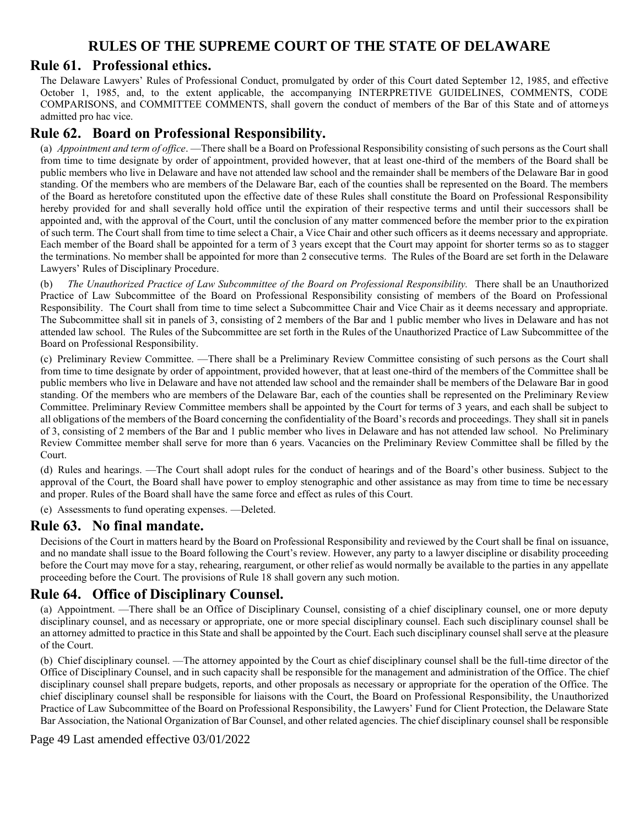### **Rule 61. Professional ethics.**

The Delaware Lawyers' Rules of Professional Conduct, promulgated by order of this Court dated September 12, 1985, and effective October 1, 1985, and, to the extent applicable, the accompanying INTERPRETIVE GUIDELINES, COMMENTS, CODE COMPARISONS, and COMMITTEE COMMENTS, shall govern the conduct of members of the Bar of this State and of attorneys admitted pro hac vice.

### **Rule 62. Board on Professional Responsibility.**

(a) *Appointment and term of office*. —There shall be a Board on Professional Responsibility consisting of such persons as the Court shall from time to time designate by order of appointment, provided however, that at least one-third of the members of the Board shall be public members who live in Delaware and have not attended law school and the remainder shall be members of the Delaware Bar in good standing. Of the members who are members of the Delaware Bar, each of the counties shall be represented on the Board. The members of the Board as heretofore constituted upon the effective date of these Rules shall constitute the Board on Professional Responsibility hereby provided for and shall severally hold office until the expiration of their respective terms and until their successors shall be appointed and, with the approval of the Court, until the conclusion of any matter commenced before the member prior to the expiration of such term. The Court shall from time to time select a Chair, a Vice Chair and other such officers as it deems necessary and appropriate. Each member of the Board shall be appointed for a term of 3 years except that the Court may appoint for shorter terms so as to stagger the terminations. No member shall be appointed for more than 2 consecutive terms. The Rules of the Board are set forth in the Delaware Lawyers' Rules of Disciplinary Procedure.

(b) *The Unauthorized Practice of Law Subcommittee of the Board on Professional Responsibility.* There shall be an Unauthorized Practice of Law Subcommittee of the Board on Professional Responsibility consisting of members of the Board on Professional Responsibility. The Court shall from time to time select a Subcommittee Chair and Vice Chair as it deems necessary and appropriate. The Subcommittee shall sit in panels of 3, consisting of 2 members of the Bar and 1 public member who lives in Delaware and has not attended law school. The Rules of the Subcommittee are set forth in the Rules of the Unauthorized Practice of Law Subcommittee of the Board on Professional Responsibility.

(c) Preliminary Review Committee. —There shall be a Preliminary Review Committee consisting of such persons as the Court shall from time to time designate by order of appointment, provided however, that at least one-third of the members of the Committee shall be public members who live in Delaware and have not attended law school and the remainder shall be members of the Delaware Bar in good standing. Of the members who are members of the Delaware Bar, each of the counties shall be represented on the Preliminary Review Committee. Preliminary Review Committee members shall be appointed by the Court for terms of 3 years, and each shall be subject to all obligations of the members of the Board concerning the confidentiality of the Board's records and proceedings. They shall sit in panels of 3, consisting of 2 members of the Bar and 1 public member who lives in Delaware and has not attended law school. No Preliminary Review Committee member shall serve for more than 6 years. Vacancies on the Preliminary Review Committee shall be filled by the Court.

(d) Rules and hearings. —The Court shall adopt rules for the conduct of hearings and of the Board's other business. Subject to the approval of the Court, the Board shall have power to employ stenographic and other assistance as may from time to time be necessary and proper. Rules of the Board shall have the same force and effect as rules of this Court.

(e) Assessments to fund operating expenses. —Deleted.

### **Rule 63. No final mandate.**

Decisions of the Court in matters heard by the Board on Professional Responsibility and reviewed by the Court shall be final on issuance, and no mandate shall issue to the Board following the Court's review. However, any party to a lawyer discipline or disability proceeding before the Court may move for a stay, rehearing, reargument, or other relief as would normally be available to the parties in any appellate proceeding before the Court. The provisions of Rule 18 shall govern any such motion.

### **Rule 64. Office of Disciplinary Counsel.**

(a) Appointment. —There shall be an Office of Disciplinary Counsel, consisting of a chief disciplinary counsel, one or more deputy disciplinary counsel, and as necessary or appropriate, one or more special disciplinary counsel. Each such disciplinary counsel shall be an attorney admitted to practice in this State and shall be appointed by the Court. Each such disciplinary counsel shall serve at the pleasure of the Court.

(b) Chief disciplinary counsel. —The attorney appointed by the Court as chief disciplinary counsel shall be the full-time director of the Office of Disciplinary Counsel, and in such capacity shall be responsible for the management and administration of the Office. The chief disciplinary counsel shall prepare budgets, reports, and other proposals as necessary or appropriate for the operation of the Office. The chief disciplinary counsel shall be responsible for liaisons with the Court, the Board on Professional Responsibility, the Unauthorized Practice of Law Subcommittee of the Board on Professional Responsibility, the Lawyers' Fund for Client Protection, the Delaware State Bar Association, the National Organization of Bar Counsel, and other related agencies. The chief disciplinary counsel shall be responsible

#### Page 49 Last amended effective 03/01/2022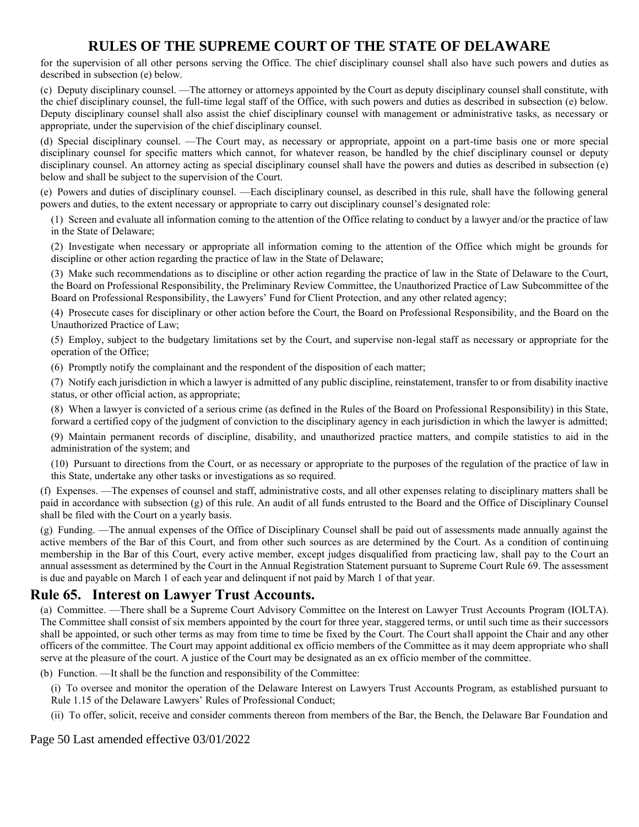for the supervision of all other persons serving the Office. The chief disciplinary counsel shall also have such powers and duties as described in subsection (e) below.

(c) Deputy disciplinary counsel. —The attorney or attorneys appointed by the Court as deputy disciplinary counsel shall constitute, with the chief disciplinary counsel, the full-time legal staff of the Office, with such powers and duties as described in subsection (e) below. Deputy disciplinary counsel shall also assist the chief disciplinary counsel with management or administrative tasks, as necessary or appropriate, under the supervision of the chief disciplinary counsel.

(d) Special disciplinary counsel. —The Court may, as necessary or appropriate, appoint on a part-time basis one or more special disciplinary counsel for specific matters which cannot, for whatever reason, be handled by the chief disciplinary counsel or deputy disciplinary counsel. An attorney acting as special disciplinary counsel shall have the powers and duties as described in subsection (e) below and shall be subject to the supervision of the Court.

(e) Powers and duties of disciplinary counsel. —Each disciplinary counsel, as described in this rule, shall have the following general powers and duties, to the extent necessary or appropriate to carry out disciplinary counsel's designated role:

(1) Screen and evaluate all information coming to the attention of the Office relating to conduct by a lawyer and/or the practice of law in the State of Delaware;

(2) Investigate when necessary or appropriate all information coming to the attention of the Office which might be grounds for discipline or other action regarding the practice of law in the State of Delaware;

(3) Make such recommendations as to discipline or other action regarding the practice of law in the State of Delaware to the Court, the Board on Professional Responsibility, the Preliminary Review Committee, the Unauthorized Practice of Law Subcommittee of the Board on Professional Responsibility, the Lawyers' Fund for Client Protection, and any other related agency;

(4) Prosecute cases for disciplinary or other action before the Court, the Board on Professional Responsibility, and the Board on the Unauthorized Practice of Law;

(5) Employ, subject to the budgetary limitations set by the Court, and supervise non-legal staff as necessary or appropriate for the operation of the Office;

(6) Promptly notify the complainant and the respondent of the disposition of each matter;

(7) Notify each jurisdiction in which a lawyer is admitted of any public discipline, reinstatement, transfer to or from disability inactive status, or other official action, as appropriate;

(8) When a lawyer is convicted of a serious crime (as defined in the Rules of the Board on Professional Responsibility) in this State, forward a certified copy of the judgment of conviction to the disciplinary agency in each jurisdiction in which the lawyer is admitted;

(9) Maintain permanent records of discipline, disability, and unauthorized practice matters, and compile statistics to aid in the administration of the system; and

(10) Pursuant to directions from the Court, or as necessary or appropriate to the purposes of the regulation of the practice of law in this State, undertake any other tasks or investigations as so required.

(f) Expenses. —The expenses of counsel and staff, administrative costs, and all other expenses relating to disciplinary matters shall be paid in accordance with subsection (g) of this rule. An audit of all funds entrusted to the Board and the Office of Disciplinary Counsel shall be filed with the Court on a yearly basis.

(g) Funding. —The annual expenses of the Office of Disciplinary Counsel shall be paid out of assessments made annually against the active members of the Bar of this Court, and from other such sources as are determined by the Court. As a condition of continuing membership in the Bar of this Court, every active member, except judges disqualified from practicing law, shall pay to the Court an annual assessment as determined by the Court in the Annual Registration Statement pursuant to Supreme Court Rule 69. The assessment is due and payable on March 1 of each year and delinquent if not paid by March 1 of that year.

## **Rule 65. Interest on Lawyer Trust Accounts.**

(a) Committee. —There shall be a Supreme Court Advisory Committee on the Interest on Lawyer Trust Accounts Program (IOLTA). The Committee shall consist of six members appointed by the court for three year, staggered terms, or until such time as their successors shall be appointed, or such other terms as may from time to time be fixed by the Court. The Court shall appoint the Chair and any other officers of the committee. The Court may appoint additional ex officio members of the Committee as it may deem appropriate who shall serve at the pleasure of the court. A justice of the Court may be designated as an ex officio member of the committee.

(b) Function. —It shall be the function and responsibility of the Committee:

(i) To oversee and monitor the operation of the Delaware Interest on Lawyers Trust Accounts Program, as established pursuant to Rule 1.15 of the Delaware Lawyers' Rules of Professional Conduct;

(ii) To offer, solicit, receive and consider comments thereon from members of the Bar, the Bench, the Delaware Bar Foundation and

Page 50 Last amended effective 03/01/2022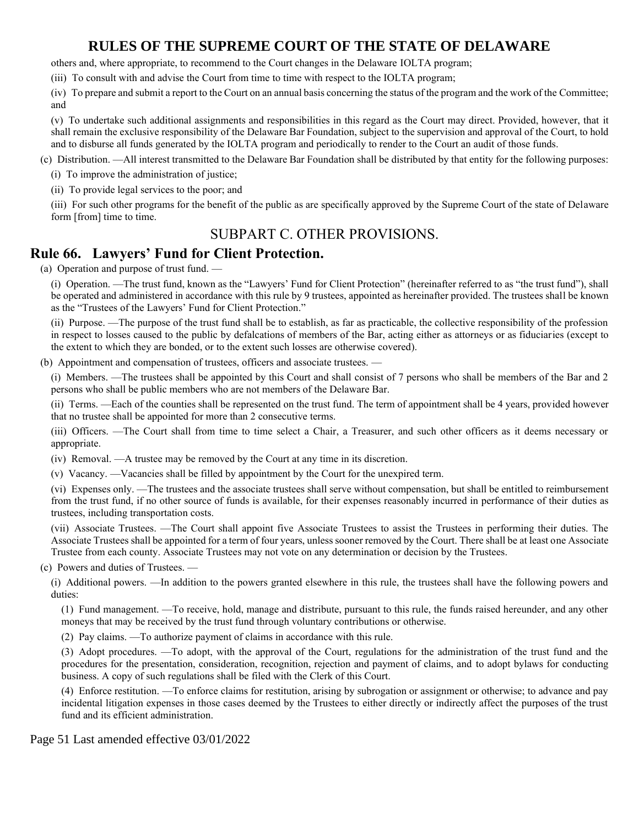others and, where appropriate, to recommend to the Court changes in the Delaware IOLTA program;

(iii) To consult with and advise the Court from time to time with respect to the IOLTA program;

(iv) To prepare and submit a report to the Court on an annual basis concerning the status of the program and the work of the Committee; and

(v) To undertake such additional assignments and responsibilities in this regard as the Court may direct. Provided, however, that it shall remain the exclusive responsibility of the Delaware Bar Foundation, subject to the supervision and approval of the Court, to hold and to disburse all funds generated by the IOLTA program and periodically to render to the Court an audit of those funds.

(c) Distribution. —All interest transmitted to the Delaware Bar Foundation shall be distributed by that entity for the following purposes:

(i) To improve the administration of justice;

(ii) To provide legal services to the poor; and

(iii) For such other programs for the benefit of the public as are specifically approved by the Supreme Court of the state of Delaware form [from] time to time.

## SUBPART C. OTHER PROVISIONS.

### **Rule 66. Lawyers' Fund for Client Protection.**

(a) Operation and purpose of trust fund. —

(i) Operation. —The trust fund, known as the "Lawyers' Fund for Client Protection" (hereinafter referred to as "the trust fund"), shall be operated and administered in accordance with this rule by 9 trustees, appointed as hereinafter provided. The trustees shall be known as the "Trustees of the Lawyers' Fund for Client Protection."

(ii) Purpose. —The purpose of the trust fund shall be to establish, as far as practicable, the collective responsibility of the profession in respect to losses caused to the public by defalcations of members of the Bar, acting either as attorneys or as fiduciaries (except to the extent to which they are bonded, or to the extent such losses are otherwise covered).

(b) Appointment and compensation of trustees, officers and associate trustees. -

(i) Members. —The trustees shall be appointed by this Court and shall consist of 7 persons who shall be members of the Bar and 2 persons who shall be public members who are not members of the Delaware Bar.

(ii) Terms. —Each of the counties shall be represented on the trust fund. The term of appointment shall be 4 years, provided however that no trustee shall be appointed for more than 2 consecutive terms.

(iii) Officers. —The Court shall from time to time select a Chair, a Treasurer, and such other officers as it deems necessary or appropriate.

(iv) Removal. —A trustee may be removed by the Court at any time in its discretion.

(v) Vacancy. —Vacancies shall be filled by appointment by the Court for the unexpired term.

(vi) Expenses only. —The trustees and the associate trustees shall serve without compensation, but shall be entitled to reimbursement from the trust fund, if no other source of funds is available, for their expenses reasonably incurred in performance of their duties as trustees, including transportation costs.

(vii) Associate Trustees. —The Court shall appoint five Associate Trustees to assist the Trustees in performing their duties. The Associate Trustees shall be appointed for a term of four years, unless sooner removed by the Court. There shall be at least one Associate Trustee from each county. Associate Trustees may not vote on any determination or decision by the Trustees.

(c) Powers and duties of Trustees. —

(i) Additional powers. —In addition to the powers granted elsewhere in this rule, the trustees shall have the following powers and duties:

(1) Fund management. —To receive, hold, manage and distribute, pursuant to this rule, the funds raised hereunder, and any other moneys that may be received by the trust fund through voluntary contributions or otherwise.

(2) Pay claims. —To authorize payment of claims in accordance with this rule.

(3) Adopt procedures. —To adopt, with the approval of the Court, regulations for the administration of the trust fund and the procedures for the presentation, consideration, recognition, rejection and payment of claims, and to adopt bylaws for conducting business. A copy of such regulations shall be filed with the Clerk of this Court.

(4) Enforce restitution. —To enforce claims for restitution, arising by subrogation or assignment or otherwise; to advance and pay incidental litigation expenses in those cases deemed by the Trustees to either directly or indirectly affect the purposes of the trust fund and its efficient administration.

Page 51 Last amended effective 03/01/2022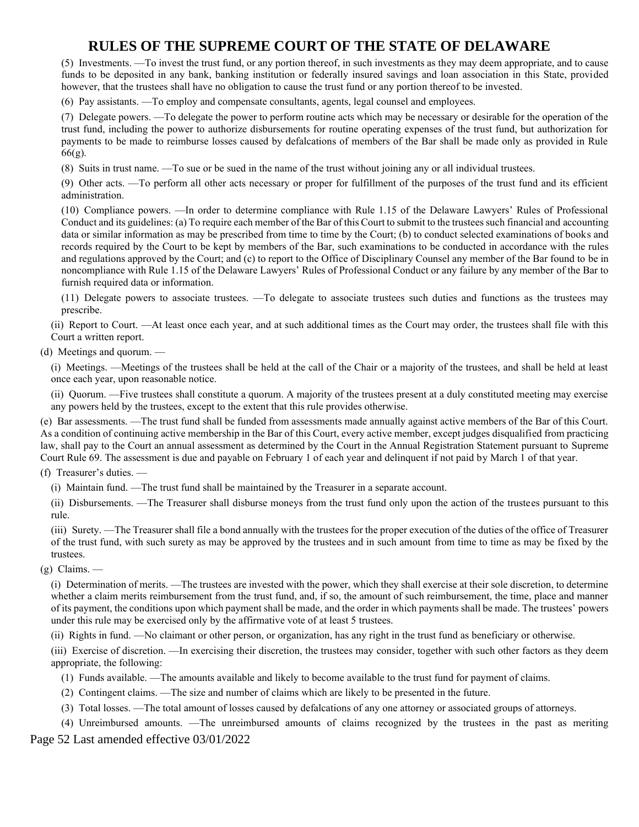(5) Investments. —To invest the trust fund, or any portion thereof, in such investments as they may deem appropriate, and to cause funds to be deposited in any bank, banking institution or federally insured savings and loan association in this State, provided however, that the trustees shall have no obligation to cause the trust fund or any portion thereof to be invested.

(6) Pay assistants. —To employ and compensate consultants, agents, legal counsel and employees.

(7) Delegate powers. —To delegate the power to perform routine acts which may be necessary or desirable for the operation of the trust fund, including the power to authorize disbursements for routine operating expenses of the trust fund, but authorization for payments to be made to reimburse losses caused by defalcations of members of the Bar shall be made only as provided in Rule 66(g).

(8) Suits in trust name. —To sue or be sued in the name of the trust without joining any or all individual trustees.

(9) Other acts. —To perform all other acts necessary or proper for fulfillment of the purposes of the trust fund and its efficient administration.

(10) Compliance powers. —In order to determine compliance with Rule 1.15 of the Delaware Lawyers' Rules of Professional Conduct and its guidelines: (a) To require each member of the Bar of this Court to submit to the trustees such financial and accounting data or similar information as may be prescribed from time to time by the Court; (b) to conduct selected examinations of books and records required by the Court to be kept by members of the Bar, such examinations to be conducted in accordance with the rules and regulations approved by the Court; and (c) to report to the Office of Disciplinary Counsel any member of the Bar found to be in noncompliance with Rule 1.15 of the Delaware Lawyers' Rules of Professional Conduct or any failure by any member of the Bar to furnish required data or information.

(11) Delegate powers to associate trustees. —To delegate to associate trustees such duties and functions as the trustees may prescribe.

(ii) Report to Court. —At least once each year, and at such additional times as the Court may order, the trustees shall file with this Court a written report.

(d) Meetings and quorum. —

(i) Meetings. —Meetings of the trustees shall be held at the call of the Chair or a majority of the trustees, and shall be held at least once each year, upon reasonable notice.

(ii) Quorum. —Five trustees shall constitute a quorum. A majority of the trustees present at a duly constituted meeting may exercise any powers held by the trustees, except to the extent that this rule provides otherwise.

(e) Bar assessments. —The trust fund shall be funded from assessments made annually against active members of the Bar of this Court. As a condition of continuing active membership in the Bar of this Court, every active member, except judges disqualified from practicing law, shall pay to the Court an annual assessment as determined by the Court in the Annual Registration Statement pursuant to Supreme Court Rule 69. The assessment is due and payable on February 1 of each year and delinquent if not paid by March 1 of that year.

(f) Treasurer's duties. —

(i) Maintain fund. —The trust fund shall be maintained by the Treasurer in a separate account.

(ii) Disbursements. —The Treasurer shall disburse moneys from the trust fund only upon the action of the trustees pursuant to this rule.

(iii) Surety. —The Treasurer shall file a bond annually with the trustees for the proper execution of the duties of the office of Treasurer of the trust fund, with such surety as may be approved by the trustees and in such amount from time to time as may be fixed by the trustees.

(g) Claims. —

(i) Determination of merits. —The trustees are invested with the power, which they shall exercise at their sole discretion, to determine whether a claim merits reimbursement from the trust fund, and, if so, the amount of such reimbursement, the time, place and manner of its payment, the conditions upon which payment shall be made, and the order in which payments shall be made. The trustees' powers under this rule may be exercised only by the affirmative vote of at least 5 trustees.

(ii) Rights in fund. —No claimant or other person, or organization, has any right in the trust fund as beneficiary or otherwise.

(iii) Exercise of discretion. —In exercising their discretion, the trustees may consider, together with such other factors as they deem appropriate, the following:

- (1) Funds available. —The amounts available and likely to become available to the trust fund for payment of claims.
- (2) Contingent claims. —The size and number of claims which are likely to be presented in the future.
- (3) Total losses. —The total amount of losses caused by defalcations of any one attorney or associated groups of attorneys.

Page 52 Last amended effective 03/01/2022 (4) Unreimbursed amounts. —The unreimbursed amounts of claims recognized by the trustees in the past as meriting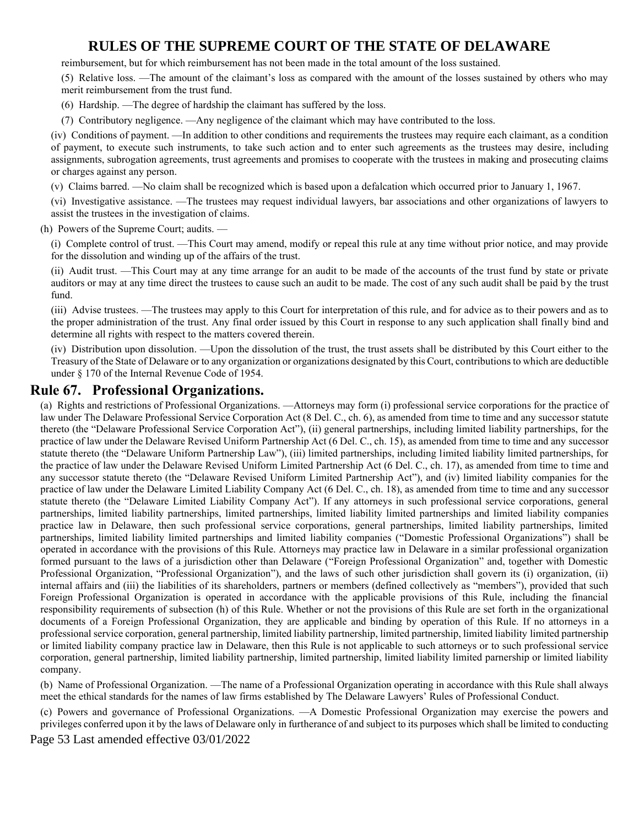reimbursement, but for which reimbursement has not been made in the total amount of the loss sustained.

(5) Relative loss. —The amount of the claimant's loss as compared with the amount of the losses sustained by others who may merit reimbursement from the trust fund.

- (6) Hardship. —The degree of hardship the claimant has suffered by the loss.
- (7) Contributory negligence. —Any negligence of the claimant which may have contributed to the loss.

(iv) Conditions of payment. —In addition to other conditions and requirements the trustees may require each claimant, as a condition of payment, to execute such instruments, to take such action and to enter such agreements as the trustees may desire, including assignments, subrogation agreements, trust agreements and promises to cooperate with the trustees in making and prosecuting claims or charges against any person.

(v) Claims barred. —No claim shall be recognized which is based upon a defalcation which occurred prior to January 1, 1967.

(vi) Investigative assistance. —The trustees may request individual lawyers, bar associations and other organizations of lawyers to assist the trustees in the investigation of claims.

(h) Powers of the Supreme Court; audits. —

(i) Complete control of trust. —This Court may amend, modify or repeal this rule at any time without prior notice, and may provide for the dissolution and winding up of the affairs of the trust.

(ii) Audit trust. —This Court may at any time arrange for an audit to be made of the accounts of the trust fund by state or private auditors or may at any time direct the trustees to cause such an audit to be made. The cost of any such audit shall be paid by the trust fund.

(iii) Advise trustees. —The trustees may apply to this Court for interpretation of this rule, and for advice as to their powers and as to the proper administration of the trust. Any final order issued by this Court in response to any such application shall finally bind and determine all rights with respect to the matters covered therein.

(iv) Distribution upon dissolution. —Upon the dissolution of the trust, the trust assets shall be distributed by this Court either to the Treasury of the State of Delaware or to any organization or organizations designated by this Court, contributions to which are deductible under § 170 of the Internal Revenue Code of 1954.

### **Rule 67. Professional Organizations.**

(a) Rights and restrictions of Professional Organizations. —Attorneys may form (i) professional service corporations for the practice of law under The Delaware Professional Service Corporation Act (8 Del. C., ch. 6), as amended from time to time and any successor statute thereto (the "Delaware Professional Service Corporation Act"), (ii) general partnerships, including limited liability partnerships, for the practice of law under the Delaware Revised Uniform Partnership Act (6 Del. C., ch. 15), as amended from time to time and any successor statute thereto (the "Delaware Uniform Partnership Law"), (iii) limited partnerships, including limited liability limited partnerships, for the practice of law under the Delaware Revised Uniform Limited Partnership Act (6 Del. C., ch. 17), as amended from time to time and any successor statute thereto (the "Delaware Revised Uniform Limited Partnership Act"), and (iv) limited liability companies for the practice of law under the Delaware Limited Liability Company Act (6 Del. C., ch. 18), as amended from time to time and any successor statute thereto (the "Delaware Limited Liability Company Act"). If any attorneys in such professional service corporations, general partnerships, limited liability partnerships, limited partnerships, limited liability limited partnerships and limited liability companies practice law in Delaware, then such professional service corporations, general partnerships, limited liability partnerships, limited partnerships, limited liability limited partnerships and limited liability companies ("Domestic Professional Organizations") shall be operated in accordance with the provisions of this Rule. Attorneys may practice law in Delaware in a similar professional organization formed pursuant to the laws of a jurisdiction other than Delaware ("Foreign Professional Organization" and, together with Domestic Professional Organization, "Professional Organization"), and the laws of such other jurisdiction shall govern its (i) organization, (ii) internal affairs and (iii) the liabilities of its shareholders, partners or members (defined collectively as "members"), provided that such Foreign Professional Organization is operated in accordance with the applicable provisions of this Rule, including the financial responsibility requirements of subsection (h) of this Rule. Whether or not the provisions of this Rule are set forth in the organizational documents of a Foreign Professional Organization, they are applicable and binding by operation of this Rule. If no attorneys in a professional service corporation, general partnership, limited liability partnership, limited partnership, limited liability limited partnership or limited liability company practice law in Delaware, then this Rule is not applicable to such attorneys or to such professional service corporation, general partnership, limited liability partnership, limited partnership, limited liability limited parnership or limited liability company.

(b) Name of Professional Organization. —The name of a Professional Organization operating in accordance with this Rule shall always meet the ethical standards for the names of law firms established by The Delaware Lawyers' Rules of Professional Conduct.

(c) Powers and governance of Professional Organizations. —A Domestic Professional Organization may exercise the powers and privileges conferred upon it by the laws of Delaware only in furtherance of and subject to its purposes which shall be limited to conducting

Page 53 Last amended effective 03/01/2022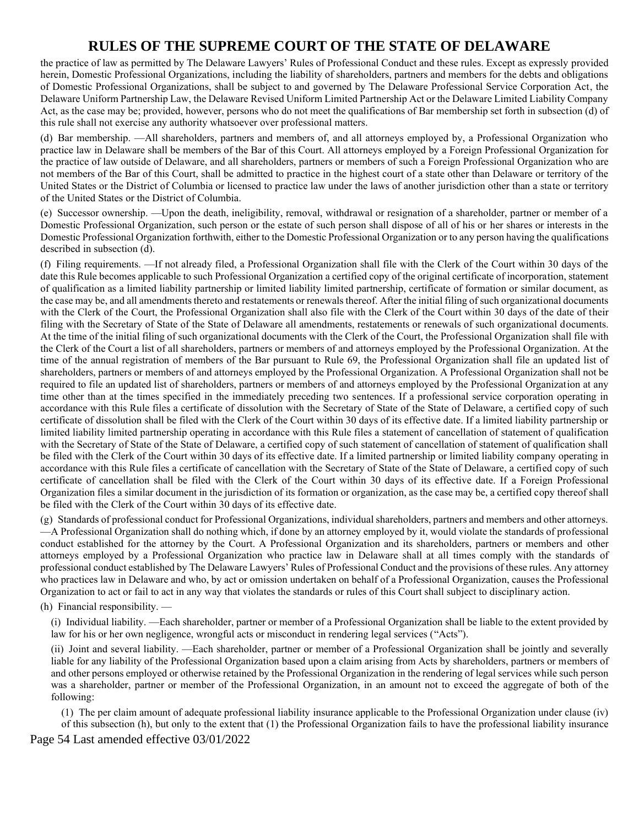the practice of law as permitted by The Delaware Lawyers' Rules of Professional Conduct and these rules. Except as expressly provided herein, Domestic Professional Organizations, including the liability of shareholders, partners and members for the debts and obligations of Domestic Professional Organizations, shall be subject to and governed by The Delaware Professional Service Corporation Act, the Delaware Uniform Partnership Law, the Delaware Revised Uniform Limited Partnership Act or the Delaware Limited Liability Company Act, as the case may be; provided, however, persons who do not meet the qualifications of Bar membership set forth in subsection (d) of this rule shall not exercise any authority whatsoever over professional matters.

(d) Bar membership. —All shareholders, partners and members of, and all attorneys employed by, a Professional Organization who practice law in Delaware shall be members of the Bar of this Court. All attorneys employed by a Foreign Professional Organization for the practice of law outside of Delaware, and all shareholders, partners or members of such a Foreign Professional Organization who are not members of the Bar of this Court, shall be admitted to practice in the highest court of a state other than Delaware or territory of the United States or the District of Columbia or licensed to practice law under the laws of another jurisdiction other than a state or territory of the United States or the District of Columbia.

(e) Successor ownership. —Upon the death, ineligibility, removal, withdrawal or resignation of a shareholder, partner or member of a Domestic Professional Organization, such person or the estate of such person shall dispose of all of his or her shares or interests in the Domestic Professional Organization forthwith, either to the Domestic Professional Organization or to any person having the qualifications described in subsection (d).

(f) Filing requirements. —If not already filed, a Professional Organization shall file with the Clerk of the Court within 30 days of the date this Rule becomes applicable to such Professional Organization a certified copy of the original certificate of incorporation, statement of qualification as a limited liability partnership or limited liability limited partnership, certificate of formation or similar document, as the case may be, and all amendments thereto and restatements or renewals thereof. After the initial filing of such organizational documents with the Clerk of the Court, the Professional Organization shall also file with the Clerk of the Court within 30 days of the date of their filing with the Secretary of State of the State of Delaware all amendments, restatements or renewals of such organizational documents. At the time of the initial filing of such organizational documents with the Clerk of the Court, the Professional Organization shall file with the Clerk of the Court a list of all shareholders, partners or members of and attorneys employed by the Professional Organization. At the time of the annual registration of members of the Bar pursuant to Rule 69, the Professional Organization shall file an updated list of shareholders, partners or members of and attorneys employed by the Professional Organization. A Professional Organization shall not be required to file an updated list of shareholders, partners or members of and attorneys employed by the Professional Organization at any time other than at the times specified in the immediately preceding two sentences. If a professional service corporation operating in accordance with this Rule files a certificate of dissolution with the Secretary of State of the State of Delaware, a certified copy of such certificate of dissolution shall be filed with the Clerk of the Court within 30 days of its effective date. If a limited liability partnership or limited liability limited partnership operating in accordance with this Rule files a statement of cancellation of statement of qualification with the Secretary of State of the State of Delaware, a certified copy of such statement of cancellation of statement of qualification shall be filed with the Clerk of the Court within 30 days of its effective date. If a limited partnership or limited liability company operating in accordance with this Rule files a certificate of cancellation with the Secretary of State of the State of Delaware, a certified copy of such certificate of cancellation shall be filed with the Clerk of the Court within 30 days of its effective date. If a Foreign Professional Organization files a similar document in the jurisdiction of its formation or organization, as the case may be, a certified copy thereof shall be filed with the Clerk of the Court within 30 days of its effective date.

(g) Standards of professional conduct for Professional Organizations, individual shareholders, partners and members and other attorneys. —A Professional Organization shall do nothing which, if done by an attorney employed by it, would violate the standards of professional conduct established for the attorney by the Court. A Professional Organization and its shareholders, partners or members and other attorneys employed by a Professional Organization who practice law in Delaware shall at all times comply with the standards of professional conduct established by The Delaware Lawyers' Rules of Professional Conduct and the provisions of these rules. Any attorney who practices law in Delaware and who, by act or omission undertaken on behalf of a Professional Organization, causes the Professional Organization to act or fail to act in any way that violates the standards or rules of this Court shall subject to disciplinary action.

(h) Financial responsibility. —

(i) Individual liability. —Each shareholder, partner or member of a Professional Organization shall be liable to the extent provided by law for his or her own negligence, wrongful acts or misconduct in rendering legal services ("Acts").

(ii) Joint and several liability. —Each shareholder, partner or member of a Professional Organization shall be jointly and severally liable for any liability of the Professional Organization based upon a claim arising from Acts by shareholders, partners or members of and other persons employed or otherwise retained by the Professional Organization in the rendering of legal services while such person was a shareholder, partner or member of the Professional Organization, in an amount not to exceed the aggregate of both of the following:

(1) The per claim amount of adequate professional liability insurance applicable to the Professional Organization under clause (iv) of this subsection (h), but only to the extent that (1) the Professional Organization fails to have the professional liability insurance

Page 54 Last amended effective 03/01/2022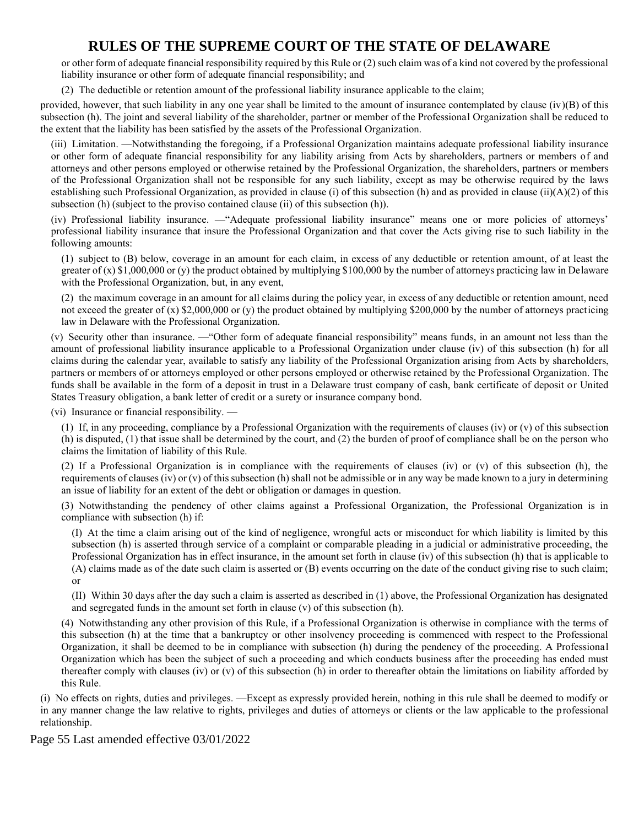or other form of adequate financial responsibility required by this Rule or (2) such claim was of a kind not covered by the professional liability insurance or other form of adequate financial responsibility; and

(2) The deductible or retention amount of the professional liability insurance applicable to the claim;

provided, however, that such liability in any one year shall be limited to the amount of insurance contemplated by clause  $(iv)(B)$  of this subsection (h). The joint and several liability of the shareholder, partner or member of the Professional Organization shall be reduced to the extent that the liability has been satisfied by the assets of the Professional Organization.

(iii) Limitation. —Notwithstanding the foregoing, if a Professional Organization maintains adequate professional liability insurance or other form of adequate financial responsibility for any liability arising from Acts by shareholders, partners or members of and attorneys and other persons employed or otherwise retained by the Professional Organization, the shareholders, partners or members of the Professional Organization shall not be responsible for any such liability, except as may be otherwise required by the laws establishing such Professional Organization, as provided in clause (i) of this subsection (h) and as provided in clause (ii)(A)(2) of this subsection (h) (subject to the proviso contained clause (ii) of this subsection (h)).

(iv) Professional liability insurance. —"Adequate professional liability insurance" means one or more policies of attorneys' professional liability insurance that insure the Professional Organization and that cover the Acts giving rise to such liability in the following amounts:

(1) subject to (B) below, coverage in an amount for each claim, in excess of any deductible or retention amount, of at least the greater of  $(x)$  \$1,000,000 or  $(y)$  the product obtained by multiplying \$100,000 by the number of attorneys practicing law in Delaware with the Professional Organization, but, in any event,

(2) the maximum coverage in an amount for all claims during the policy year, in excess of any deductible or retention amount, need not exceed the greater of (x) \$2,000,000 or (y) the product obtained by multiplying \$200,000 by the number of attorneys practicing law in Delaware with the Professional Organization.

(v) Security other than insurance. —"Other form of adequate financial responsibility" means funds, in an amount not less than the amount of professional liability insurance applicable to a Professional Organization under clause (iv) of this subsection (h) for all claims during the calendar year, available to satisfy any liability of the Professional Organization arising from Acts by shareholders, partners or members of or attorneys employed or other persons employed or otherwise retained by the Professional Organization. The funds shall be available in the form of a deposit in trust in a Delaware trust company of cash, bank certificate of deposit or United States Treasury obligation, a bank letter of credit or a surety or insurance company bond.

(vi) Insurance or financial responsibility. —

(1) If, in any proceeding, compliance by a Professional Organization with the requirements of clauses (iv) or (v) of this subsection (h) is disputed, (1) that issue shall be determined by the court, and (2) the burden of proof of compliance shall be on the person who claims the limitation of liability of this Rule.

(2) If a Professional Organization is in compliance with the requirements of clauses (iv) or (v) of this subsection (h), the requirements of clauses (iv) or (v) of this subsection (h) shall not be admissible or in any way be made known to a jury in determining an issue of liability for an extent of the debt or obligation or damages in question.

(3) Notwithstanding the pendency of other claims against a Professional Organization, the Professional Organization is in compliance with subsection (h) if:

(I) At the time a claim arising out of the kind of negligence, wrongful acts or misconduct for which liability is limited by this subsection (h) is asserted through service of a complaint or comparable pleading in a judicial or administrative proceeding, the Professional Organization has in effect insurance, in the amount set forth in clause (iv) of this subsection (h) that is applicable to (A) claims made as of the date such claim is asserted or (B) events occurring on the date of the conduct giving rise to such claim; or

(II) Within 30 days after the day such a claim is asserted as described in (1) above, the Professional Organization has designated and segregated funds in the amount set forth in clause (v) of this subsection (h).

(4) Notwithstanding any other provision of this Rule, if a Professional Organization is otherwise in compliance with the terms of this subsection (h) at the time that a bankruptcy or other insolvency proceeding is commenced with respect to the Professional Organization, it shall be deemed to be in compliance with subsection (h) during the pendency of the proceeding. A Professional Organization which has been the subject of such a proceeding and which conducts business after the proceeding has ended must thereafter comply with clauses (iv) or (v) of this subsection (h) in order to thereafter obtain the limitations on liability afforded by this Rule.

(i) No effects on rights, duties and privileges. —Except as expressly provided herein, nothing in this rule shall be deemed to modify or in any manner change the law relative to rights, privileges and duties of attorneys or clients or the law applicable to the professional relationship.

Page 55 Last amended effective 03/01/2022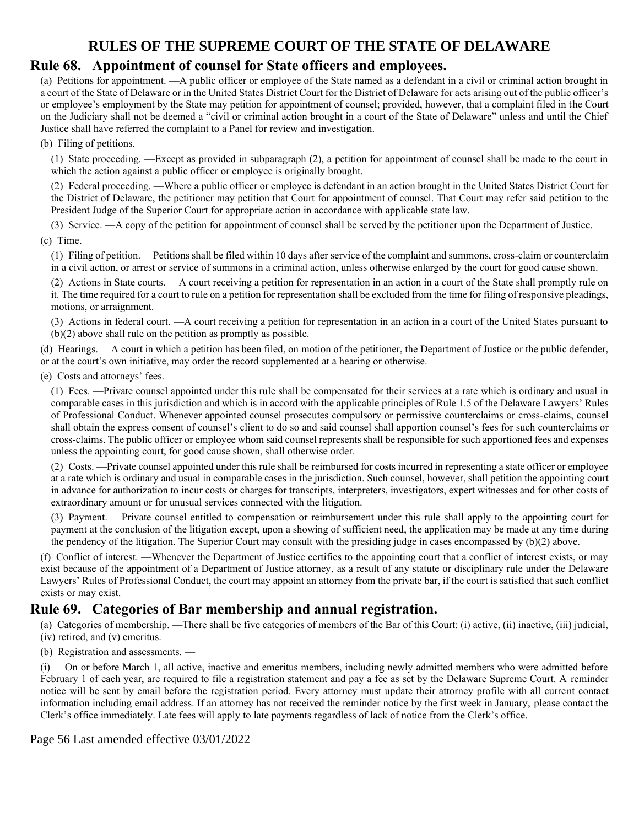### **Rule 68. Appointment of counsel for State officers and employees.**

(a) Petitions for appointment. —A public officer or employee of the State named as a defendant in a civil or criminal action brought in a court of the State of Delaware or in the United States District Court for the District of Delaware for acts arising out of the public officer's or employee's employment by the State may petition for appointment of counsel; provided, however, that a complaint filed in the Court on the Judiciary shall not be deemed a "civil or criminal action brought in a court of the State of Delaware" unless and until the Chief Justice shall have referred the complaint to a Panel for review and investigation.

(b) Filing of petitions. —

(1) State proceeding. —Except as provided in subparagraph (2), a petition for appointment of counsel shall be made to the court in which the action against a public officer or employee is originally brought.

(2) Federal proceeding. —Where a public officer or employee is defendant in an action brought in the United States District Court for the District of Delaware, the petitioner may petition that Court for appointment of counsel. That Court may refer said petition to the President Judge of the Superior Court for appropriate action in accordance with applicable state law.

(3) Service. —A copy of the petition for appointment of counsel shall be served by the petitioner upon the Department of Justice.  $(c)$  Time. —

(1) Filing of petition. —Petitions shall be filed within 10 days after service of the complaint and summons, cross-claim or counterclaim in a civil action, or arrest or service of summons in a criminal action, unless otherwise enlarged by the court for good cause shown.

(2) Actions in State courts. —A court receiving a petition for representation in an action in a court of the State shall promptly rule on it. The time required for a court to rule on a petition for representation shall be excluded from the time for filing of responsive pleadings, motions, or arraignment.

(3) Actions in federal court. —A court receiving a petition for representation in an action in a court of the United States pursuant to (b)(2) above shall rule on the petition as promptly as possible.

(d) Hearings. —A court in which a petition has been filed, on motion of the petitioner, the Department of Justice or the public defender, or at the court's own initiative, may order the record supplemented at a hearing or otherwise.

(e) Costs and attorneys' fees. —

(1) Fees. —Private counsel appointed under this rule shall be compensated for their services at a rate which is ordinary and usual in comparable cases in this jurisdiction and which is in accord with the applicable principles of Rule 1.5 of the Delaware Lawyers' Rules of Professional Conduct. Whenever appointed counsel prosecutes compulsory or permissive counterclaims or cross-claims, counsel shall obtain the express consent of counsel's client to do so and said counsel shall apportion counsel's fees for such counterclaims or cross-claims. The public officer or employee whom said counsel represents shall be responsible for such apportioned fees and expenses unless the appointing court, for good cause shown, shall otherwise order.

(2) Costs. —Private counsel appointed under this rule shall be reimbursed for costs incurred in representing a state officer or employee at a rate which is ordinary and usual in comparable cases in the jurisdiction. Such counsel, however, shall petition the appointing court in advance for authorization to incur costs or charges for transcripts, interpreters, investigators, expert witnesses and for other costs of extraordinary amount or for unusual services connected with the litigation.

(3) Payment. —Private counsel entitled to compensation or reimbursement under this rule shall apply to the appointing court for payment at the conclusion of the litigation except, upon a showing of sufficient need, the application may be made at any time during the pendency of the litigation. The Superior Court may consult with the presiding judge in cases encompassed by (b)(2) above.

(f) Conflict of interest. —Whenever the Department of Justice certifies to the appointing court that a conflict of interest exists, or may exist because of the appointment of a Department of Justice attorney, as a result of any statute or disciplinary rule under the Delaware Lawyers' Rules of Professional Conduct, the court may appoint an attorney from the private bar, if the court is satisfied that such conflict exists or may exist.

## **Rule 69. Categories of Bar membership and annual registration.**

(a) Categories of membership. —There shall be five categories of members of the Bar of this Court: (i) active, (ii) inactive, (iii) judicial, (iv) retired, and (v) emeritus.

(b) Registration and assessments. —

(i) On or before March 1, all active, inactive and emeritus members, including newly admitted members who were admitted before February 1 of each year, are required to file a registration statement and pay a fee as set by the Delaware Supreme Court. A reminder notice will be sent by email before the registration period. Every attorney must update their attorney profile with all current contact information including email address. If an attorney has not received the reminder notice by the first week in January, please contact the Clerk's office immediately. Late fees will apply to late payments regardless of lack of notice from the Clerk's office.

Page 56 Last amended effective 03/01/2022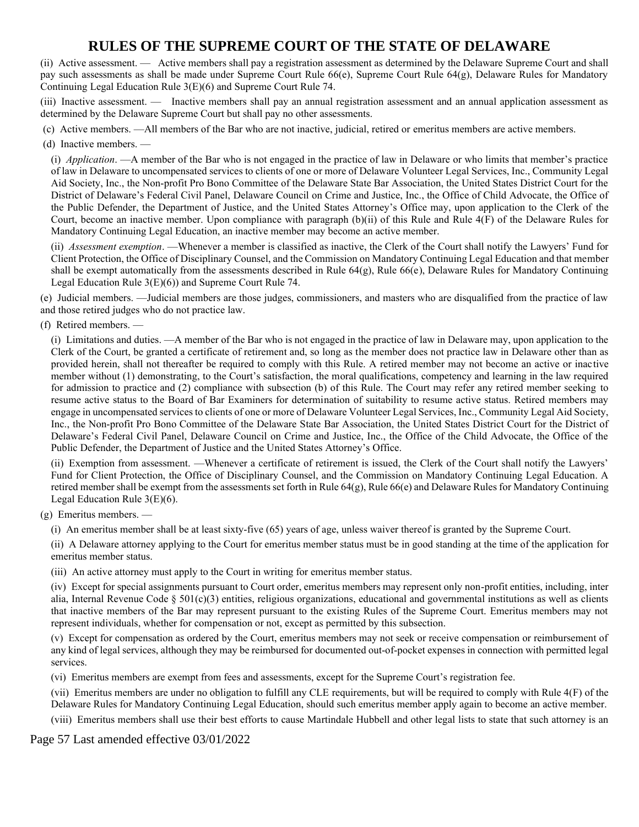(ii) Active assessment. — Active members shall pay a registration assessment as determined by the Delaware Supreme Court and shall pay such assessments as shall be made under Supreme Court Rule 66(e), Supreme Court Rule 64(g), Delaware Rules for Mandatory Continuing Legal Education Rule 3(E)(6) and Supreme Court Rule 74.

(iii) Inactive assessment. — Inactive members shall pay an annual registration assessment and an annual application assessment as determined by the Delaware Supreme Court but shall pay no other assessments.

(c) Active members. —All members of the Bar who are not inactive, judicial, retired or emeritus members are active members.

#### (d) Inactive members. —

(i) *Application*. —A member of the Bar who is not engaged in the practice of law in Delaware or who limits that member's practice of law in Delaware to uncompensated services to clients of one or more of Delaware Volunteer Legal Services, Inc., Community Legal Aid Society, Inc., the Non-profit Pro Bono Committee of the Delaware State Bar Association, the United States District Court for the District of Delaware's Federal Civil Panel, Delaware Council on Crime and Justice, Inc., the Office of Child Advocate, the Office of the Public Defender, the Department of Justice, and the United States Attorney's Office may, upon application to the Clerk of the Court, become an inactive member. Upon compliance with paragraph (b)(ii) of this Rule and Rule 4(F) of the Delaware Rules for Mandatory Continuing Legal Education, an inactive member may become an active member.

(ii) *Assessment exemption*. —Whenever a member is classified as inactive, the Clerk of the Court shall notify the Lawyers' Fund for Client Protection, the Office of Disciplinary Counsel, and the Commission on Mandatory Continuing Legal Education and that member shall be exempt automatically from the assessments described in Rule 64(g), Rule 66(e), Delaware Rules for Mandatory Continuing Legal Education Rule 3(E)(6)) and Supreme Court Rule 74.

(e) Judicial members. —Judicial members are those judges, commissioners, and masters who are disqualified from the practice of law and those retired judges who do not practice law.

(f) Retired members. —

(i) Limitations and duties. —A member of the Bar who is not engaged in the practice of law in Delaware may, upon application to the Clerk of the Court, be granted a certificate of retirement and, so long as the member does not practice law in Delaware other than as provided herein, shall not thereafter be required to comply with this Rule. A retired member may not become an active or inactive member without (1) demonstrating, to the Court's satisfaction, the moral qualifications, competency and learning in the law required for admission to practice and (2) compliance with subsection (b) of this Rule. The Court may refer any retired member seeking to resume active status to the Board of Bar Examiners for determination of suitability to resume active status. Retired members may engage in uncompensated services to clients of one or more of Delaware Volunteer Legal Services, Inc., Community Legal Aid Society, Inc., the Non-profit Pro Bono Committee of the Delaware State Bar Association, the United States District Court for the District of Delaware's Federal Civil Panel, Delaware Council on Crime and Justice, Inc., the Office of the Child Advocate, the Office of the Public Defender, the Department of Justice and the United States Attorney's Office.

(ii) Exemption from assessment. —Whenever a certificate of retirement is issued, the Clerk of the Court shall notify the Lawyers' Fund for Client Protection, the Office of Disciplinary Counsel, and the Commission on Mandatory Continuing Legal Education. A retired member shall be exempt from the assessments set forth in Rule  $64(g)$ , Rule  $66(e)$  and Delaware Rules for Mandatory Continuing Legal Education Rule 3(E)(6).

(g) Emeritus members. —

(i) An emeritus member shall be at least sixty-five (65) years of age, unless waiver thereof is granted by the Supreme Court.

(ii) A Delaware attorney applying to the Court for emeritus member status must be in good standing at the time of the application for emeritus member status.

(iii) An active attorney must apply to the Court in writing for emeritus member status.

(iv) Except for special assignments pursuant to Court order, emeritus members may represent only non-profit entities, including, inter alia, Internal Revenue Code § 501(c)(3) entities, religious organizations, educational and governmental institutions as well as clients that inactive members of the Bar may represent pursuant to the existing Rules of the Supreme Court. Emeritus members may not represent individuals, whether for compensation or not, except as permitted by this subsection.

(v) Except for compensation as ordered by the Court, emeritus members may not seek or receive compensation or reimbursement of any kind of legal services, although they may be reimbursed for documented out-of-pocket expenses in connection with permitted legal services.

(vi) Emeritus members are exempt from fees and assessments, except for the Supreme Court's registration fee.

(vii) Emeritus members are under no obligation to fulfill any CLE requirements, but will be required to comply with Rule 4(F) of the Delaware Rules for Mandatory Continuing Legal Education, should such emeritus member apply again to become an active member. (viii) Emeritus members shall use their best efforts to cause Martindale Hubbell and other legal lists to state that such attorney is an

Page 57 Last amended effective 03/01/2022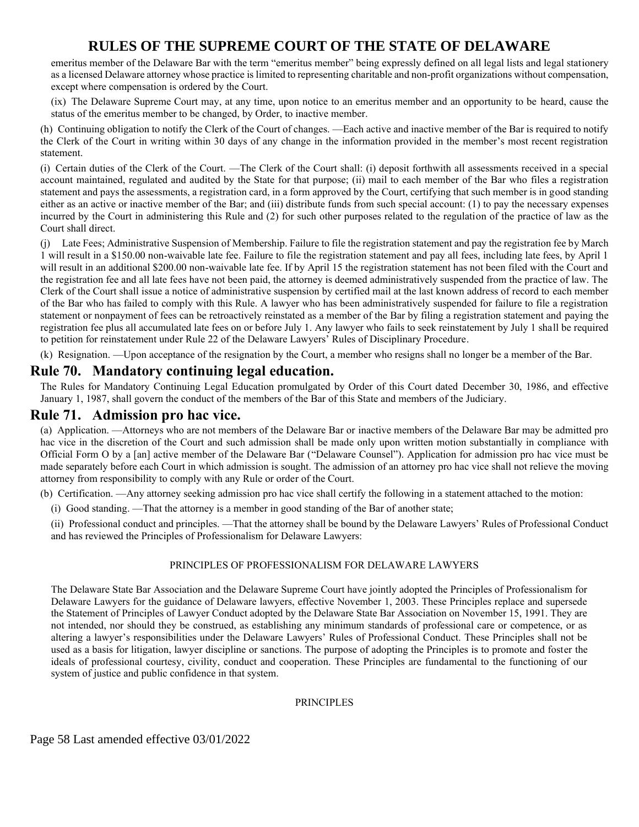emeritus member of the Delaware Bar with the term "emeritus member" being expressly defined on all legal lists and legal stationery as a licensed Delaware attorney whose practice is limited to representing charitable and non-profit organizations without compensation, except where compensation is ordered by the Court.

(ix) The Delaware Supreme Court may, at any time, upon notice to an emeritus member and an opportunity to be heard, cause the status of the emeritus member to be changed, by Order, to inactive member.

(h) Continuing obligation to notify the Clerk of the Court of changes. —Each active and inactive member of the Bar is required to notify the Clerk of the Court in writing within 30 days of any change in the information provided in the member's most recent registration statement.

(i) Certain duties of the Clerk of the Court. —The Clerk of the Court shall: (i) deposit forthwith all assessments received in a special account maintained, regulated and audited by the State for that purpose; (ii) mail to each member of the Bar who files a registration statement and pays the assessments, a registration card, in a form approved by the Court, certifying that such member is in good standing either as an active or inactive member of the Bar; and (iii) distribute funds from such special account: (1) to pay the necessary expenses incurred by the Court in administering this Rule and (2) for such other purposes related to the regulation of the practice of law as the Court shall direct.

(j) Late Fees; Administrative Suspension of Membership. Failure to file the registration statement and pay the registration fee by March 1 will result in a \$150.00 non-waivable late fee. Failure to file the registration statement and pay all fees, including late fees, by April 1 will result in an additional \$200.00 non-waivable late fee. If by April 15 the registration statement has not been filed with the Court and the registration fee and all late fees have not been paid, the attorney is deemed administratively suspended from the practice of law. The Clerk of the Court shall issue a notice of administrative suspension by certified mail at the last known address of record to each member of the Bar who has failed to comply with this Rule. A lawyer who has been administratively suspended for failure to file a registration statement or nonpayment of fees can be retroactively reinstated as a member of the Bar by filing a registration statement and paying the registration fee plus all accumulated late fees on or before July 1. Any lawyer who fails to seek reinstatement by July 1 shall be required to petition for reinstatement under Rule 22 of the Delaware Lawyers' Rules of Disciplinary Procedure.

(k) Resignation. —Upon acceptance of the resignation by the Court, a member who resigns shall no longer be a member of the Bar.

### **Rule 70. Mandatory continuing legal education.**

The Rules for Mandatory Continuing Legal Education promulgated by Order of this Court dated December 30, 1986, and effective January 1, 1987, shall govern the conduct of the members of the Bar of this State and members of the Judiciary.

### **Rule 71. Admission pro hac vice.**

(a) Application. —Attorneys who are not members of the Delaware Bar or inactive members of the Delaware Bar may be admitted pro hac vice in the discretion of the Court and such admission shall be made only upon written motion substantially in compliance with Official Form O by a [an] active member of the Delaware Bar ("Delaware Counsel"). Application for admission pro hac vice must be made separately before each Court in which admission is sought. The admission of an attorney pro hac vice shall not relieve the moving attorney from responsibility to comply with any Rule or order of the Court.

(b) Certification. —Any attorney seeking admission pro hac vice shall certify the following in a statement attached to the motion:

(i) Good standing. —That the attorney is a member in good standing of the Bar of another state;

(ii) Professional conduct and principles. —That the attorney shall be bound by the Delaware Lawyers' Rules of Professional Conduct and has reviewed the Principles of Professionalism for Delaware Lawyers:

#### PRINCIPLES OF PROFESSIONALISM FOR DELAWARE LAWYERS

The Delaware State Bar Association and the Delaware Supreme Court have jointly adopted the Principles of Professionalism for Delaware Lawyers for the guidance of Delaware lawyers, effective November 1, 2003. These Principles replace and supersede the Statement of Principles of Lawyer Conduct adopted by the Delaware State Bar Association on November 15, 1991. They are not intended, nor should they be construed, as establishing any minimum standards of professional care or competence, or as altering a lawyer's responsibilities under the Delaware Lawyers' Rules of Professional Conduct. These Principles shall not be used as a basis for litigation, lawyer discipline or sanctions. The purpose of adopting the Principles is to promote and foster the ideals of professional courtesy, civility, conduct and cooperation. These Principles are fundamental to the functioning of our system of justice and public confidence in that system.

#### PRINCIPLES

Page 58 Last amended effective 03/01/2022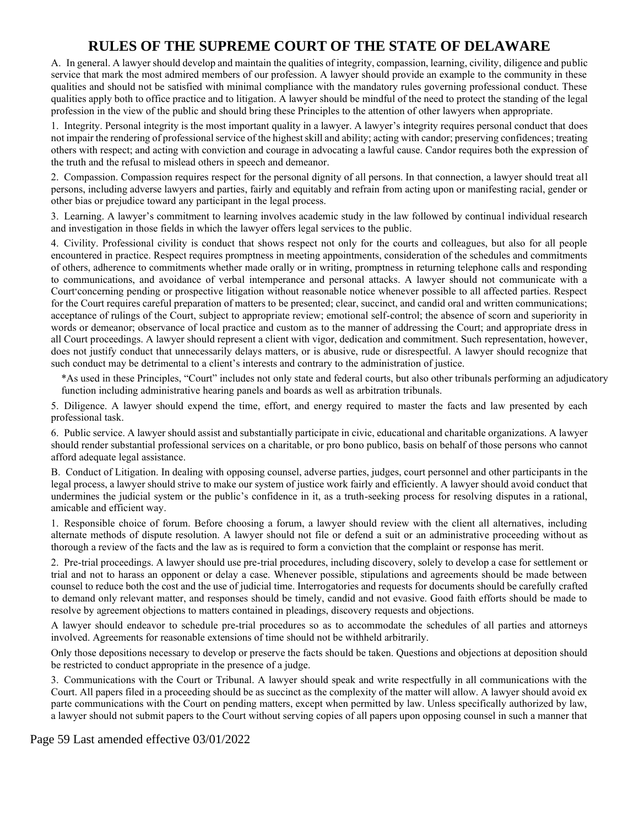A. In general. A lawyer should develop and maintain the qualities of integrity, compassion, learning, civility, diligence and public service that mark the most admired members of our profession. A lawyer should provide an example to the community in these qualities and should not be satisfied with minimal compliance with the mandatory rules governing professional conduct. These qualities apply both to office practice and to litigation. A lawyer should be mindful of the need to protect the standing of the legal profession in the view of the public and should bring these Principles to the attention of other lawyers when appropriate.

1. Integrity. Personal integrity is the most important quality in a lawyer. A lawyer's integrity requires personal conduct that does not impair the rendering of professional service of the highest skill and ability; acting with candor; preserving confidences; treating others with respect; and acting with conviction and courage in advocating a lawful cause. Candor requires both the expression of the truth and the refusal to mislead others in speech and demeanor.

2. Compassion. Compassion requires respect for the personal dignity of all persons. In that connection, a lawyer should treat all persons, including adverse lawyers and parties, fairly and equitably and refrain from acting upon or manifesting racial, gender or other bias or prejudice toward any participant in the legal process.

3. Learning. A lawyer's commitment to learning involves academic study in the law followed by continual individual research and investigation in those fields in which the lawyer offers legal services to the public.

4. Civility. Professional civility is conduct that shows respect not only for the courts and colleagues, but also for all people encountered in practice. Respect requires promptness in meeting appointments, consideration of the schedules and commitments of others, adherence to commitments whether made orally or in writing, promptness in returning telephone calls and responding to communications, and avoidance of verbal intemperance and personal attacks. A lawyer should not communicate with a Court\*concerning pending or prospective litigation without reasonable notice whenever possible to all affected parties. Respect for the Court requires careful preparation of matters to be presented; clear, succinct, and candid oral and written communications; acceptance of rulings of the Court, subject to appropriate review; emotional self-control; the absence of scorn and superiority in words or demeanor; observance of local practice and custom as to the manner of addressing the Court; and appropriate dress in all Court proceedings. A lawyer should represent a client with vigor, dedication and commitment. Such representation, however, does not justify conduct that unnecessarily delays matters, or is abusive, rude or disrespectful. A lawyer should recognize that such conduct may be detrimental to a client's interests and contrary to the administration of justice.

\*As used in these Principles, "Court" includes not only state and federal courts, but also other tribunals performing an adjudicatory function including administrative hearing panels and boards as well as arbitration tribunals.

5. Diligence. A lawyer should expend the time, effort, and energy required to master the facts and law presented by each professional task.

6. Public service. A lawyer should assist and substantially participate in civic, educational and charitable organizations. A lawyer should render substantial professional services on a charitable, or pro bono publico, basis on behalf of those persons who cannot afford adequate legal assistance.

B. Conduct of Litigation. In dealing with opposing counsel, adverse parties, judges, court personnel and other participants in the legal process, a lawyer should strive to make our system of justice work fairly and efficiently. A lawyer should avoid conduct that undermines the judicial system or the public's confidence in it, as a truth-seeking process for resolving disputes in a rational, amicable and efficient way.

1. Responsible choice of forum. Before choosing a forum, a lawyer should review with the client all alternatives, including alternate methods of dispute resolution. A lawyer should not file or defend a suit or an administrative proceeding without as thorough a review of the facts and the law as is required to form a conviction that the complaint or response has merit.

2. Pre-trial proceedings. A lawyer should use pre-trial procedures, including discovery, solely to develop a case for settlement or trial and not to harass an opponent or delay a case. Whenever possible, stipulations and agreements should be made between counsel to reduce both the cost and the use of judicial time. Interrogatories and requests for documents should be carefully crafted to demand only relevant matter, and responses should be timely, candid and not evasive. Good faith efforts should be made to resolve by agreement objections to matters contained in pleadings, discovery requests and objections.

A lawyer should endeavor to schedule pre-trial procedures so as to accommodate the schedules of all parties and attorneys involved. Agreements for reasonable extensions of time should not be withheld arbitrarily.

Only those depositions necessary to develop or preserve the facts should be taken. Questions and objections at deposition should be restricted to conduct appropriate in the presence of a judge.

3. Communications with the Court or Tribunal. A lawyer should speak and write respectfully in all communications with the Court. All papers filed in a proceeding should be as succinct as the complexity of the matter will allow. A lawyer should avoid ex parte communications with the Court on pending matters, except when permitted by law. Unless specifically authorized by law, a lawyer should not submit papers to the Court without serving copies of all papers upon opposing counsel in such a manner that

Page 59 Last amended effective 03/01/2022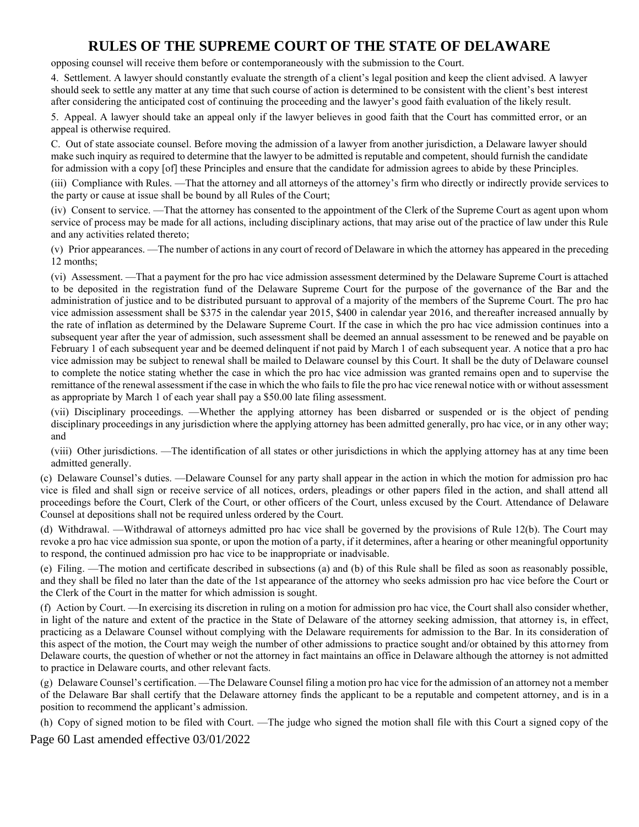opposing counsel will receive them before or contemporaneously with the submission to the Court.

4. Settlement. A lawyer should constantly evaluate the strength of a client's legal position and keep the client advised. A lawyer should seek to settle any matter at any time that such course of action is determined to be consistent with the client's best interest after considering the anticipated cost of continuing the proceeding and the lawyer's good faith evaluation of the likely result.

5. Appeal. A lawyer should take an appeal only if the lawyer believes in good faith that the Court has committed error, or an appeal is otherwise required.

C. Out of state associate counsel. Before moving the admission of a lawyer from another jurisdiction, a Delaware lawyer should make such inquiry as required to determine that the lawyer to be admitted is reputable and competent, should furnish the candidate for admission with a copy [of] these Principles and ensure that the candidate for admission agrees to abide by these Principles.

(iii) Compliance with Rules. —That the attorney and all attorneys of the attorney's firm who directly or indirectly provide services to the party or cause at issue shall be bound by all Rules of the Court;

(iv) Consent to service. —That the attorney has consented to the appointment of the Clerk of the Supreme Court as agent upon whom service of process may be made for all actions, including disciplinary actions, that may arise out of the practice of law under this Rule and any activities related thereto;

(v) Prior appearances. —The number of actions in any court of record of Delaware in which the attorney has appeared in the preceding 12 months;

(vi) Assessment. —That a payment for the pro hac vice admission assessment determined by the Delaware Supreme Court is attached to be deposited in the registration fund of the Delaware Supreme Court for the purpose of the governance of the Bar and the administration of justice and to be distributed pursuant to approval of a majority of the members of the Supreme Court. The pro hac vice admission assessment shall be \$375 in the calendar year 2015, \$400 in calendar year 2016, and thereafter increased annually by the rate of inflation as determined by the Delaware Supreme Court. If the case in which the pro hac vice admission continues into a subsequent year after the year of admission, such assessment shall be deemed an annual assessment to be renewed and be payable on February 1 of each subsequent year and be deemed delinquent if not paid by March 1 of each subsequent year. A notice that a pro hac vice admission may be subject to renewal shall be mailed to Delaware counsel by this Court. It shall be the duty of Delaware counsel to complete the notice stating whether the case in which the pro hac vice admission was granted remains open and to supervise the remittance of the renewal assessment if the case in which the who fails to file the pro hac vice renewal notice with or without assessment as appropriate by March 1 of each year shall pay a \$50.00 late filing assessment.

(vii) Disciplinary proceedings. —Whether the applying attorney has been disbarred or suspended or is the object of pending disciplinary proceedings in any jurisdiction where the applying attorney has been admitted generally, pro hac vice, or in any other way; and

(viii) Other jurisdictions. —The identification of all states or other jurisdictions in which the applying attorney has at any time been admitted generally.

(c) Delaware Counsel's duties. —Delaware Counsel for any party shall appear in the action in which the motion for admission pro hac vice is filed and shall sign or receive service of all notices, orders, pleadings or other papers filed in the action, and shall attend all proceedings before the Court, Clerk of the Court, or other officers of the Court, unless excused by the Court. Attendance of Delaware Counsel at depositions shall not be required unless ordered by the Court.

(d) Withdrawal. —Withdrawal of attorneys admitted pro hac vice shall be governed by the provisions of Rule 12(b). The Court may revoke a pro hac vice admission sua sponte, or upon the motion of a party, if it determines, after a hearing or other meaningful opportunity to respond, the continued admission pro hac vice to be inappropriate or inadvisable.

(e) Filing. —The motion and certificate described in subsections (a) and (b) of this Rule shall be filed as soon as reasonably possible, and they shall be filed no later than the date of the 1st appearance of the attorney who seeks admission pro hac vice before the Court or the Clerk of the Court in the matter for which admission is sought.

(f) Action by Court. —In exercising its discretion in ruling on a motion for admission pro hac vice, the Court shall also consider whether, in light of the nature and extent of the practice in the State of Delaware of the attorney seeking admission, that attorney is, in effect, practicing as a Delaware Counsel without complying with the Delaware requirements for admission to the Bar. In its consideration of this aspect of the motion, the Court may weigh the number of other admissions to practice sought and/or obtained by this attorney from Delaware courts, the question of whether or not the attorney in fact maintains an office in Delaware although the attorney is not admitted to practice in Delaware courts, and other relevant facts.

(g) Delaware Counsel's certification. —The Delaware Counsel filing a motion pro hac vice for the admission of an attorney not a member of the Delaware Bar shall certify that the Delaware attorney finds the applicant to be a reputable and competent attorney, and is in a position to recommend the applicant's admission.

(h) Copy of signed motion to be filed with Court. —The judge who signed the motion shall file with this Court a signed copy of the

Page 60 Last amended effective 03/01/2022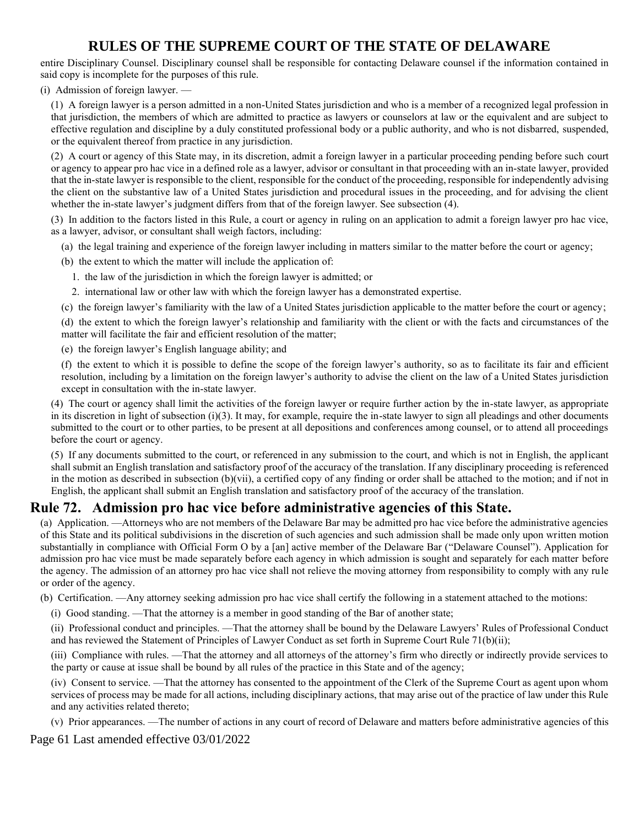entire Disciplinary Counsel. Disciplinary counsel shall be responsible for contacting Delaware counsel if the information contained in said copy is incomplete for the purposes of this rule.

(i) Admission of foreign lawyer. —

(1) A foreign lawyer is a person admitted in a non-United States jurisdiction and who is a member of a recognized legal profession in that jurisdiction, the members of which are admitted to practice as lawyers or counselors at law or the equivalent and are subject to effective regulation and discipline by a duly constituted professional body or a public authority, and who is not disbarred, suspended, or the equivalent thereof from practice in any jurisdiction.

(2) A court or agency of this State may, in its discretion, admit a foreign lawyer in a particular proceeding pending before such court or agency to appear pro hac vice in a defined role as a lawyer, advisor or consultant in that proceeding with an in-state lawyer, provided that the in-state lawyer is responsible to the client, responsible for the conduct of the proceeding, responsible for independently advising the client on the substantive law of a United States jurisdiction and procedural issues in the proceeding, and for advising the client whether the in-state lawyer's judgment differs from that of the foreign lawyer. See subsection (4).

(3) In addition to the factors listed in this Rule, a court or agency in ruling on an application to admit a foreign lawyer pro hac vice, as a lawyer, advisor, or consultant shall weigh factors, including:

- (a) the legal training and experience of the foreign lawyer including in matters similar to the matter before the court or agency;
- (b) the extent to which the matter will include the application of:
	- 1. the law of the jurisdiction in which the foreign lawyer is admitted; or
	- 2. international law or other law with which the foreign lawyer has a demonstrated expertise.
- (c) the foreign lawyer's familiarity with the law of a United States jurisdiction applicable to the matter before the court or agency;

(d) the extent to which the foreign lawyer's relationship and familiarity with the client or with the facts and circumstances of the matter will facilitate the fair and efficient resolution of the matter;

(e) the foreign lawyer's English language ability; and

(f) the extent to which it is possible to define the scope of the foreign lawyer's authority, so as to facilitate its fair and efficient resolution, including by a limitation on the foreign lawyer's authority to advise the client on the law of a United States jurisdiction except in consultation with the in-state lawyer.

(4) The court or agency shall limit the activities of the foreign lawyer or require further action by the in-state lawyer, as appropriate in its discretion in light of subsection  $(i)(3)$ . It may, for example, require the in-state lawyer to sign all pleadings and other documents submitted to the court or to other parties, to be present at all depositions and conferences among counsel, or to attend all proceedings before the court or agency.

(5) If any documents submitted to the court, or referenced in any submission to the court, and which is not in English, the applicant shall submit an English translation and satisfactory proof of the accuracy of the translation. If any disciplinary proceeding is referenced in the motion as described in subsection  $(b)(vii)$ , a certified copy of any finding or order shall be attached to the motion; and if not in English, the applicant shall submit an English translation and satisfactory proof of the accuracy of the translation.

## **Rule 72. Admission pro hac vice before administrative agencies of this State.**

(a) Application. —Attorneys who are not members of the Delaware Bar may be admitted pro hac vice before the administrative agencies of this State and its political subdivisions in the discretion of such agencies and such admission shall be made only upon written motion substantially in compliance with Official Form O by a [an] active member of the Delaware Bar ("Delaware Counsel"). Application for admission pro hac vice must be made separately before each agency in which admission is sought and separately for each matter before the agency. The admission of an attorney pro hac vice shall not relieve the moving attorney from responsibility to comply with any rule or order of the agency.

(b) Certification. —Any attorney seeking admission pro hac vice shall certify the following in a statement attached to the motions:

(i) Good standing. —That the attorney is a member in good standing of the Bar of another state;

(ii) Professional conduct and principles. —That the attorney shall be bound by the Delaware Lawyers' Rules of Professional Conduct and has reviewed the Statement of Principles of Lawyer Conduct as set forth in Supreme Court Rule 71(b)(ii);

(iii) Compliance with rules. —That the attorney and all attorneys of the attorney's firm who directly or indirectly provide services to the party or cause at issue shall be bound by all rules of the practice in this State and of the agency;

(iv) Consent to service. —That the attorney has consented to the appointment of the Clerk of the Supreme Court as agent upon whom services of process may be made for all actions, including disciplinary actions, that may arise out of the practice of law under this Rule and any activities related thereto;

(v) Prior appearances. —The number of actions in any court of record of Delaware and matters before administrative agencies of this

Page 61 Last amended effective 03/01/2022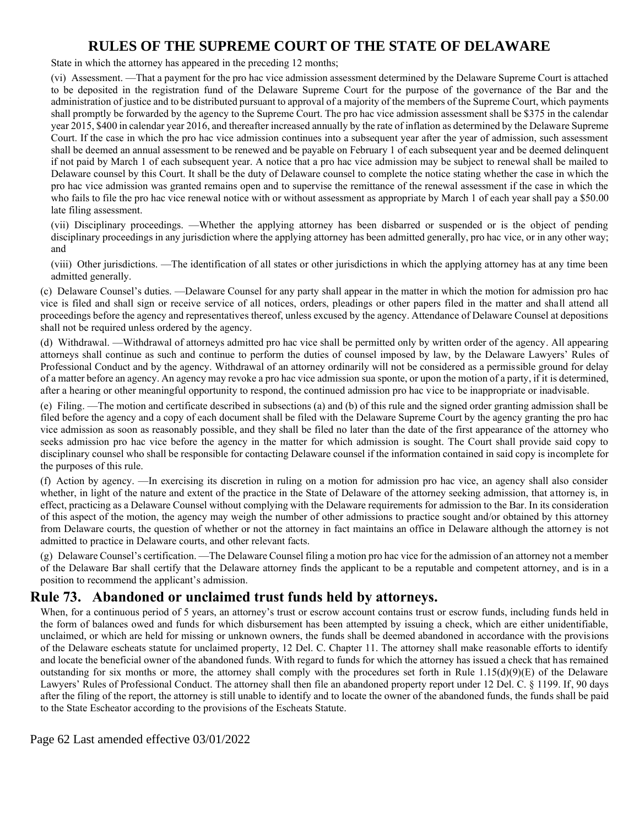State in which the attorney has appeared in the preceding 12 months;

(vi) Assessment. —That a payment for the pro hac vice admission assessment determined by the Delaware Supreme Court is attached to be deposited in the registration fund of the Delaware Supreme Court for the purpose of the governance of the Bar and the administration of justice and to be distributed pursuant to approval of a majority of the members of the Supreme Court, which payments shall promptly be forwarded by the agency to the Supreme Court. The pro hac vice admission assessment shall be \$375 in the calendar year 2015, \$400 in calendar year 2016, and thereafter increased annually by the rate of inflation as determined by the Delaware Supreme Court. If the case in which the pro hac vice admission continues into a subsequent year after the year of admission, such assessment shall be deemed an annual assessment to be renewed and be payable on February 1 of each subsequent year and be deemed delinquent if not paid by March 1 of each subsequent year. A notice that a pro hac vice admission may be subject to renewal shall be mailed to Delaware counsel by this Court. It shall be the duty of Delaware counsel to complete the notice stating whether the case in which the pro hac vice admission was granted remains open and to supervise the remittance of the renewal assessment if the case in which the who fails to file the pro hac vice renewal notice with or without assessment as appropriate by March 1 of each year shall pay a \$50.00 late filing assessment.

(vii) Disciplinary proceedings. —Whether the applying attorney has been disbarred or suspended or is the object of pending disciplinary proceedings in any jurisdiction where the applying attorney has been admitted generally, pro hac vice, or in any other way; and

(viii) Other jurisdictions. —The identification of all states or other jurisdictions in which the applying attorney has at any time been admitted generally.

(c) Delaware Counsel's duties. —Delaware Counsel for any party shall appear in the matter in which the motion for admission pro hac vice is filed and shall sign or receive service of all notices, orders, pleadings or other papers filed in the matter and shall attend all proceedings before the agency and representatives thereof, unless excused by the agency. Attendance of Delaware Counsel at depositions shall not be required unless ordered by the agency.

(d) Withdrawal. —Withdrawal of attorneys admitted pro hac vice shall be permitted only by written order of the agency. All appearing attorneys shall continue as such and continue to perform the duties of counsel imposed by law, by the Delaware Lawyers' Rules of Professional Conduct and by the agency. Withdrawal of an attorney ordinarily will not be considered as a permissible ground for delay of a matter before an agency. An agency may revoke a pro hac vice admission sua sponte, or upon the motion of a party, if it is determined, after a hearing or other meaningful opportunity to respond, the continued admission pro hac vice to be inappropriate or inadvisable.

(e) Filing. —The motion and certificate described in subsections (a) and (b) of this rule and the signed order granting admission shall be filed before the agency and a copy of each document shall be filed with the Delaware Supreme Court by the agency granting the pro hac vice admission as soon as reasonably possible, and they shall be filed no later than the date of the first appearance of the attorney who seeks admission pro hac vice before the agency in the matter for which admission is sought. The Court shall provide said copy to disciplinary counsel who shall be responsible for contacting Delaware counsel if the information contained in said copy is incomplete for the purposes of this rule.

(f) Action by agency. —In exercising its discretion in ruling on a motion for admission pro hac vice, an agency shall also consider whether, in light of the nature and extent of the practice in the State of Delaware of the attorney seeking admission, that attorney is, in effect, practicing as a Delaware Counsel without complying with the Delaware requirements for admission to the Bar. In its consideration of this aspect of the motion, the agency may weigh the number of other admissions to practice sought and/or obtained by this attorney from Delaware courts, the question of whether or not the attorney in fact maintains an office in Delaware although the attorney is not admitted to practice in Delaware courts, and other relevant facts.

(g) Delaware Counsel's certification. —The Delaware Counsel filing a motion pro hac vice for the admission of an attorney not a member of the Delaware Bar shall certify that the Delaware attorney finds the applicant to be a reputable and competent attorney, and is in a position to recommend the applicant's admission.

## **Rule 73. Abandoned or unclaimed trust funds held by attorneys.**

When, for a continuous period of 5 years, an attorney's trust or escrow account contains trust or escrow funds, including funds held in the form of balances owed and funds for which disbursement has been attempted by issuing a check, which are either unidentifiable, unclaimed, or which are held for missing or unknown owners, the funds shall be deemed abandoned in accordance with the provisions of the Delaware escheats statute for unclaimed property, 12 Del. C. Chapter 11. The attorney shall make reasonable efforts to identify and locate the beneficial owner of the abandoned funds. With regard to funds for which the attorney has issued a check that has remained outstanding for six months or more, the attorney shall comply with the procedures set forth in Rule  $1.15(d)(9)(E)$  of the Delaware Lawyers' Rules of Professional Conduct. The attorney shall then file an abandoned property report under 12 Del. C. § 1199. If, 90 days after the filing of the report, the attorney is still unable to identify and to locate the owner of the abandoned funds, the funds shall be paid to the State Escheator according to the provisions of the Escheats Statute.

Page 62 Last amended effective 03/01/2022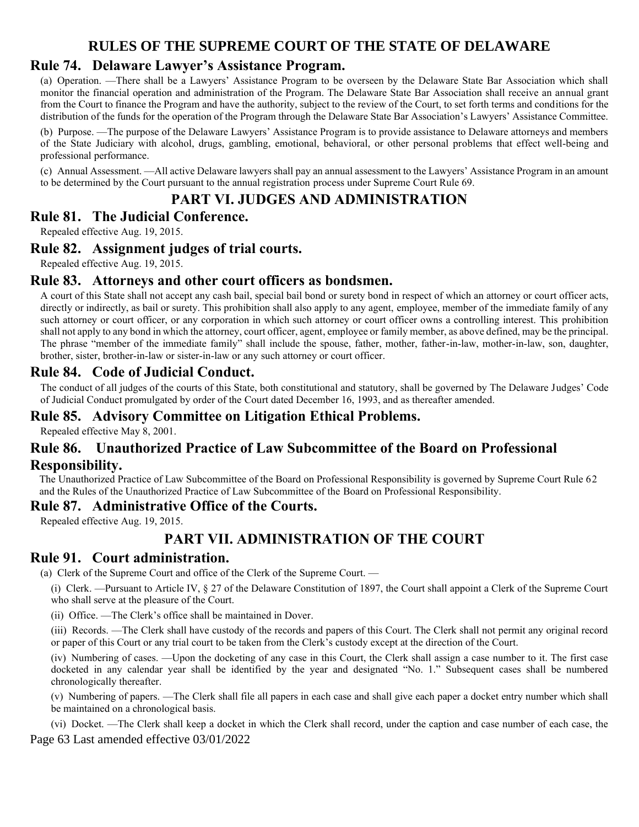### **Rule 74. Delaware Lawyer's Assistance Program.**

(a) Operation. —There shall be a Lawyers' Assistance Program to be overseen by the Delaware State Bar Association which shall monitor the financial operation and administration of the Program. The Delaware State Bar Association shall receive an annual grant from the Court to finance the Program and have the authority, subject to the review of the Court, to set forth terms and conditions for the distribution of the funds for the operation of the Program through the Delaware State Bar Association's Lawyers' Assistance Committee.

(b) Purpose. —The purpose of the Delaware Lawyers' Assistance Program is to provide assistance to Delaware attorneys and members of the State Judiciary with alcohol, drugs, gambling, emotional, behavioral, or other personal problems that effect well-being and professional performance.

(c) Annual Assessment. —All active Delaware lawyers shall pay an annual assessment to the Lawyers' Assistance Program in an amount to be determined by the Court pursuant to the annual registration process under Supreme Court Rule 69.

## **PART VI. JUDGES AND ADMINISTRATION**

### **Rule 81. The Judicial Conference.**

Repealed effective Aug. 19, 2015.

### **Rule 82. Assignment judges of trial courts.**

Repealed effective Aug. 19, 2015.

### **Rule 83. Attorneys and other court officers as bondsmen.**

A court of this State shall not accept any cash bail, special bail bond or surety bond in respect of which an attorney or court officer acts, directly or indirectly, as bail or surety. This prohibition shall also apply to any agent, employee, member of the immediate family of any such attorney or court officer, or any corporation in which such attorney or court officer owns a controlling interest. This prohibition shall not apply to any bond in which the attorney, court officer, agent, employee or family member, as above defined, may be the principal. The phrase "member of the immediate family" shall include the spouse, father, mother, father-in-law, mother-in-law, son, daughter, brother, sister, brother-in-law or sister-in-law or any such attorney or court officer.

### **Rule 84. Code of Judicial Conduct.**

The conduct of all judges of the courts of this State, both constitutional and statutory, shall be governed by The Delaware Judges' Code of Judicial Conduct promulgated by order of the Court dated December 16, 1993, and as thereafter amended.

### **Rule 85. Advisory Committee on Litigation Ethical Problems.**

Repealed effective May 8, 2001.

# **Rule 86. Unauthorized Practice of Law Subcommittee of the Board on Professional**

**Responsibility.**

The Unauthorized Practice of Law Subcommittee of the Board on Professional Responsibility is governed by Supreme Court Rule 62 and the Rules of the Unauthorized Practice of Law Subcommittee of the Board on Professional Responsibility.

### **Rule 87. Administrative Office of the Courts.**

Repealed effective Aug. 19, 2015.

## **PART VII. ADMINISTRATION OF THE COURT**

### **Rule 91. Court administration.**

(a) Clerk of the Supreme Court and office of the Clerk of the Supreme Court. —

(i) Clerk. —Pursuant to Article IV, § 27 of the Delaware Constitution of 1897, the Court shall appoint a Clerk of the Supreme Court who shall serve at the pleasure of the Court.

(ii) Office. —The Clerk's office shall be maintained in Dover.

(iii) Records. —The Clerk shall have custody of the records and papers of this Court. The Clerk shall not permit any original record or paper of this Court or any trial court to be taken from the Clerk's custody except at the direction of the Court.

(iv) Numbering of cases. —Upon the docketing of any case in this Court, the Clerk shall assign a case number to it. The first case docketed in any calendar year shall be identified by the year and designated "No. 1." Subsequent cases shall be numbered chronologically thereafter.

(v) Numbering of papers. —The Clerk shall file all papers in each case and shall give each paper a docket entry number which shall be maintained on a chronological basis.

Page 63 Last amended effective 03/01/2022 (vi) Docket. —The Clerk shall keep a docket in which the Clerk shall record, under the caption and case number of each case, the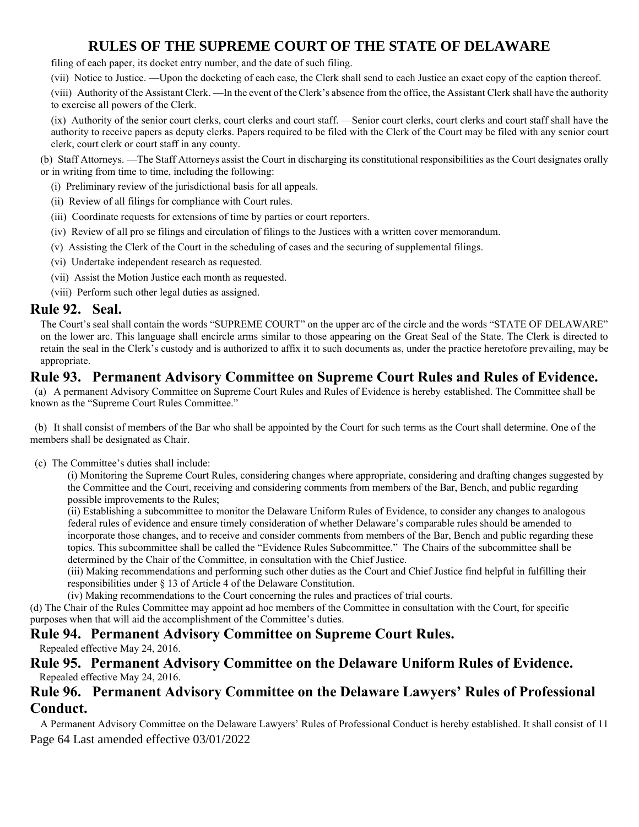filing of each paper, its docket entry number, and the date of such filing.

(vii) Notice to Justice. —Upon the docketing of each case, the Clerk shall send to each Justice an exact copy of the caption thereof.

(viii) Authority of the Assistant Clerk. —In the event of the Clerk's absence from the office, the Assistant Clerk shall have the authority to exercise all powers of the Clerk.

(ix) Authority of the senior court clerks, court clerks and court staff. —Senior court clerks, court clerks and court staff shall have the authority to receive papers as deputy clerks. Papers required to be filed with the Clerk of the Court may be filed with any senior court clerk, court clerk or court staff in any county.

(b) Staff Attorneys. —The Staff Attorneys assist the Court in discharging its constitutional responsibilities as the Court designates orally or in writing from time to time, including the following:

- (i) Preliminary review of the jurisdictional basis for all appeals.
- (ii) Review of all filings for compliance with Court rules.
- (iii) Coordinate requests for extensions of time by parties or court reporters.
- (iv) Review of all pro se filings and circulation of filings to the Justices with a written cover memorandum.
- (v) Assisting the Clerk of the Court in the scheduling of cases and the securing of supplemental filings.
- (vi) Undertake independent research as requested.
- (vii) Assist the Motion Justice each month as requested.

(viii) Perform such other legal duties as assigned.

### **Rule 92. Seal.**

The Court's seal shall contain the words "SUPREME COURT" on the upper arc of the circle and the words "STATE OF DELAWARE" on the lower arc. This language shall encircle arms similar to those appearing on the Great Seal of the State. The Clerk is directed to retain the seal in the Clerk's custody and is authorized to affix it to such documents as, under the practice heretofore prevailing, may be appropriate.

### **Rule 93. Permanent Advisory Committee on Supreme Court Rules and Rules of Evidence.**

(a) A permanent Advisory Committee on Supreme Court Rules and Rules of Evidence is hereby established. The Committee shall be known as the "Supreme Court Rules Committee."

(b) It shall consist of members of the Bar who shall be appointed by the Court for such terms as the Court shall determine. One of the members shall be designated as Chair.

(c) The Committee's duties shall include:

(i) Monitoring the Supreme Court Rules, considering changes where appropriate, considering and drafting changes suggested by the Committee and the Court, receiving and considering comments from members of the Bar, Bench, and public regarding possible improvements to the Rules;

(ii) Establishing a subcommittee to monitor the Delaware Uniform Rules of Evidence, to consider any changes to analogous federal rules of evidence and ensure timely consideration of whether Delaware's comparable rules should be amended to incorporate those changes, and to receive and consider comments from members of the Bar, Bench and public regarding these topics. This subcommittee shall be called the "Evidence Rules Subcommittee." The Chairs of the subcommittee shall be determined by the Chair of the Committee, in consultation with the Chief Justice.

(iii) Making recommendations and performing such other duties as the Court and Chief Justice find helpful in fulfilling their responsibilities under § 13 of Article 4 of the Delaware Constitution.

(iv) Making recommendations to the Court concerning the rules and practices of trial courts.

(d) The Chair of the Rules Committee may appoint ad hoc members of the Committee in consultation with the Court, for specific purposes when that will aid the accomplishment of the Committee's duties.

## **Rule 94. Permanent Advisory Committee on Supreme Court Rules.**

Repealed effective May 24, 2016.

### **Rule 95. Permanent Advisory Committee on the Delaware Uniform Rules of Evidence.** Repealed effective May 24, 2016.

### **Rule 96. Permanent Advisory Committee on the Delaware Lawyers' Rules of Professional Conduct.**

Page 64 Last amended effective 03/01/2022 A Permanent Advisory Committee on the Delaware Lawyers' Rules of Professional Conduct is hereby established. It shall consist of 11